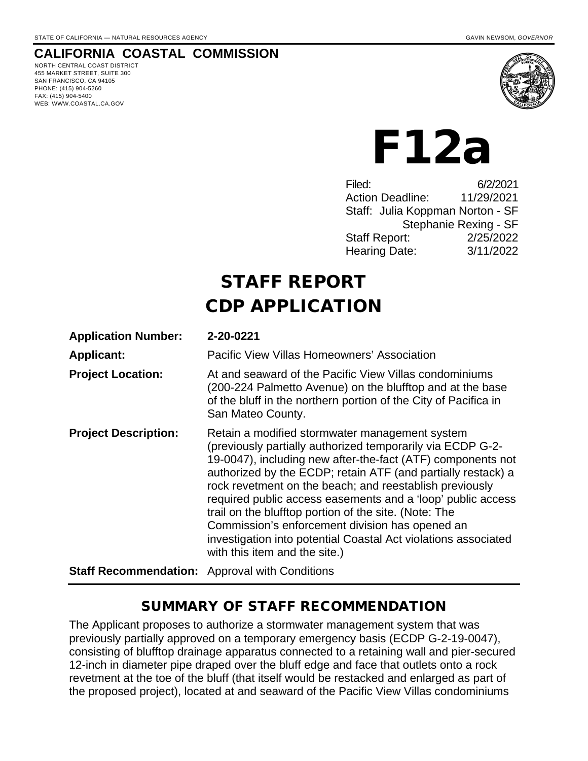#### **CALIFORNIA COASTAL COMMISSION**

NORTH CENTRAL COAST DISTRICT 455 MARKET STREET, SUITE 300 SAN FRANCISCO, CA 94105 PHONE: (415) 904-5260 FAX: (415) 904-5400 WEB: WWW.COASTAL.CA.GOV



# F12a

Filed: 6/2/2021 Action Deadline: 11/29/2021 Staff: Julia Koppman Norton - SF Stephanie Rexing - SF Staff Report: 2/25/2022 Hearing Date: 3/11/2022

## STAFF REPORT CDP APPLICATION

| <b>Application Number:</b>                            | 2-20-0221                                                                                                                                                                                                                                                                                                                                                                                                                                                                                                                                                                            |
|-------------------------------------------------------|--------------------------------------------------------------------------------------------------------------------------------------------------------------------------------------------------------------------------------------------------------------------------------------------------------------------------------------------------------------------------------------------------------------------------------------------------------------------------------------------------------------------------------------------------------------------------------------|
| <b>Applicant:</b>                                     | Pacific View Villas Homeowners' Association                                                                                                                                                                                                                                                                                                                                                                                                                                                                                                                                          |
| <b>Project Location:</b>                              | At and seaward of the Pacific View Villas condominiums<br>(200-224 Palmetto Avenue) on the blufftop and at the base<br>of the bluff in the northern portion of the City of Pacifica in<br>San Mateo County.                                                                                                                                                                                                                                                                                                                                                                          |
| <b>Project Description:</b>                           | Retain a modified stormwater management system<br>(previously partially authorized temporarily via ECDP G-2-<br>19-0047), including new after-the-fact (ATF) components not<br>authorized by the ECDP; retain ATF (and partially restack) a<br>rock revetment on the beach; and reestablish previously<br>required public access easements and a 'loop' public access<br>trail on the blufftop portion of the site. (Note: The<br>Commission's enforcement division has opened an<br>investigation into potential Coastal Act violations associated<br>with this item and the site.) |
| <b>Staff Recommendation:</b> Approval with Conditions |                                                                                                                                                                                                                                                                                                                                                                                                                                                                                                                                                                                      |

## SUMMARY OF STAFF RECOMMENDATION

The Applicant proposes to authorize a stormwater management system that was previously partially approved on a temporary emergency basis (ECDP G-2-19-0047), consisting of blufftop drainage apparatus connected to a retaining wall and pier-secured 12-inch in diameter pipe draped over the bluff edge and face that outlets onto a rock revetment at the toe of the bluff (that itself would be restacked and enlarged as part of the proposed project), located at and seaward of the Pacific View Villas condominiums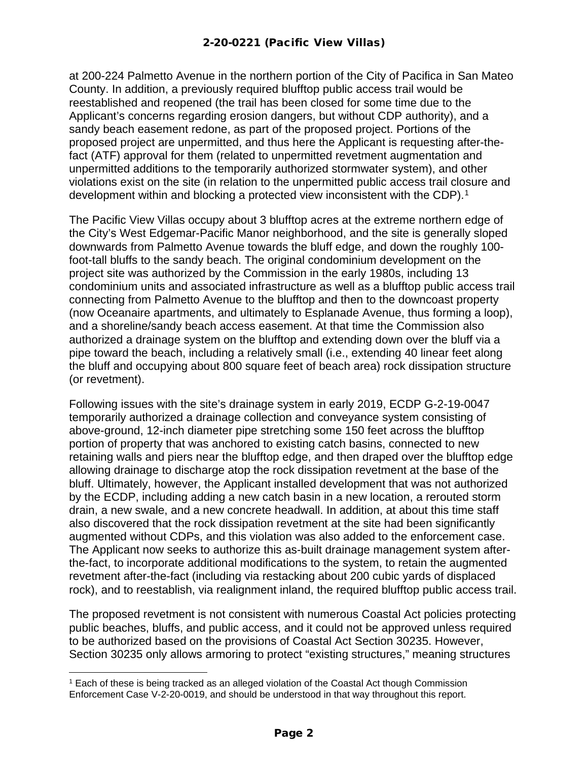at 200-224 Palmetto Avenue in the northern portion of the City of Pacifica in San Mateo County. In addition, a previously required blufftop public access trail would be reestablished and reopened (the trail has been closed for some time due to the Applicant's concerns regarding erosion dangers, but without CDP authority), and a sandy beach easement redone, as part of the proposed project. Portions of the proposed project are unpermitted, and thus here the Applicant is requesting after-thefact (ATF) approval for them (related to unpermitted revetment augmentation and unpermitted additions to the temporarily authorized stormwater system), and other violations exist on the site (in relation to the unpermitted public access trail closure and development within and blocking a protected view inconsistent with the CDP).<sup>[1](#page-1-0)</sup>

The Pacific View Villas occupy about 3 blufftop acres at the extreme northern edge of the City's West Edgemar-Pacific Manor neighborhood, and the site is generally sloped downwards from Palmetto Avenue towards the bluff edge, and down the roughly 100 foot-tall bluffs to the sandy beach. The original condominium development on the project site was authorized by the Commission in the early 1980s, including 13 condominium units and associated infrastructure as well as a blufftop public access trail connecting from Palmetto Avenue to the blufftop and then to the downcoast property (now Oceanaire apartments, and ultimately to Esplanade Avenue, thus forming a loop), and a shoreline/sandy beach access easement. At that time the Commission also authorized a drainage system on the blufftop and extending down over the bluff via a pipe toward the beach, including a relatively small (i.e., extending 40 linear feet along the bluff and occupying about 800 square feet of beach area) rock dissipation structure (or revetment).

Following issues with the site's drainage system in early 2019, ECDP G-2-19-0047 temporarily authorized a drainage collection and conveyance system consisting of above-ground, 12-inch diameter pipe stretching some 150 feet across the blufftop portion of property that was anchored to existing catch basins, connected to new retaining walls and piers near the blufftop edge, and then draped over the blufftop edge allowing drainage to discharge atop the rock dissipation revetment at the base of the bluff. Ultimately, however, the Applicant installed development that was not authorized by the ECDP, including adding a new catch basin in a new location, a rerouted storm drain, a new swale, and a new concrete headwall. In addition, at about this time staff also discovered that the rock dissipation revetment at the site had been significantly augmented without CDPs, and this violation was also added to the enforcement case. The Applicant now seeks to authorize this as-built drainage management system afterthe-fact, to incorporate additional modifications to the system, to retain the augmented revetment after-the-fact (including via restacking about 200 cubic yards of displaced rock), and to reestablish, via realignment inland, the required blufftop public access trail.

The proposed revetment is not consistent with numerous Coastal Act policies protecting public beaches, bluffs, and public access, and it could not be approved unless required to be authorized based on the provisions of Coastal Act Section 30235. However, Section 30235 only allows armoring to protect "existing structures," meaning structures

<span id="page-1-0"></span><sup>1</sup> Each of these is being tracked as an alleged violation of the Coastal Act though Commission Enforcement Case V-2-20-0019, and should be understood in that way throughout this report.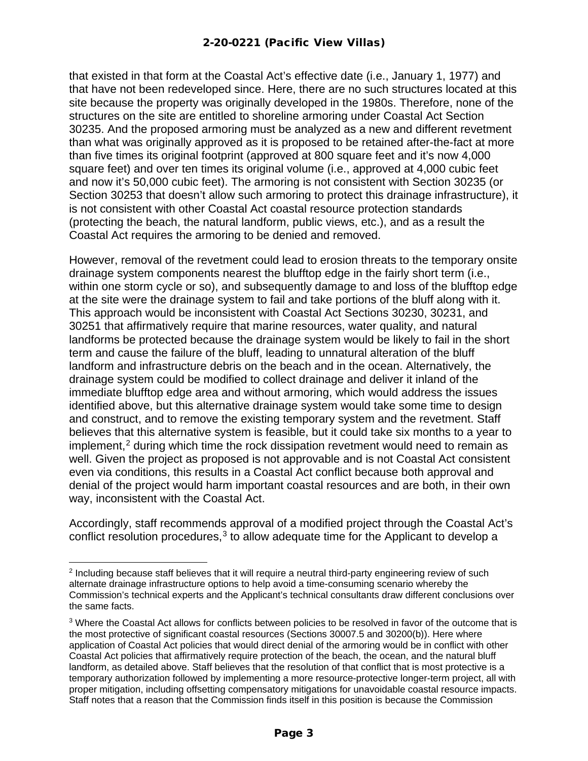that existed in that form at the Coastal Act's effective date (i.e., January 1, 1977) and that have not been redeveloped since. Here, there are no such structures located at this site because the property was originally developed in the 1980s. Therefore, none of the structures on the site are entitled to shoreline armoring under Coastal Act Section 30235. And the proposed armoring must be analyzed as a new and different revetment than what was originally approved as it is proposed to be retained after-the-fact at more than five times its original footprint (approved at 800 square feet and it's now 4,000 square feet) and over ten times its original volume (i.e., approved at 4,000 cubic feet and now it's 50,000 cubic feet). The armoring is not consistent with Section 30235 (or Section 30253 that doesn't allow such armoring to protect this drainage infrastructure), it is not consistent with other Coastal Act coastal resource protection standards (protecting the beach, the natural landform, public views, etc.), and as a result the Coastal Act requires the armoring to be denied and removed.

However, removal of the revetment could lead to erosion threats to the temporary onsite drainage system components nearest the blufftop edge in the fairly short term (i.e., within one storm cycle or so), and subsequently damage to and loss of the blufftop edge at the site were the drainage system to fail and take portions of the bluff along with it. This approach would be inconsistent with Coastal Act Sections 30230, 30231, and 30251 that affirmatively require that marine resources, water quality, and natural landforms be protected because the drainage system would be likely to fail in the short term and cause the failure of the bluff, leading to unnatural alteration of the bluff landform and infrastructure debris on the beach and in the ocean. Alternatively, the drainage system could be modified to collect drainage and deliver it inland of the immediate blufftop edge area and without armoring, which would address the issues identified above, but this alternative drainage system would take some time to design and construct, and to remove the existing temporary system and the revetment. Staff believes that this alternative system is feasible, but it could take six months to a year to implement, [2](#page-2-0) during which time the rock dissipation revetment would need to remain as well. Given the project as proposed is not approvable and is not Coastal Act consistent even via conditions, this results in a Coastal Act conflict because both approval and denial of the project would harm important coastal resources and are both, in their own way, inconsistent with the Coastal Act.

Accordingly, staff recommends approval of a modified project through the Coastal Act's conflict resolution procedures, $3$  to allow adequate time for the Applicant to develop a

<span id="page-2-0"></span><sup>&</sup>lt;sup>2</sup> Including because staff believes that it will require a neutral third-party engineering review of such alternate drainage infrastructure options to help avoid a time-consuming scenario whereby the Commission's technical experts and the Applicant's technical consultants draw different conclusions over the same facts.

<span id="page-2-1"></span><sup>&</sup>lt;sup>3</sup> Where the Coastal Act allows for conflicts between policies to be resolved in favor of the outcome that is the most protective of significant coastal resources (Sections 30007.5 and 30200(b)). Here where application of Coastal Act policies that would direct denial of the armoring would be in conflict with other Coastal Act policies that affirmatively require protection of the beach, the ocean, and the natural bluff landform, as detailed above. Staff believes that the resolution of that conflict that is most protective is a temporary authorization followed by implementing a more resource-protective longer-term project, all with proper mitigation, including offsetting compensatory mitigations for unavoidable coastal resource impacts. Staff notes that a reason that the Commission finds itself in this position is because the Commission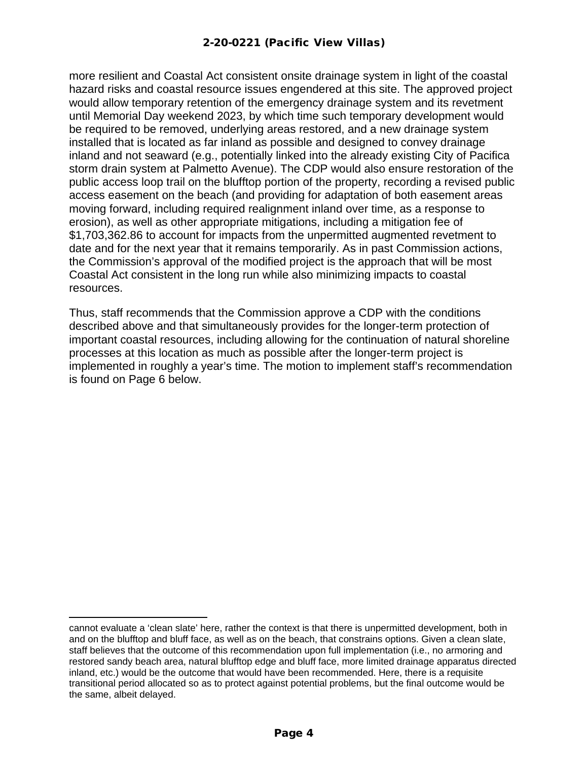more resilient and Coastal Act consistent onsite drainage system in light of the coastal hazard risks and coastal resource issues engendered at this site. The approved project would allow temporary retention of the emergency drainage system and its revetment until Memorial Day weekend 2023, by which time such temporary development would be required to be removed, underlying areas restored, and a new drainage system installed that is located as far inland as possible and designed to convey drainage inland and not seaward (e.g., potentially linked into the already existing City of Pacifica storm drain system at Palmetto Avenue). The CDP would also ensure restoration of the public access loop trail on the blufftop portion of the property, recording a revised public access easement on the beach (and providing for adaptation of both easement areas moving forward, including required realignment inland over time, as a response to erosion), as well as other appropriate mitigations, including a mitigation fee of \$1,703,362.86 to account for impacts from the unpermitted augmented revetment to date and for the next year that it remains temporarily. As in past Commission actions, the Commission's approval of the modified project is the approach that will be most Coastal Act consistent in the long run while also minimizing impacts to coastal resources.

Thus, staff recommends that the Commission approve a CDP with the conditions described above and that simultaneously provides for the longer-term protection of important coastal resources, including allowing for the continuation of natural shoreline processes at this location as much as possible after the longer-term project is implemented in roughly a year's time. The motion to implement staff's recommendation is found on Page 6 below.

cannot evaluate a 'clean slate' here, rather the context is that there is unpermitted development, both in and on the blufftop and bluff face, as well as on the beach, that constrains options. Given a clean slate, staff believes that the outcome of this recommendation upon full implementation (i.e., no armoring and restored sandy beach area, natural blufftop edge and bluff face, more limited drainage apparatus directed inland, etc.) would be the outcome that would have been recommended. Here, there is a requisite transitional period allocated so as to protect against potential problems, but the final outcome would be the same, albeit delayed.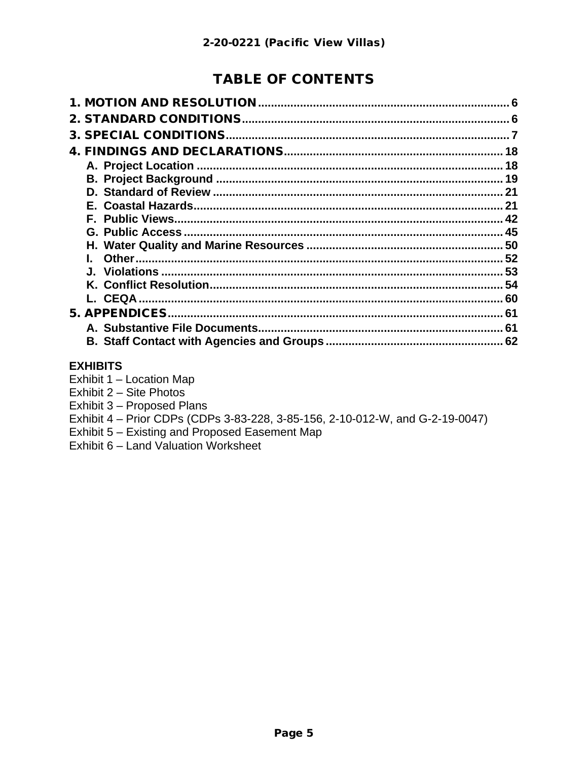## **TABLE OF CONTENTS**

| 18 |
|----|
| 18 |
| 19 |
|    |
|    |
|    |
|    |
|    |
|    |
|    |
|    |
|    |
|    |
|    |
|    |
|    |

#### **EXHIBITS**

- Exhibit 1 Location Map
- Exhibit 2 Site Photos
- Exhibit 3 Proposed Plans
- Exhibit 4 Prior CDPs (CDPs 3-83-228, 3-85-156, 2-10-012-W, and G-2-19-0047)
- Exhibit 5 Existing and Proposed Easement Map
- Exhibit 6 Land Valuation Worksheet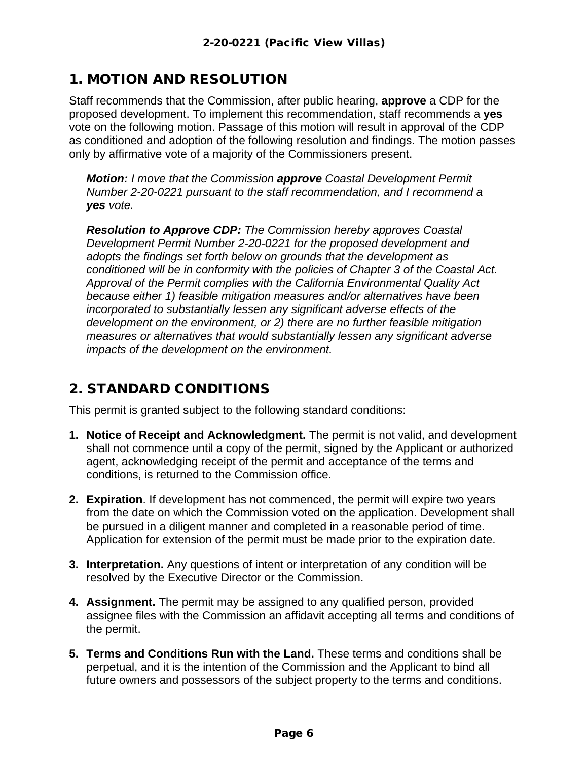## <span id="page-5-0"></span>1. MOTION AND RESOLUTION

Staff recommends that the Commission, after public hearing, **approve** a CDP for the proposed development. To implement this recommendation, staff recommends a **yes** vote on the following motion. Passage of this motion will result in approval of the CDP as conditioned and adoption of the following resolution and findings. The motion passes only by affirmative vote of a majority of the Commissioners present.

*Motion: I move that the Commission approve Coastal Development Permit Number 2-20-0221 pursuant to the staff recommendation, and I recommend a yes vote.* 

*Resolution to Approve CDP: The Commission hereby approves Coastal Development Permit Number 2-20-0221 for the proposed development and adopts the findings set forth below on grounds that the development as conditioned will be in conformity with the policies of Chapter 3 of the Coastal Act. Approval of the Permit complies with the California Environmental Quality Act because either 1) feasible mitigation measures and/or alternatives have been incorporated to substantially lessen any significant adverse effects of the development on the environment, or 2) there are no further feasible mitigation measures or alternatives that would substantially lessen any significant adverse impacts of the development on the environment.*

### <span id="page-5-1"></span>2. STANDARD CONDITIONS

This permit is granted subject to the following standard conditions:

- **1. Notice of Receipt and Acknowledgment.** The permit is not valid, and development shall not commence until a copy of the permit, signed by the Applicant or authorized agent, acknowledging receipt of the permit and acceptance of the terms and conditions, is returned to the Commission office.
- **2. Expiration**. If development has not commenced, the permit will expire two years from the date on which the Commission voted on the application. Development shall be pursued in a diligent manner and completed in a reasonable period of time. Application for extension of the permit must be made prior to the expiration date.
- **3. Interpretation.** Any questions of intent or interpretation of any condition will be resolved by the Executive Director or the Commission.
- **4. Assignment.** The permit may be assigned to any qualified person, provided assignee files with the Commission an affidavit accepting all terms and conditions of the permit.
- **5. Terms and Conditions Run with the Land.** These terms and conditions shall be perpetual, and it is the intention of the Commission and the Applicant to bind all future owners and possessors of the subject property to the terms and conditions.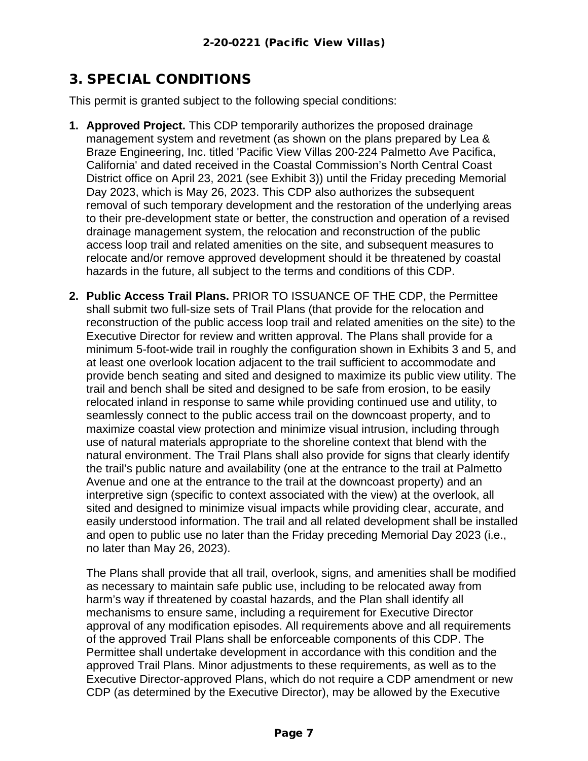## <span id="page-6-0"></span>3. SPECIAL CONDITIONS

This permit is granted subject to the following special conditions:

- **1. Approved Project.** This CDP temporarily authorizes the proposed drainage management system and revetment (as shown on the plans prepared by Lea & Braze Engineering, Inc. titled 'Pacific View Villas 200-224 Palmetto Ave Pacifica, California' and dated received in the Coastal Commission's North Central Coast District office on April 23, 2021 (see Exhibit 3)) until the Friday preceding Memorial Day 2023, which is May 26, 2023. This CDP also authorizes the subsequent removal of such temporary development and the restoration of the underlying areas to their pre-development state or better, the construction and operation of a revised drainage management system, the relocation and reconstruction of the public access loop trail and related amenities on the site, and subsequent measures to relocate and/or remove approved development should it be threatened by coastal hazards in the future, all subject to the terms and conditions of this CDP.
- **2. Public Access Trail Plans.** PRIOR TO ISSUANCE OF THE CDP, the Permittee shall submit two full-size sets of Trail Plans (that provide for the relocation and reconstruction of the public access loop trail and related amenities on the site) to the Executive Director for review and written approval. The Plans shall provide for a minimum 5-foot-wide trail in roughly the configuration shown in Exhibits 3 and 5, and at least one overlook location adjacent to the trail sufficient to accommodate and provide bench seating and sited and designed to maximize its public view utility. The trail and bench shall be sited and designed to be safe from erosion, to be easily relocated inland in response to same while providing continued use and utility, to seamlessly connect to the public access trail on the downcoast property, and to maximize coastal view protection and minimize visual intrusion, including through use of natural materials appropriate to the shoreline context that blend with the natural environment. The Trail Plans shall also provide for signs that clearly identify the trail's public nature and availability (one at the entrance to the trail at Palmetto Avenue and one at the entrance to the trail at the downcoast property) and an interpretive sign (specific to context associated with the view) at the overlook, all sited and designed to minimize visual impacts while providing clear, accurate, and easily understood information. The trail and all related development shall be installed and open to public use no later than the Friday preceding Memorial Day 2023 (i.e., no later than May 26, 2023).

The Plans shall provide that all trail, overlook, signs, and amenities shall be modified as necessary to maintain safe public use, including to be relocated away from harm's way if threatened by coastal hazards, and the Plan shall identify all mechanisms to ensure same, including a requirement for Executive Director approval of any modification episodes. All requirements above and all requirements of the approved Trail Plans shall be enforceable components of this CDP. The Permittee shall undertake development in accordance with this condition and the approved Trail Plans. Minor adjustments to these requirements, as well as to the Executive Director-approved Plans, which do not require a CDP amendment or new CDP (as determined by the Executive Director), may be allowed by the Executive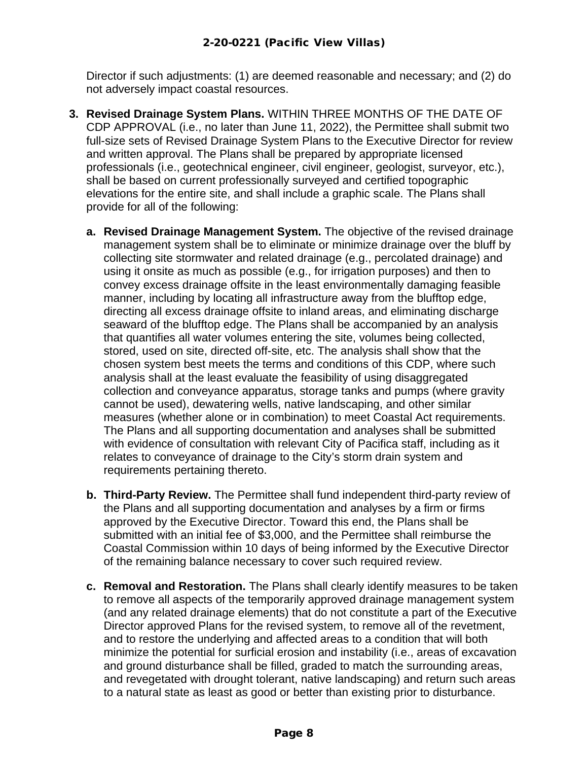Director if such adjustments: (1) are deemed reasonable and necessary; and (2) do not adversely impact coastal resources.

- **3. Revised Drainage System Plans.** WITHIN THREE MONTHS OF THE DATE OF CDP APPROVAL (i.e., no later than June 11, 2022), the Permittee shall submit two full-size sets of Revised Drainage System Plans to the Executive Director for review and written approval. The Plans shall be prepared by appropriate licensed professionals (i.e., geotechnical engineer, civil engineer, geologist, surveyor, etc.), shall be based on current professionally surveyed and certified topographic elevations for the entire site, and shall include a graphic scale. The Plans shall provide for all of the following:
	- **a. Revised Drainage Management System.** The objective of the revised drainage management system shall be to eliminate or minimize drainage over the bluff by collecting site stormwater and related drainage (e.g., percolated drainage) and using it onsite as much as possible (e.g., for irrigation purposes) and then to convey excess drainage offsite in the least environmentally damaging feasible manner, including by locating all infrastructure away from the blufftop edge, directing all excess drainage offsite to inland areas, and eliminating discharge seaward of the blufftop edge. The Plans shall be accompanied by an analysis that quantifies all water volumes entering the site, volumes being collected, stored, used on site, directed off-site, etc. The analysis shall show that the chosen system best meets the terms and conditions of this CDP, where such analysis shall at the least evaluate the feasibility of using disaggregated collection and conveyance apparatus, storage tanks and pumps (where gravity cannot be used), dewatering wells, native landscaping, and other similar measures (whether alone or in combination) to meet Coastal Act requirements. The Plans and all supporting documentation and analyses shall be submitted with evidence of consultation with relevant City of Pacifica staff, including as it relates to conveyance of drainage to the City's storm drain system and requirements pertaining thereto.
	- **b. Third-Party Review.** The Permittee shall fund independent third-party review of the Plans and all supporting documentation and analyses by a firm or firms approved by the Executive Director. Toward this end, the Plans shall be submitted with an initial fee of \$3,000, and the Permittee shall reimburse the Coastal Commission within 10 days of being informed by the Executive Director of the remaining balance necessary to cover such required review.
	- **c. Removal and Restoration.** The Plans shall clearly identify measures to be taken to remove all aspects of the temporarily approved drainage management system (and any related drainage elements) that do not constitute a part of the Executive Director approved Plans for the revised system, to remove all of the revetment, and to restore the underlying and affected areas to a condition that will both minimize the potential for surficial erosion and instability (i.e., areas of excavation and ground disturbance shall be filled, graded to match the surrounding areas, and revegetated with drought tolerant, native landscaping) and return such areas to a natural state as least as good or better than existing prior to disturbance.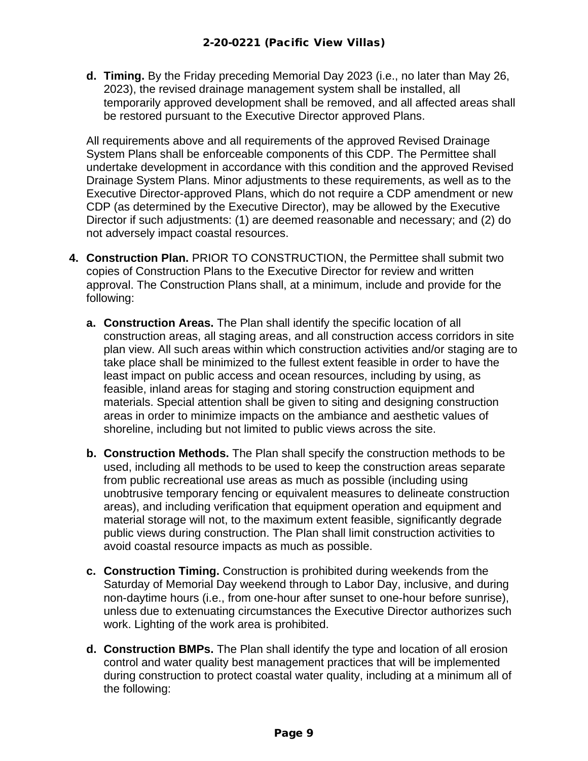**d. Timing.** By the Friday preceding Memorial Day 2023 (i.e., no later than May 26, 2023), the revised drainage management system shall be installed, all temporarily approved development shall be removed, and all affected areas shall be restored pursuant to the Executive Director approved Plans.

All requirements above and all requirements of the approved Revised Drainage System Plans shall be enforceable components of this CDP. The Permittee shall undertake development in accordance with this condition and the approved Revised Drainage System Plans. Minor adjustments to these requirements, as well as to the Executive Director-approved Plans, which do not require a CDP amendment or new CDP (as determined by the Executive Director), may be allowed by the Executive Director if such adjustments: (1) are deemed reasonable and necessary; and (2) do not adversely impact coastal resources.

- **4. Construction Plan.** PRIOR TO CONSTRUCTION, the Permittee shall submit two copies of Construction Plans to the Executive Director for review and written approval. The Construction Plans shall, at a minimum, include and provide for the following:
	- **a. Construction Areas.** The Plan shall identify the specific location of all construction areas, all staging areas, and all construction access corridors in site plan view. All such areas within which construction activities and/or staging are to take place shall be minimized to the fullest extent feasible in order to have the least impact on public access and ocean resources, including by using, as feasible, inland areas for staging and storing construction equipment and materials. Special attention shall be given to siting and designing construction areas in order to minimize impacts on the ambiance and aesthetic values of shoreline, including but not limited to public views across the site.
	- **b. Construction Methods.** The Plan shall specify the construction methods to be used, including all methods to be used to keep the construction areas separate from public recreational use areas as much as possible (including using unobtrusive temporary fencing or equivalent measures to delineate construction areas), and including verification that equipment operation and equipment and material storage will not, to the maximum extent feasible, significantly degrade public views during construction. The Plan shall limit construction activities to avoid coastal resource impacts as much as possible.
	- **c. Construction Timing.** Construction is prohibited during weekends from the Saturday of Memorial Day weekend through to Labor Day, inclusive, and during non-daytime hours (i.e., from one-hour after sunset to one-hour before sunrise), unless due to extenuating circumstances the Executive Director authorizes such work. Lighting of the work area is prohibited.
	- **d. Construction BMPs.** The Plan shall identify the type and location of all erosion control and water quality best management practices that will be implemented during construction to protect coastal water quality, including at a minimum all of the following: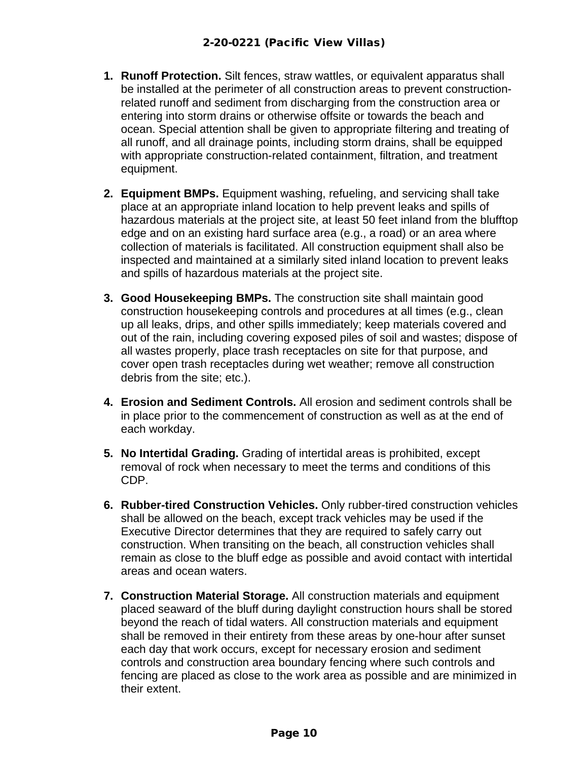- **1. Runoff Protection.** Silt fences, straw wattles, or equivalent apparatus shall be installed at the perimeter of all construction areas to prevent constructionrelated runoff and sediment from discharging from the construction area or entering into storm drains or otherwise offsite or towards the beach and ocean. Special attention shall be given to appropriate filtering and treating of all runoff, and all drainage points, including storm drains, shall be equipped with appropriate construction-related containment, filtration, and treatment equipment.
- **2. Equipment BMPs.** Equipment washing, refueling, and servicing shall take place at an appropriate inland location to help prevent leaks and spills of hazardous materials at the project site, at least 50 feet inland from the blufftop edge and on an existing hard surface area (e.g., a road) or an area where collection of materials is facilitated. All construction equipment shall also be inspected and maintained at a similarly sited inland location to prevent leaks and spills of hazardous materials at the project site.
- **3. Good Housekeeping BMPs.** The construction site shall maintain good construction housekeeping controls and procedures at all times (e.g., clean up all leaks, drips, and other spills immediately; keep materials covered and out of the rain, including covering exposed piles of soil and wastes; dispose of all wastes properly, place trash receptacles on site for that purpose, and cover open trash receptacles during wet weather; remove all construction debris from the site; etc.).
- **4. Erosion and Sediment Controls.** All erosion and sediment controls shall be in place prior to the commencement of construction as well as at the end of each workday.
- **5. No Intertidal Grading.** Grading of intertidal areas is prohibited, except removal of rock when necessary to meet the terms and conditions of this CDP.
- **6. Rubber-tired Construction Vehicles.** Only rubber-tired construction vehicles shall be allowed on the beach, except track vehicles may be used if the Executive Director determines that they are required to safely carry out construction. When transiting on the beach, all construction vehicles shall remain as close to the bluff edge as possible and avoid contact with intertidal areas and ocean waters.
- **7. Construction Material Storage.** All construction materials and equipment placed seaward of the bluff during daylight construction hours shall be stored beyond the reach of tidal waters. All construction materials and equipment shall be removed in their entirety from these areas by one-hour after sunset each day that work occurs, except for necessary erosion and sediment controls and construction area boundary fencing where such controls and fencing are placed as close to the work area as possible and are minimized in their extent.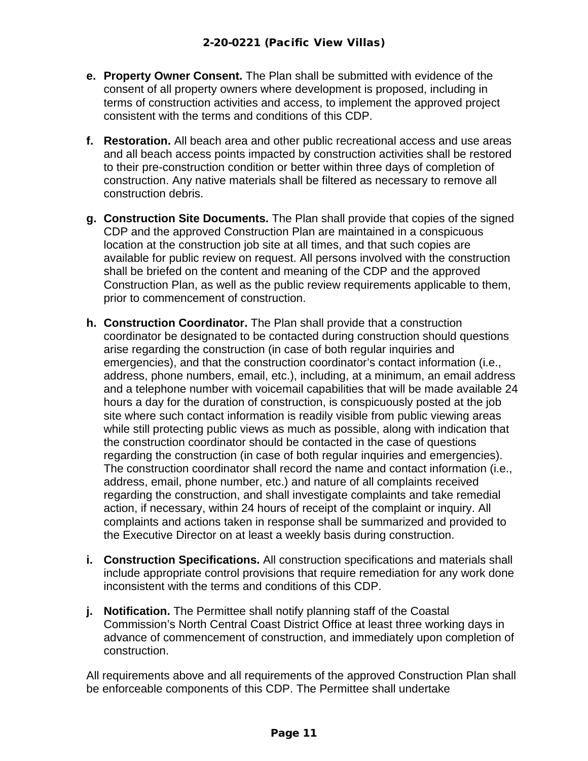- **e. Property Owner Consent.** The Plan shall be submitted with evidence of the consent of all property owners where development is proposed, including in terms of construction activities and access, to implement the approved project consistent with the terms and conditions of this CDP.
- **f. Restoration.** All beach area and other public recreational access and use areas and all beach access points impacted by construction activities shall be restored to their pre-construction condition or better within three days of completion of construction. Any native materials shall be filtered as necessary to remove all construction debris.
- **g. Construction Site Documents.** The Plan shall provide that copies of the signed CDP and the approved Construction Plan are maintained in a conspicuous location at the construction job site at all times, and that such copies are available for public review on request. All persons involved with the construction shall be briefed on the content and meaning of the CDP and the approved Construction Plan, as well as the public review requirements applicable to them, prior to commencement of construction.
- **h. Construction Coordinator.** The Plan shall provide that a construction coordinator be designated to be contacted during construction should questions arise regarding the construction (in case of both regular inquiries and emergencies), and that the construction coordinator's contact information (i.e., address, phone numbers, email, etc.), including, at a minimum, an email address and a telephone number with voicemail capabilities that will be made available 24 hours a day for the duration of construction, is conspicuously posted at the job site where such contact information is readily visible from public viewing areas while still protecting public views as much as possible, along with indication that the construction coordinator should be contacted in the case of questions regarding the construction (in case of both regular inquiries and emergencies). The construction coordinator shall record the name and contact information (i.e., address, email, phone number, etc.) and nature of all complaints received regarding the construction, and shall investigate complaints and take remedial action, if necessary, within 24 hours of receipt of the complaint or inquiry. All complaints and actions taken in response shall be summarized and provided to the Executive Director on at least a weekly basis during construction.
- **i. Construction Specifications.** All construction specifications and materials shall include appropriate control provisions that require remediation for any work done inconsistent with the terms and conditions of this CDP.
- **j. Notification.** The Permittee shall notify planning staff of the Coastal Commission's North Central Coast District Office at least three working days in advance of commencement of construction, and immediately upon completion of construction.

All requirements above and all requirements of the approved Construction Plan shall be enforceable components of this CDP. The Permittee shall undertake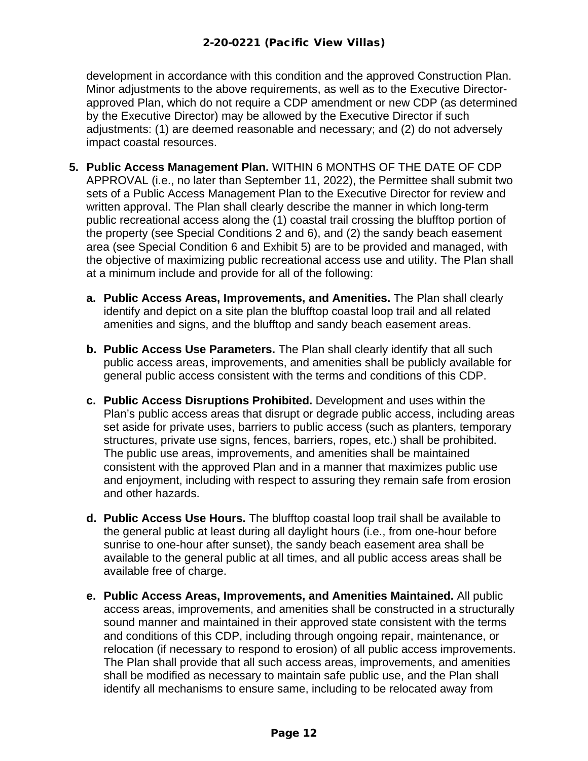development in accordance with this condition and the approved Construction Plan. Minor adjustments to the above requirements, as well as to the Executive Directorapproved Plan, which do not require a CDP amendment or new CDP (as determined by the Executive Director) may be allowed by the Executive Director if such adjustments: (1) are deemed reasonable and necessary; and (2) do not adversely impact coastal resources.

- **5. Public Access Management Plan.** WITHIN 6 MONTHS OF THE DATE OF CDP APPROVAL (i.e., no later than September 11, 2022), the Permittee shall submit two sets of a Public Access Management Plan to the Executive Director for review and written approval. The Plan shall clearly describe the manner in which long-term public recreational access along the (1) coastal trail crossing the blufftop portion of the property (see Special Conditions 2 and 6), and (2) the sandy beach easement area (see Special Condition 6 and Exhibit 5) are to be provided and managed, with the objective of maximizing public recreational access use and utility. The Plan shall at a minimum include and provide for all of the following:
	- **a. Public Access Areas, Improvements, and Amenities.** The Plan shall clearly identify and depict on a site plan the blufftop coastal loop trail and all related amenities and signs, and the blufftop and sandy beach easement areas.
	- **b. Public Access Use Parameters.** The Plan shall clearly identify that all such public access areas, improvements, and amenities shall be publicly available for general public access consistent with the terms and conditions of this CDP.
	- **c. Public Access Disruptions Prohibited.** Development and uses within the Plan's public access areas that disrupt or degrade public access, including areas set aside for private uses, barriers to public access (such as planters, temporary structures, private use signs, fences, barriers, ropes, etc.) shall be prohibited. The public use areas, improvements, and amenities shall be maintained consistent with the approved Plan and in a manner that maximizes public use and enjoyment, including with respect to assuring they remain safe from erosion and other hazards.
	- **d. Public Access Use Hours.** The blufftop coastal loop trail shall be available to the general public at least during all daylight hours (i.e., from one-hour before sunrise to one-hour after sunset), the sandy beach easement area shall be available to the general public at all times, and all public access areas shall be available free of charge.
	- **e. Public Access Areas, Improvements, and Amenities Maintained.** All public access areas, improvements, and amenities shall be constructed in a structurally sound manner and maintained in their approved state consistent with the terms and conditions of this CDP, including through ongoing repair, maintenance, or relocation (if necessary to respond to erosion) of all public access improvements. The Plan shall provide that all such access areas, improvements, and amenities shall be modified as necessary to maintain safe public use, and the Plan shall identify all mechanisms to ensure same, including to be relocated away from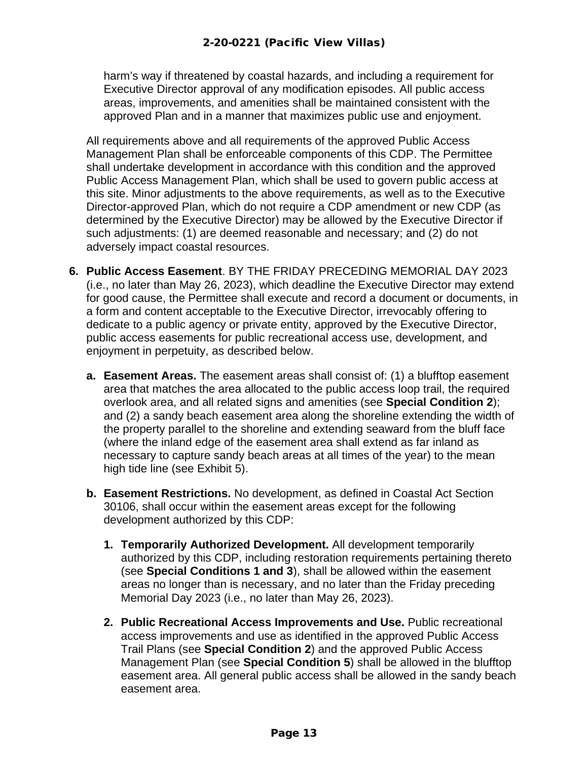harm's way if threatened by coastal hazards, and including a requirement for Executive Director approval of any modification episodes. All public access areas, improvements, and amenities shall be maintained consistent with the approved Plan and in a manner that maximizes public use and enjoyment.

All requirements above and all requirements of the approved Public Access Management Plan shall be enforceable components of this CDP. The Permittee shall undertake development in accordance with this condition and the approved Public Access Management Plan, which shall be used to govern public access at this site. Minor adjustments to the above requirements, as well as to the Executive Director-approved Plan, which do not require a CDP amendment or new CDP (as determined by the Executive Director) may be allowed by the Executive Director if such adjustments: (1) are deemed reasonable and necessary; and (2) do not adversely impact coastal resources.

- **6. Public Access Easement**. BY THE FRIDAY PRECEDING MEMORIAL DAY 2023 (i.e., no later than May 26, 2023), which deadline the Executive Director may extend for good cause, the Permittee shall execute and record a document or documents, in a form and content acceptable to the Executive Director, irrevocably offering to dedicate to a public agency or private entity, approved by the Executive Director, public access easements for public recreational access use, development, and enjoyment in perpetuity, as described below.
	- **a. Easement Areas.** The easement areas shall consist of: (1) a blufftop easement area that matches the area allocated to the public access loop trail, the required overlook area, and all related signs and amenities (see **Special Condition 2**); and (2) a sandy beach easement area along the shoreline extending the width of the property parallel to the shoreline and extending seaward from the bluff face (where the inland edge of the easement area shall extend as far inland as necessary to capture sandy beach areas at all times of the year) to the mean high tide line (see Exhibit 5).
	- **b. Easement Restrictions.** No development, as defined in Coastal Act Section 30106, shall occur within the easement areas except for the following development authorized by this CDP:
		- **1. Temporarily Authorized Development.** All development temporarily authorized by this CDP, including restoration requirements pertaining thereto (see **Special Conditions 1 and 3**), shall be allowed within the easement areas no longer than is necessary, and no later than the Friday preceding Memorial Day 2023 (i.e., no later than May 26, 2023).
		- **2. Public Recreational Access Improvements and Use.** Public recreational access improvements and use as identified in the approved Public Access Trail Plans (see **Special Condition 2**) and the approved Public Access Management Plan (see **Special Condition 5**) shall be allowed in the blufftop easement area. All general public access shall be allowed in the sandy beach easement area.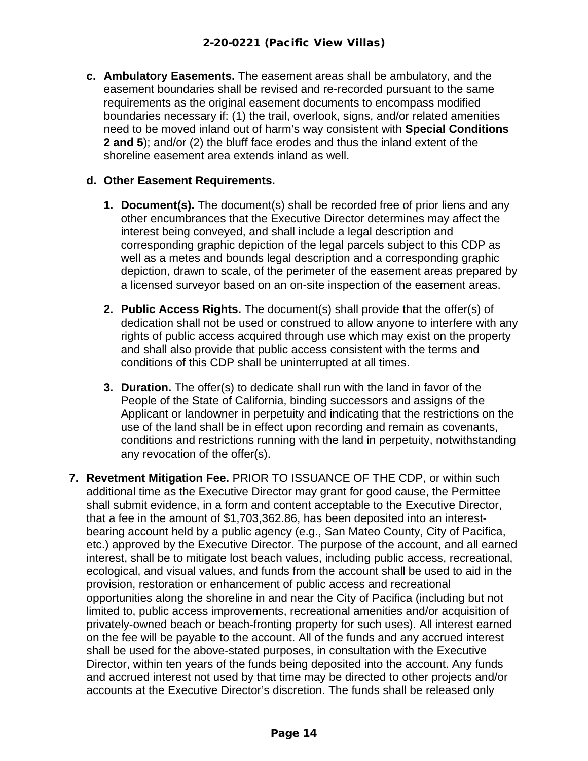**c. Ambulatory Easements.** The easement areas shall be ambulatory, and the easement boundaries shall be revised and re-recorded pursuant to the same requirements as the original easement documents to encompass modified boundaries necessary if: (1) the trail, overlook, signs, and/or related amenities need to be moved inland out of harm's way consistent with **Special Conditions 2 and 5**); and/or (2) the bluff face erodes and thus the inland extent of the shoreline easement area extends inland as well.

#### **d. Other Easement Requirements.**

- **1. Document(s).** The document(s) shall be recorded free of prior liens and any other encumbrances that the Executive Director determines may affect the interest being conveyed, and shall include a legal description and corresponding graphic depiction of the legal parcels subject to this CDP as well as a metes and bounds legal description and a corresponding graphic depiction, drawn to scale, of the perimeter of the easement areas prepared by a licensed surveyor based on an on-site inspection of the easement areas.
- **2. Public Access Rights.** The document(s) shall provide that the offer(s) of dedication shall not be used or construed to allow anyone to interfere with any rights of public access acquired through use which may exist on the property and shall also provide that public access consistent with the terms and conditions of this CDP shall be uninterrupted at all times.
- **3. Duration.** The offer(s) to dedicate shall run with the land in favor of the People of the State of California, binding successors and assigns of the Applicant or landowner in perpetuity and indicating that the restrictions on the use of the land shall be in effect upon recording and remain as covenants, conditions and restrictions running with the land in perpetuity, notwithstanding any revocation of the offer(s).
- **7. Revetment Mitigation Fee.** PRIOR TO ISSUANCE OF THE CDP, or within such additional time as the Executive Director may grant for good cause, the Permittee shall submit evidence, in a form and content acceptable to the Executive Director, that a fee in the amount of \$1,703,362.86, has been deposited into an interestbearing account held by a public agency (e.g., San Mateo County, City of Pacifica, etc.) approved by the Executive Director. The purpose of the account, and all earned interest, shall be to mitigate lost beach values, including public access, recreational, ecological, and visual values, and funds from the account shall be used to aid in the provision, restoration or enhancement of public access and recreational opportunities along the shoreline in and near the City of Pacifica (including but not limited to, public access improvements, recreational amenities and/or acquisition of privately-owned beach or beach-fronting property for such uses). All interest earned on the fee will be payable to the account. All of the funds and any accrued interest shall be used for the above-stated purposes, in consultation with the Executive Director, within ten years of the funds being deposited into the account. Any funds and accrued interest not used by that time may be directed to other projects and/or accounts at the Executive Director's discretion. The funds shall be released only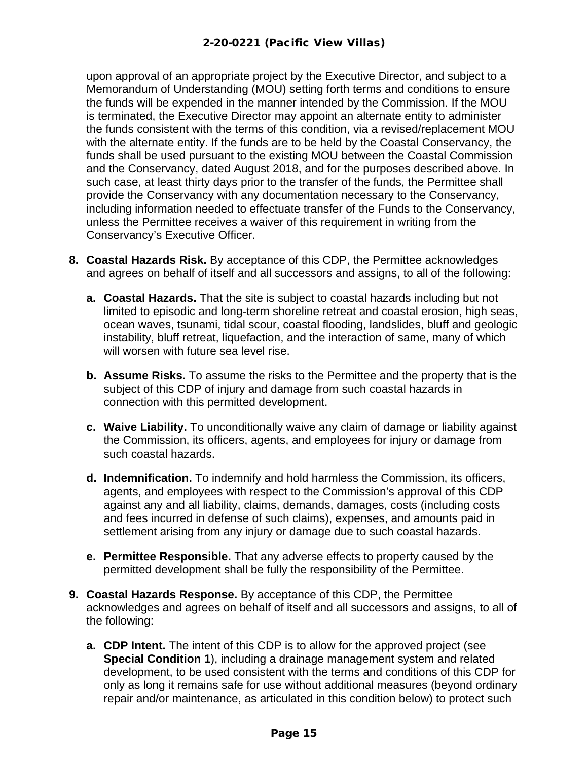upon approval of an appropriate project by the Executive Director, and subject to a Memorandum of Understanding (MOU) setting forth terms and conditions to ensure the funds will be expended in the manner intended by the Commission. If the MOU is terminated, the Executive Director may appoint an alternate entity to administer the funds consistent with the terms of this condition, via a revised/replacement MOU with the alternate entity. If the funds are to be held by the Coastal Conservancy, the funds shall be used pursuant to the existing MOU between the Coastal Commission and the Conservancy, dated August 2018, and for the purposes described above. In such case, at least thirty days prior to the transfer of the funds, the Permittee shall provide the Conservancy with any documentation necessary to the Conservancy, including information needed to effectuate transfer of the Funds to the Conservancy, unless the Permittee receives a waiver of this requirement in writing from the Conservancy's Executive Officer.

- **8. Coastal Hazards Risk.** By acceptance of this CDP, the Permittee acknowledges and agrees on behalf of itself and all successors and assigns, to all of the following:
	- **a. Coastal Hazards.** That the site is subject to coastal hazards including but not limited to episodic and long-term shoreline retreat and coastal erosion, high seas, ocean waves, tsunami, tidal scour, coastal flooding, landslides, bluff and geologic instability, bluff retreat, liquefaction, and the interaction of same, many of which will worsen with future sea level rise.
	- **b. Assume Risks.** To assume the risks to the Permittee and the property that is the subject of this CDP of injury and damage from such coastal hazards in connection with this permitted development.
	- **c. Waive Liability.** To unconditionally waive any claim of damage or liability against the Commission, its officers, agents, and employees for injury or damage from such coastal hazards.
	- **d. Indemnification.** To indemnify and hold harmless the Commission, its officers, agents, and employees with respect to the Commission's approval of this CDP against any and all liability, claims, demands, damages, costs (including costs and fees incurred in defense of such claims), expenses, and amounts paid in settlement arising from any injury or damage due to such coastal hazards.
	- **e. Permittee Responsible.** That any adverse effects to property caused by the permitted development shall be fully the responsibility of the Permittee.
- **9. Coastal Hazards Response.** By acceptance of this CDP, the Permittee acknowledges and agrees on behalf of itself and all successors and assigns, to all of the following:
	- **a. CDP Intent.** The intent of this CDP is to allow for the approved project (see **Special Condition 1**), including a drainage management system and related development, to be used consistent with the terms and conditions of this CDP for only as long it remains safe for use without additional measures (beyond ordinary repair and/or maintenance, as articulated in this condition below) to protect such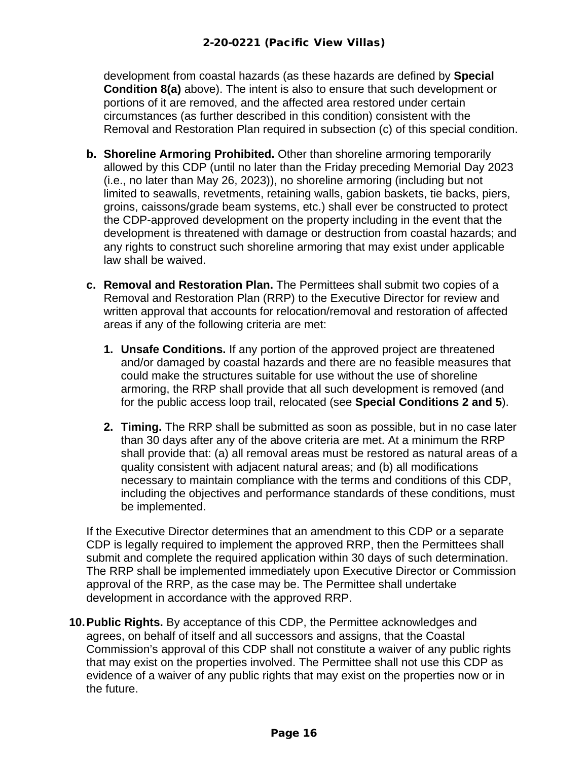development from coastal hazards (as these hazards are defined by **Special Condition 8(a)** above). The intent is also to ensure that such development or portions of it are removed, and the affected area restored under certain circumstances (as further described in this condition) consistent with the Removal and Restoration Plan required in subsection (c) of this special condition.

- **b. Shoreline Armoring Prohibited.** Other than shoreline armoring temporarily allowed by this CDP (until no later than the Friday preceding Memorial Day 2023 (i.e., no later than May 26, 2023)), no shoreline armoring (including but not limited to seawalls, revetments, retaining walls, gabion baskets, tie backs, piers, groins, caissons/grade beam systems, etc.) shall ever be constructed to protect the CDP-approved development on the property including in the event that the development is threatened with damage or destruction from coastal hazards; and any rights to construct such shoreline armoring that may exist under applicable law shall be waived.
- **c. Removal and Restoration Plan.** The Permittees shall submit two copies of a Removal and Restoration Plan (RRP) to the Executive Director for review and written approval that accounts for relocation/removal and restoration of affected areas if any of the following criteria are met:
	- **1. Unsafe Conditions.** If any portion of the approved project are threatened and/or damaged by coastal hazards and there are no feasible measures that could make the structures suitable for use without the use of shoreline armoring, the RRP shall provide that all such development is removed (and for the public access loop trail, relocated (see **Special Conditions 2 and 5**).
	- **2. Timing.** The RRP shall be submitted as soon as possible, but in no case later than 30 days after any of the above criteria are met. At a minimum the RRP shall provide that: (a) all removal areas must be restored as natural areas of a quality consistent with adjacent natural areas; and (b) all modifications necessary to maintain compliance with the terms and conditions of this CDP, including the objectives and performance standards of these conditions, must be implemented.

If the Executive Director determines that an amendment to this CDP or a separate CDP is legally required to implement the approved RRP, then the Permittees shall submit and complete the required application within 30 days of such determination. The RRP shall be implemented immediately upon Executive Director or Commission approval of the RRP, as the case may be. The Permittee shall undertake development in accordance with the approved RRP.

**10.Public Rights.** By acceptance of this CDP, the Permittee acknowledges and agrees, on behalf of itself and all successors and assigns, that the Coastal Commission's approval of this CDP shall not constitute a waiver of any public rights that may exist on the properties involved. The Permittee shall not use this CDP as evidence of a waiver of any public rights that may exist on the properties now or in the future.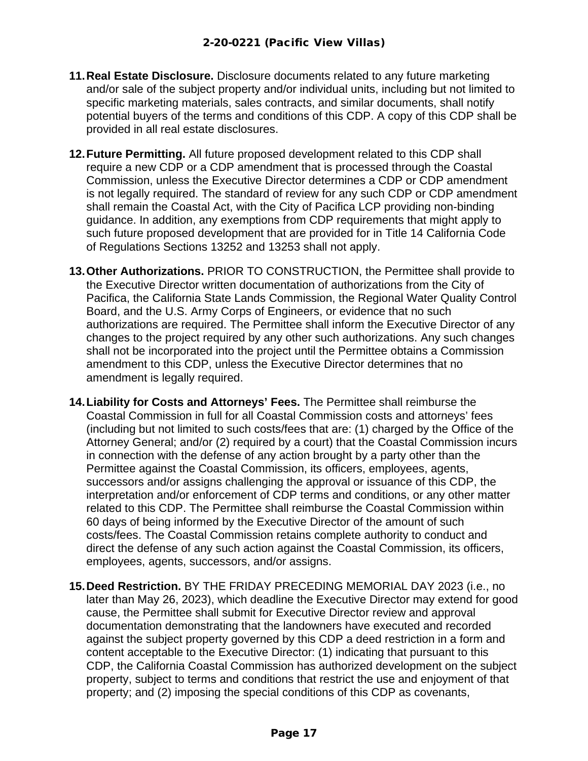- **11.Real Estate Disclosure.** Disclosure documents related to any future marketing and/or sale of the subject property and/or individual units, including but not limited to specific marketing materials, sales contracts, and similar documents, shall notify potential buyers of the terms and conditions of this CDP. A copy of this CDP shall be provided in all real estate disclosures.
- **12.Future Permitting.** All future proposed development related to this CDP shall require a new CDP or a CDP amendment that is processed through the Coastal Commission, unless the Executive Director determines a CDP or CDP amendment is not legally required. The standard of review for any such CDP or CDP amendment shall remain the Coastal Act, with the City of Pacifica LCP providing non-binding guidance. In addition, any exemptions from CDP requirements that might apply to such future proposed development that are provided for in Title 14 California Code of Regulations Sections 13252 and 13253 shall not apply.
- **13.Other Authorizations.** PRIOR TO CONSTRUCTION, the Permittee shall provide to the Executive Director written documentation of authorizations from the City of Pacifica, the California State Lands Commission, the Regional Water Quality Control Board, and the U.S. Army Corps of Engineers, or evidence that no such authorizations are required. The Permittee shall inform the Executive Director of any changes to the project required by any other such authorizations. Any such changes shall not be incorporated into the project until the Permittee obtains a Commission amendment to this CDP, unless the Executive Director determines that no amendment is legally required.
- **14.Liability for Costs and Attorneys' Fees.** The Permittee shall reimburse the Coastal Commission in full for all Coastal Commission costs and attorneys' fees (including but not limited to such costs/fees that are: (1) charged by the Office of the Attorney General; and/or (2) required by a court) that the Coastal Commission incurs in connection with the defense of any action brought by a party other than the Permittee against the Coastal Commission, its officers, employees, agents, successors and/or assigns challenging the approval or issuance of this CDP, the interpretation and/or enforcement of CDP terms and conditions, or any other matter related to this CDP. The Permittee shall reimburse the Coastal Commission within 60 days of being informed by the Executive Director of the amount of such costs/fees. The Coastal Commission retains complete authority to conduct and direct the defense of any such action against the Coastal Commission, its officers, employees, agents, successors, and/or assigns.
- **15.Deed Restriction.** BY THE FRIDAY PRECEDING MEMORIAL DAY 2023 (i.e., no later than May 26, 2023), which deadline the Executive Director may extend for good cause, the Permittee shall submit for Executive Director review and approval documentation demonstrating that the landowners have executed and recorded against the subject property governed by this CDP a deed restriction in a form and content acceptable to the Executive Director: (1) indicating that pursuant to this CDP, the California Coastal Commission has authorized development on the subject property, subject to terms and conditions that restrict the use and enjoyment of that property; and (2) imposing the special conditions of this CDP as covenants,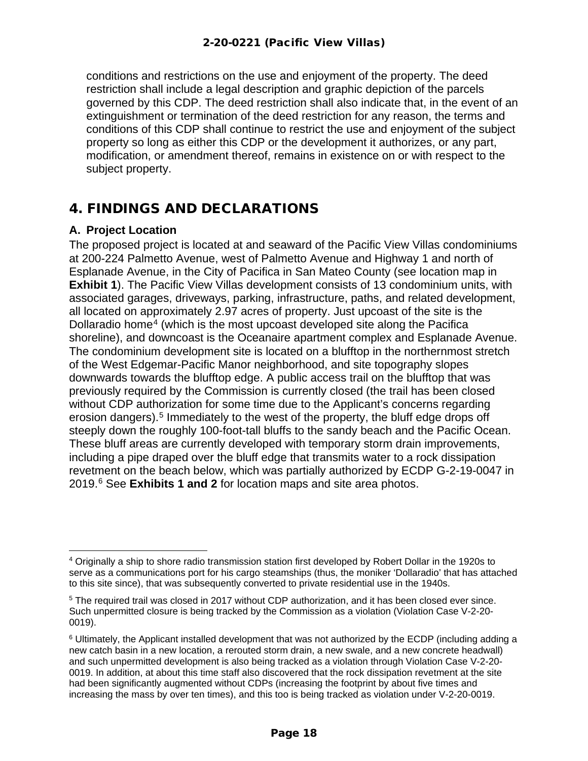conditions and restrictions on the use and enjoyment of the property. The deed restriction shall include a legal description and graphic depiction of the parcels governed by this CDP. The deed restriction shall also indicate that, in the event of an extinguishment or termination of the deed restriction for any reason, the terms and conditions of this CDP shall continue to restrict the use and enjoyment of the subject property so long as either this CDP or the development it authorizes, or any part, modification, or amendment thereof, remains in existence on or with respect to the subject property.

## <span id="page-17-0"></span>4. FINDINGS AND DECLARATIONS

#### <span id="page-17-1"></span>**A. Project Location**

The proposed project is located at and seaward of the Pacific View Villas condominiums at 200-224 Palmetto Avenue, west of Palmetto Avenue and Highway 1 and north of Esplanade Avenue, in the City of Pacifica in San Mateo County (see location map in **Exhibit 1**). The Pacific View Villas development consists of 13 condominium units, with associated garages, driveways, parking, infrastructure, paths, and related development, all located on approximately 2.97 acres of property. Just upcoast of the site is the Dollaradio home<sup>[4](#page-17-2)</sup> (which is the most upcoast developed site along the Pacifica shoreline), and downcoast is the Oceanaire apartment complex and Esplanade Avenue. The condominium development site is located on a blufftop in the northernmost stretch of the West Edgemar-Pacific Manor neighborhood, and site topography slopes downwards towards the blufftop edge. A public access trail on the blufftop that was previously required by the Commission is currently closed (the trail has been closed without CDP authorization for some time due to the Applicant's concerns regarding erosion dangers).<sup>[5](#page-17-3)</sup> Immediately to the west of the property, the bluff edge drops off steeply down the roughly 100-foot-tall bluffs to the sandy beach and the Pacific Ocean. These bluff areas are currently developed with temporary storm drain improvements, including a pipe draped over the bluff edge that transmits water to a rock dissipation revetment on the beach below, which was partially authorized by ECDP G-2-19-0047 in 2019.[6](#page-17-4) See **Exhibits 1 and 2** for location maps and site area photos.

<span id="page-17-2"></span><sup>4</sup> Originally a ship to shore radio transmission station first developed by Robert Dollar in the 1920s to serve as a communications port for his cargo steamships (thus, the moniker 'Dollaradio' that has attached to this site since), that was subsequently converted to private residential use in the 1940s.

<span id="page-17-3"></span><sup>5</sup> The required trail was closed in 2017 without CDP authorization, and it has been closed ever since. Such unpermitted closure is being tracked by the Commission as a violation (Violation Case V-2-20- 0019).

<span id="page-17-4"></span> $6$  Ultimately, the Applicant installed development that was not authorized by the ECDP (including adding a new catch basin in a new location, a rerouted storm drain, a new swale, and a new concrete headwall) and such unpermitted development is also being tracked as a violation through Violation Case V-2-20- 0019. In addition, at about this time staff also discovered that the rock dissipation revetment at the site had been significantly augmented without CDPs (increasing the footprint by about five times and increasing the mass by over ten times), and this too is being tracked as violation under V-2-20-0019.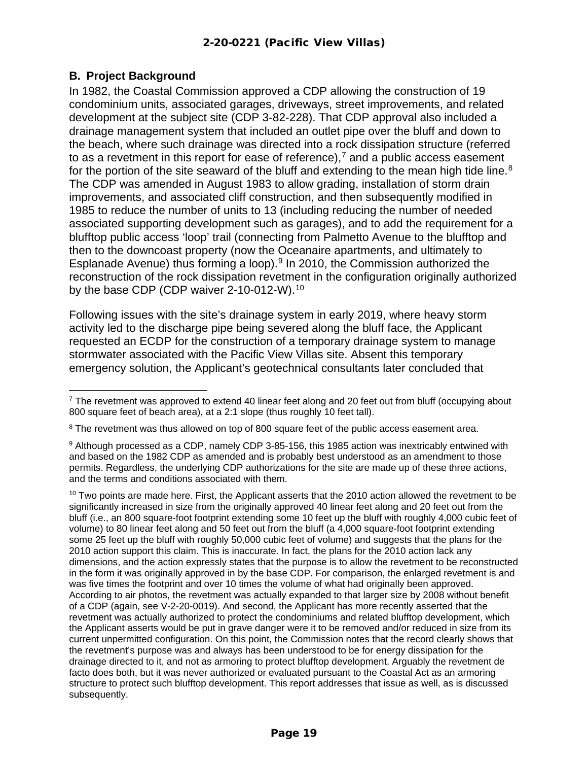#### <span id="page-18-0"></span>**B. Project Background**

In 1982, the Coastal Commission approved a CDP allowing the construction of 19 condominium units, associated garages, driveways, street improvements, and related development at the subject site (CDP 3-82-228). That CDP approval also included a drainage management system that included an outlet pipe over the bluff and down to the beach, where such drainage was directed into a rock dissipation structure (referred to as a revetment in this report for ease of reference),<sup>[7](#page-18-1)</sup> and a public access easement for the portion of the site seaward of the bluff and extending to the mean high tide line.<sup>[8](#page-18-2)</sup> The CDP was amended in August 1983 to allow grading, installation of storm drain improvements, and associated cliff construction, and then subsequently modified in 1985 to reduce the number of units to 13 (including reducing the number of needed associated supporting development such as garages), and to add the requirement for a blufftop public access 'loop' trail (connecting from Palmetto Avenue to the blufftop and then to the downcoast property (now the Oceanaire apartments, and ultimately to Esplanade Avenue) thus forming a loop).<sup>[9](#page-18-3)</sup> In 2010, the Commission authorized the reconstruction of the rock dissipation revetment in the configuration originally authorized by the base CDP (CDP waiver 2-[10](#page-18-4)-012-W).<sup>10</sup>

Following issues with the site's drainage system in early 2019, where heavy storm activity led to the discharge pipe being severed along the bluff face, the Applicant requested an ECDP for the construction of a temporary drainage system to manage stormwater associated with the Pacific View Villas site. Absent this temporary emergency solution, the Applicant's geotechnical consultants later concluded that

<span id="page-18-1"></span> $7$  The revetment was approved to extend 40 linear feet along and 20 feet out from bluff (occupying about 800 square feet of beach area), at a 2:1 slope (thus roughly 10 feet tall).

<span id="page-18-2"></span><sup>&</sup>lt;sup>8</sup> The revetment was thus allowed on top of 800 square feet of the public access easement area.

<span id="page-18-3"></span><sup>9</sup> Although processed as a CDP, namely CDP 3-85-156, this 1985 action was inextricably entwined with and based on the 1982 CDP as amended and is probably best understood as an amendment to those permits. Regardless, the underlying CDP authorizations for the site are made up of these three actions, and the terms and conditions associated with them.

<span id="page-18-4"></span> $10$  Two points are made here. First, the Applicant asserts that the 2010 action allowed the revetment to be significantly increased in size from the originally approved 40 linear feet along and 20 feet out from the bluff (i.e., an 800 square-foot footprint extending some 10 feet up the bluff with roughly 4,000 cubic feet of volume) to 80 linear feet along and 50 feet out from the bluff (a 4,000 square-foot footprint extending some 25 feet up the bluff with roughly 50,000 cubic feet of volume) and suggests that the plans for the 2010 action support this claim. This is inaccurate. In fact, the plans for the 2010 action lack any dimensions, and the action expressly states that the purpose is to allow the revetment to be reconstructed in the form it was originally approved in by the base CDP. For comparison, the enlarged revetment is and was five times the footprint and over 10 times the volume of what had originally been approved. According to air photos, the revetment was actually expanded to that larger size by 2008 without benefit of a CDP (again, see V-2-20-0019). And second, the Applicant has more recently asserted that the revetment was actually authorized to protect the condominiums and related blufftop development, which the Applicant asserts would be put in grave danger were it to be removed and/or reduced in size from its current unpermitted configuration. On this point, the Commission notes that the record clearly shows that the revetment's purpose was and always has been understood to be for energy dissipation for the drainage directed to it, and not as armoring to protect blufftop development. Arguably the revetment de facto does both, but it was never authorized or evaluated pursuant to the Coastal Act as an armoring structure to protect such blufftop development. This report addresses that issue as well, as is discussed subsequently.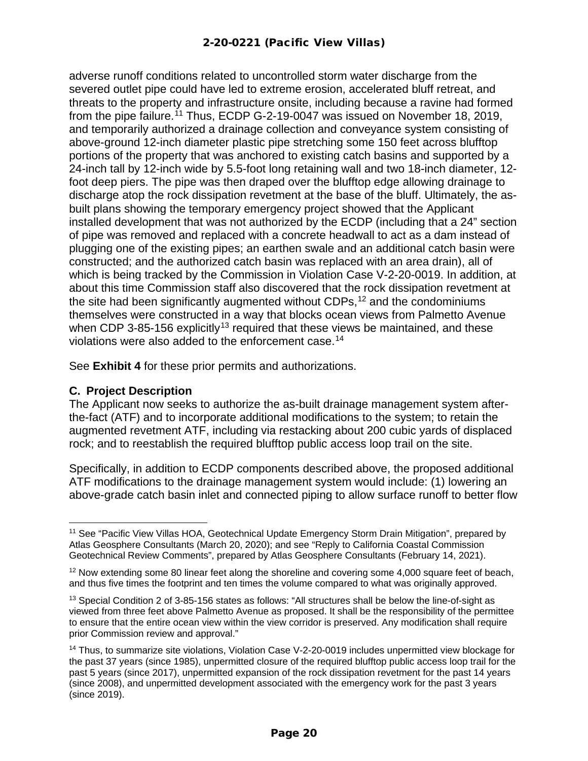adverse runoff conditions related to uncontrolled storm water discharge from the severed outlet pipe could have led to extreme erosion, accelerated bluff retreat, and threats to the property and infrastructure onsite, including because a ravine had formed from the pipe failure.<sup>[11](#page-19-0)</sup> Thus, ECDP G-2-19-0047 was issued on November 18, 2019, and temporarily authorized a drainage collection and conveyance system consisting of above-ground 12-inch diameter plastic pipe stretching some 150 feet across blufftop portions of the property that was anchored to existing catch basins and supported by a 24-inch tall by 12-inch wide by 5.5-foot long retaining wall and two 18-inch diameter, 12 foot deep piers. The pipe was then draped over the blufftop edge allowing drainage to discharge atop the rock dissipation revetment at the base of the bluff. Ultimately, the asbuilt plans showing the temporary emergency project showed that the Applicant installed development that was not authorized by the ECDP (including that a 24" section of pipe was removed and replaced with a concrete headwall to act as a dam instead of plugging one of the existing pipes; an earthen swale and an additional catch basin were constructed; and the authorized catch basin was replaced with an area drain), all of which is being tracked by the Commission in Violation Case V-2-20-0019. In addition, at about this time Commission staff also discovered that the rock dissipation revetment at the site had been significantly augmented without CDPs,  $12$  and the condominiums themselves were constructed in a way that blocks ocean views from Palmetto Avenue when CDP 3-85-156 explicitly<sup>[13](#page-19-2)</sup> required that these views be maintained, and these violations were also added to the enforcement case.[14](#page-19-3)

See **Exhibit 4** for these prior permits and authorizations.

#### **C. Project Description**

The Applicant now seeks to authorize the as-built drainage management system afterthe-fact (ATF) and to incorporate additional modifications to the system; to retain the augmented revetment ATF, including via restacking about 200 cubic yards of displaced rock; and to reestablish the required blufftop public access loop trail on the site.

Specifically, in addition to ECDP components described above, the proposed additional ATF modifications to the drainage management system would include: (1) lowering an above-grade catch basin inlet and connected piping to allow surface runoff to better flow

<span id="page-19-0"></span><sup>11</sup> See "Pacific View Villas HOA, Geotechnical Update Emergency Storm Drain Mitigation", prepared by Atlas Geosphere Consultants (March 20, 2020); and see "Reply to California Coastal Commission Geotechnical Review Comments", prepared by Atlas Geosphere Consultants (February 14, 2021).

<span id="page-19-1"></span><sup>&</sup>lt;sup>12</sup> Now extending some 80 linear feet along the shoreline and covering some 4,000 square feet of beach, and thus five times the footprint and ten times the volume compared to what was originally approved.

<span id="page-19-2"></span><sup>&</sup>lt;sup>13</sup> Special Condition 2 of 3-85-156 states as follows: "All structures shall be below the line-of-sight as viewed from three feet above Palmetto Avenue as proposed. It shall be the responsibility of the permittee to ensure that the entire ocean view within the view corridor is preserved. Any modification shall require prior Commission review and approval."

<span id="page-19-3"></span><sup>&</sup>lt;sup>14</sup> Thus, to summarize site violations, Violation Case V-2-20-0019 includes unpermitted view blockage for the past 37 years (since 1985), unpermitted closure of the required blufftop public access loop trail for the past 5 years (since 2017), unpermitted expansion of the rock dissipation revetment for the past 14 years (since 2008), and unpermitted development associated with the emergency work for the past 3 years (since 2019).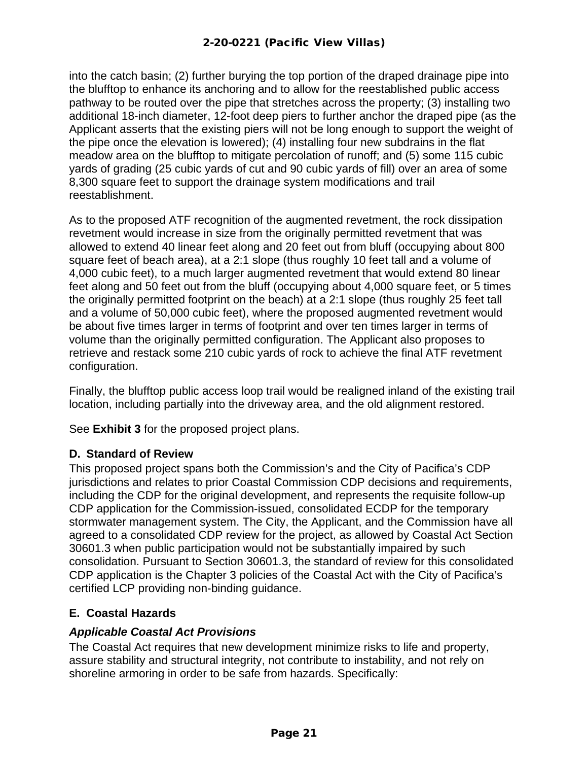into the catch basin; (2) further burying the top portion of the draped drainage pipe into the blufftop to enhance its anchoring and to allow for the reestablished public access pathway to be routed over the pipe that stretches across the property; (3) installing two additional 18-inch diameter, 12-foot deep piers to further anchor the draped pipe (as the Applicant asserts that the existing piers will not be long enough to support the weight of the pipe once the elevation is lowered); (4) installing four new subdrains in the flat meadow area on the blufftop to mitigate percolation of runoff; and (5) some 115 cubic yards of grading (25 cubic yards of cut and 90 cubic yards of fill) over an area of some 8,300 square feet to support the drainage system modifications and trail reestablishment.

As to the proposed ATF recognition of the augmented revetment, the rock dissipation revetment would increase in size from the originally permitted revetment that was allowed to extend 40 linear feet along and 20 feet out from bluff (occupying about 800 square feet of beach area), at a 2:1 slope (thus roughly 10 feet tall and a volume of 4,000 cubic feet), to a much larger augmented revetment that would extend 80 linear feet along and 50 feet out from the bluff (occupying about 4,000 square feet, or 5 times the originally permitted footprint on the beach) at a 2:1 slope (thus roughly 25 feet tall and a volume of 50,000 cubic feet), where the proposed augmented revetment would be about five times larger in terms of footprint and over ten times larger in terms of volume than the originally permitted configuration. The Applicant also proposes to retrieve and restack some 210 cubic yards of rock to achieve the final ATF revetment configuration.

Finally, the blufftop public access loop trail would be realigned inland of the existing trail location, including partially into the driveway area, and the old alignment restored.

See **Exhibit 3** for the proposed project plans.

#### <span id="page-20-0"></span>**D. Standard of Review**

This proposed project spans both the Commission's and the City of Pacifica's CDP jurisdictions and relates to prior Coastal Commission CDP decisions and requirements, including the CDP for the original development, and represents the requisite follow-up CDP application for the Commission-issued, consolidated ECDP for the temporary stormwater management system. The City, the Applicant, and the Commission have all agreed to a consolidated CDP review for the project, as allowed by Coastal Act Section 30601.3 when public participation would not be substantially impaired by such consolidation. Pursuant to Section 30601.3, the standard of review for this consolidated CDP application is the Chapter 3 policies of the Coastal Act with the City of Pacifica's certified LCP providing non-binding guidance.

#### <span id="page-20-1"></span>**E. Coastal Hazards**

#### *Applicable Coastal Act Provisions*

The Coastal Act requires that new development minimize risks to life and property, assure stability and structural integrity, not contribute to instability, and not rely on shoreline armoring in order to be safe from hazards. Specifically: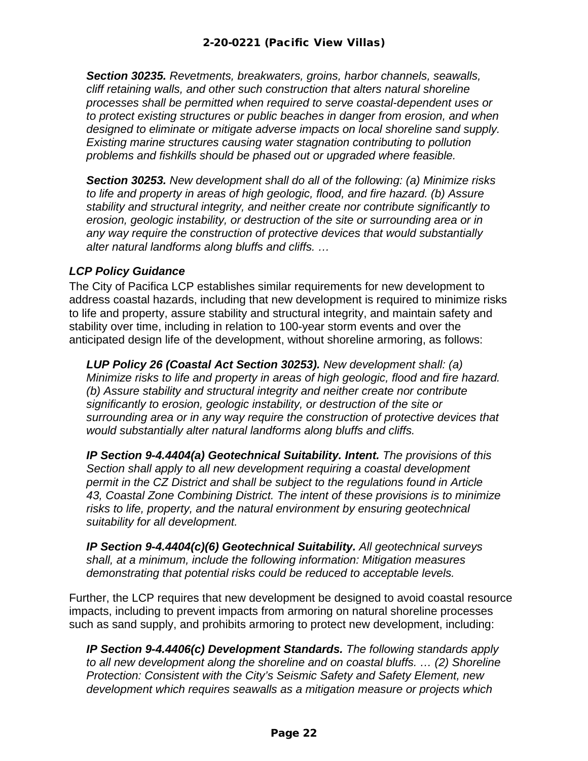*Section 30235. Revetments, breakwaters, groins, harbor channels, seawalls, cliff retaining walls, and other such construction that alters natural shoreline processes shall be permitted when required to serve coastal-dependent uses or to protect existing structures or public beaches in danger from erosion, and when designed to eliminate or mitigate adverse impacts on local shoreline sand supply. Existing marine structures causing water stagnation contributing to pollution problems and fishkills should be phased out or upgraded where feasible.*

*Section 30253. New development shall do all of the following: (a) Minimize risks to life and property in areas of high geologic, flood, and fire hazard. (b) Assure stability and structural integrity, and neither create nor contribute significantly to erosion, geologic instability, or destruction of the site or surrounding area or in any way require the construction of protective devices that would substantially alter natural landforms along bluffs and cliffs. …* 

#### *LCP Policy Guidance*

The City of Pacifica LCP establishes similar requirements for new development to address coastal hazards, including that new development is required to minimize risks to life and property, assure stability and structural integrity, and maintain safety and stability over time, including in relation to 100-year storm events and over the anticipated design life of the development, without shoreline armoring, as follows:

*LUP Policy 26 (Coastal Act Section 30253). New development shall: (a) Minimize risks to life and property in areas of high geologic, flood and fire hazard. (b) Assure stability and structural integrity and neither create nor contribute significantly to erosion, geologic instability, or destruction of the site or surrounding area or in any way require the construction of protective devices that would substantially alter natural landforms along bluffs and cliffs.*

*IP Section 9-4.4404(a) Geotechnical Suitability. Intent. The provisions of this Section shall apply to all new development requiring a coastal development permit in the CZ District and shall be subject to the regulations found in Article 43, Coastal Zone Combining District. The intent of these provisions is to minimize risks to life, property, and the natural environment by ensuring geotechnical suitability for all development.* 

*IP Section 9-4.4404(c)(6) Geotechnical Suitability. All geotechnical surveys shall, at a minimum, include the following information: Mitigation measures demonstrating that potential risks could be reduced to acceptable levels.*

Further, the LCP requires that new development be designed to avoid coastal resource impacts, including to prevent impacts from armoring on natural shoreline processes such as sand supply, and prohibits armoring to protect new development, including:

*IP Section 9-4.4406(c) Development Standards. The following standards apply to all new development along the shoreline and on coastal bluffs. … (2) Shoreline Protection: Consistent with the City's Seismic Safety and Safety Element, new development which requires seawalls as a mitigation measure or projects which*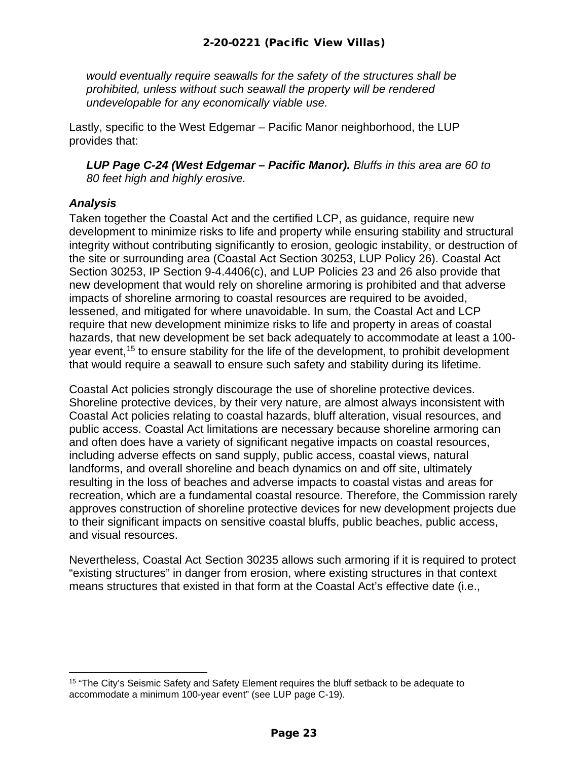*would eventually require seawalls for the safety of the structures shall be prohibited, unless without such seawall the property will be rendered undevelopable for any economically viable use.*

Lastly, specific to the West Edgemar – Pacific Manor neighborhood, the LUP provides that:

*LUP Page C-24 (West Edgemar – Pacific Manor). Bluffs in this area are 60 to 80 feet high and highly erosive.*

#### *Analysis*

Taken together the Coastal Act and the certified LCP, as guidance, require new development to minimize risks to life and property while ensuring stability and structural integrity without contributing significantly to erosion, geologic instability, or destruction of the site or surrounding area (Coastal Act Section 30253, LUP Policy 26). Coastal Act Section 30253, IP Section 9-4.4406(c), and LUP Policies 23 and 26 also provide that new development that would rely on shoreline armoring is prohibited and that adverse impacts of shoreline armoring to coastal resources are required to be avoided, lessened, and mitigated for where unavoidable. In sum, the Coastal Act and LCP require that new development minimize risks to life and property in areas of coastal hazards, that new development be set back adequately to accommodate at least a 100 year event, [15](#page-22-0) to ensure stability for the life of the development, to prohibit development that would require a seawall to ensure such safety and stability during its lifetime.

Coastal Act policies strongly discourage the use of shoreline protective devices. Shoreline protective devices, by their very nature, are almost always inconsistent with Coastal Act policies relating to coastal hazards, bluff alteration, visual resources, and public access. Coastal Act limitations are necessary because shoreline armoring can and often does have a variety of significant negative impacts on coastal resources, including adverse effects on sand supply, public access, coastal views, natural landforms, and overall shoreline and beach dynamics on and off site, ultimately resulting in the loss of beaches and adverse impacts to coastal vistas and areas for recreation, which are a fundamental coastal resource. Therefore, the Commission rarely approves construction of shoreline protective devices for new development projects due to their significant impacts on sensitive coastal bluffs, public beaches, public access, and visual resources.

Nevertheless, Coastal Act Section 30235 allows such armoring if it is required to protect "existing structures" in danger from erosion, where existing structures in that context means structures that existed in that form at the Coastal Act's effective date (i.e.,

<span id="page-22-0"></span><sup>&</sup>lt;sup>15</sup> "The City's Seismic Safety and Safety Element requires the bluff setback to be adequate to accommodate a minimum 100-year event" (see LUP page C-19).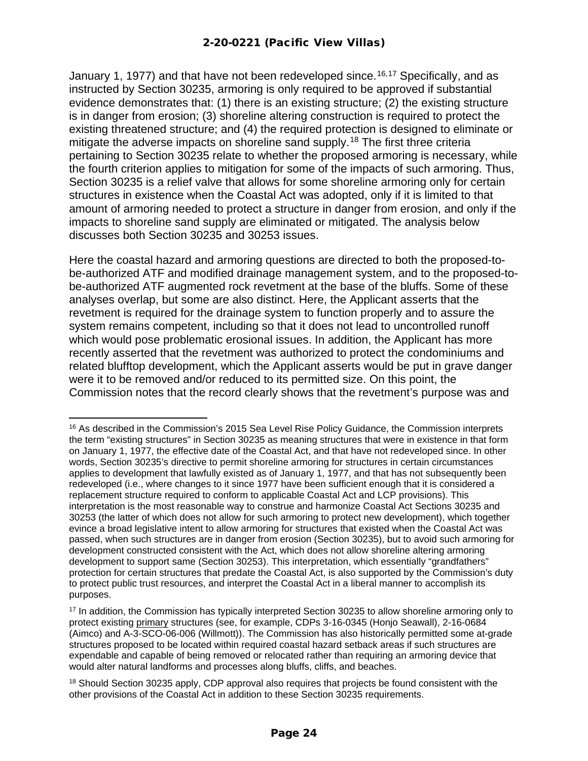January 1, 1977) and that have not been redeveloped since.<sup>[16,](#page-23-0)[17](#page-23-1)</sup> Specifically, and as instructed by Section 30235, armoring is only required to be approved if substantial evidence demonstrates that: (1) there is an existing structure; (2) the existing structure is in danger from erosion; (3) shoreline altering construction is required to protect the existing threatened structure; and (4) the required protection is designed to eliminate or mitigate the adverse impacts on shoreline sand supply.<sup>[18](#page-23-2)</sup> The first three criteria pertaining to Section 30235 relate to whether the proposed armoring is necessary, while the fourth criterion applies to mitigation for some of the impacts of such armoring. Thus, Section 30235 is a relief valve that allows for some shoreline armoring only for certain structures in existence when the Coastal Act was adopted, only if it is limited to that amount of armoring needed to protect a structure in danger from erosion, and only if the impacts to shoreline sand supply are eliminated or mitigated. The analysis below discusses both Section 30235 and 30253 issues.

Here the coastal hazard and armoring questions are directed to both the proposed-tobe-authorized ATF and modified drainage management system, and to the proposed-tobe-authorized ATF augmented rock revetment at the base of the bluffs. Some of these analyses overlap, but some are also distinct. Here, the Applicant asserts that the revetment is required for the drainage system to function properly and to assure the system remains competent, including so that it does not lead to uncontrolled runoff which would pose problematic erosional issues. In addition, the Applicant has more recently asserted that the revetment was authorized to protect the condominiums and related blufftop development, which the Applicant asserts would be put in grave danger were it to be removed and/or reduced to its permitted size. On this point, the Commission notes that the record clearly shows that the revetment's purpose was and

<span id="page-23-0"></span><sup>&</sup>lt;sup>16</sup> As described in the Commission's 2015 Sea Level Rise Policy Guidance, the Commission interprets the term "existing structures" in Section 30235 as meaning structures that were in existence in that form on January 1, 1977, the effective date of the Coastal Act, and that have not redeveloped since. In other words, Section 30235's directive to permit shoreline armoring for structures in certain circumstances applies to development that lawfully existed as of January 1, 1977, and that has not subsequently been redeveloped (i.e., where changes to it since 1977 have been sufficient enough that it is considered a replacement structure required to conform to applicable Coastal Act and LCP provisions). This interpretation is the most reasonable way to construe and harmonize Coastal Act Sections 30235 and 30253 (the latter of which does not allow for such armoring to protect new development), which together evince a broad legislative intent to allow armoring for structures that existed when the Coastal Act was passed, when such structures are in danger from erosion (Section 30235), but to avoid such armoring for development constructed consistent with the Act, which does not allow shoreline altering armoring development to support same (Section 30253). This interpretation, which essentially "grandfathers" protection for certain structures that predate the Coastal Act, is also supported by the Commission's duty to protect public trust resources, and interpret the Coastal Act in a liberal manner to accomplish its purposes.

<span id="page-23-1"></span><sup>&</sup>lt;sup>17</sup> In addition, the Commission has typically interpreted Section 30235 to allow shoreline armoring only to protect existing primary structures (see, for example, CDPs 3-16-0345 (Honjo Seawall), 2-16-0684 (Aimco) and A-3-SCO-06-006 (Willmott)). The Commission has also historically permitted some at-grade structures proposed to be located within required coastal hazard setback areas if such structures are expendable and capable of being removed or relocated rather than requiring an armoring device that would alter natural landforms and processes along bluffs, cliffs, and beaches.

<span id="page-23-2"></span><sup>&</sup>lt;sup>18</sup> Should Section 30235 apply, CDP approval also requires that projects be found consistent with the other provisions of the Coastal Act in addition to these Section 30235 requirements.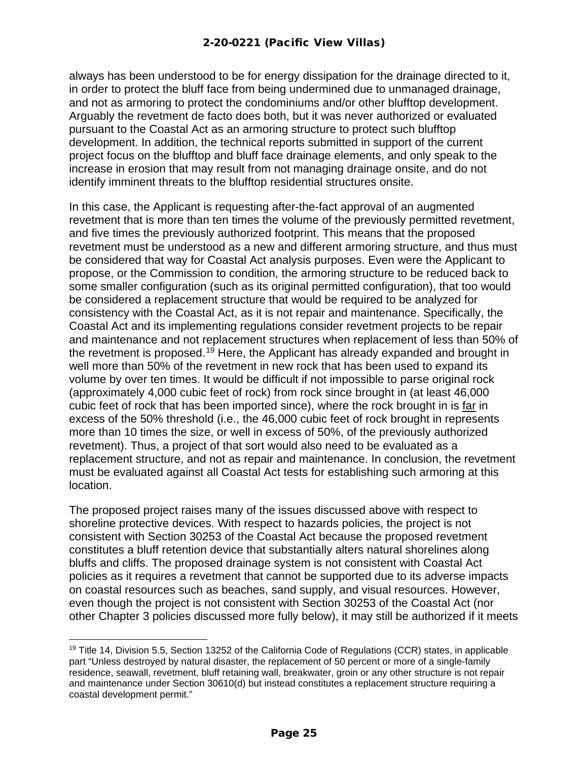always has been understood to be for energy dissipation for the drainage directed to it, in order to protect the bluff face from being undermined due to unmanaged drainage, and not as armoring to protect the condominiums and/or other blufftop development. Arguably the revetment de facto does both, but it was never authorized or evaluated pursuant to the Coastal Act as an armoring structure to protect such blufftop development. In addition, the technical reports submitted in support of the current project focus on the blufftop and bluff face drainage elements, and only speak to the increase in erosion that may result from not managing drainage onsite, and do not identify imminent threats to the blufftop residential structures onsite.

In this case, the Applicant is requesting after-the-fact approval of an augmented revetment that is more than ten times the volume of the previously permitted revetment, and five times the previously authorized footprint. This means that the proposed revetment must be understood as a new and different armoring structure, and thus must be considered that way for Coastal Act analysis purposes. Even were the Applicant to propose, or the Commission to condition, the armoring structure to be reduced back to some smaller configuration (such as its original permitted configuration), that too would be considered a replacement structure that would be required to be analyzed for consistency with the Coastal Act, as it is not repair and maintenance. Specifically, the Coastal Act and its implementing regulations consider revetment projects to be repair and maintenance and not replacement structures when replacement of less than 50% of the revetment is proposed.<sup>[19](#page-24-0)</sup> Here, the Applicant has already expanded and brought in well more than 50% of the revetment in new rock that has been used to expand its volume by over ten times. It would be difficult if not impossible to parse original rock (approximately 4,000 cubic feet of rock) from rock since brought in (at least 46,000 cubic feet of rock that has been imported since), where the rock brought in is far in excess of the 50% threshold (i.e., the 46,000 cubic feet of rock brought in represents more than 10 times the size, or well in excess of 50%, of the previously authorized revetment). Thus, a project of that sort would also need to be evaluated as a replacement structure, and not as repair and maintenance. In conclusion, the revetment must be evaluated against all Coastal Act tests for establishing such armoring at this location.

The proposed project raises many of the issues discussed above with respect to shoreline protective devices. With respect to hazards policies, the project is not consistent with Section 30253 of the Coastal Act because the proposed revetment constitutes a bluff retention device that substantially alters natural shorelines along bluffs and cliffs. The proposed drainage system is not consistent with Coastal Act policies as it requires a revetment that cannot be supported due to its adverse impacts on coastal resources such as beaches, sand supply, and visual resources. However, even though the project is not consistent with Section 30253 of the Coastal Act (nor other Chapter 3 policies discussed more fully below), it may still be authorized if it meets

<span id="page-24-0"></span><sup>&</sup>lt;sup>19</sup> Title 14, Division 5.5, Section 13252 of the California Code of Regulations (CCR) states, in applicable part "Unless destroyed by natural disaster, the replacement of 50 percent or more of a single-family residence, seawall, revetment, bluff retaining wall, breakwater, groin or any other structure is not repair and maintenance under Section 30610(d) but instead constitutes a replacement structure requiring a coastal development permit."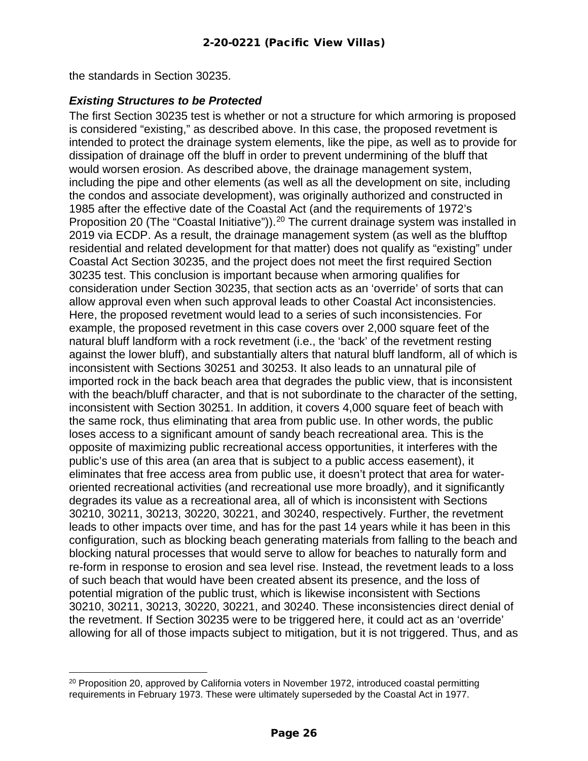the standards in Section 30235.

#### *Existing Structures to be Protected*

The first Section 30235 test is whether or not a structure for which armoring is proposed is considered "existing," as described above. In this case, the proposed revetment is intended to protect the drainage system elements, like the pipe, as well as to provide for dissipation of drainage off the bluff in order to prevent undermining of the bluff that would worsen erosion. As described above, the drainage management system, including the pipe and other elements (as well as all the development on site, including the condos and associate development), was originally authorized and constructed in 1985 after the effective date of the Coastal Act (and the requirements of 1972's Proposition [20](#page-25-0) (The "Coastal Initiative")).<sup>20</sup> The current drainage system was installed in 2019 via ECDP. As a result, the drainage management system (as well as the blufftop residential and related development for that matter) does not qualify as "existing" under Coastal Act Section 30235, and the project does not meet the first required Section 30235 test. This conclusion is important because when armoring qualifies for consideration under Section 30235, that section acts as an 'override' of sorts that can allow approval even when such approval leads to other Coastal Act inconsistencies. Here, the proposed revetment would lead to a series of such inconsistencies. For example, the proposed revetment in this case covers over 2,000 square feet of the natural bluff landform with a rock revetment (i.e., the 'back' of the revetment resting against the lower bluff), and substantially alters that natural bluff landform, all of which is inconsistent with Sections 30251 and 30253. It also leads to an unnatural pile of imported rock in the back beach area that degrades the public view, that is inconsistent with the beach/bluff character, and that is not subordinate to the character of the setting, inconsistent with Section 30251. In addition, it covers 4,000 square feet of beach with the same rock, thus eliminating that area from public use. In other words, the public loses access to a significant amount of sandy beach recreational area. This is the opposite of maximizing public recreational access opportunities, it interferes with the public's use of this area (an area that is subject to a public access easement), it eliminates that free access area from public use, it doesn't protect that area for wateroriented recreational activities (and recreational use more broadly), and it significantly degrades its value as a recreational area, all of which is inconsistent with Sections 30210, 30211, 30213, 30220, 30221, and 30240, respectively. Further, the revetment leads to other impacts over time, and has for the past 14 years while it has been in this configuration, such as blocking beach generating materials from falling to the beach and blocking natural processes that would serve to allow for beaches to naturally form and re-form in response to erosion and sea level rise. Instead, the revetment leads to a loss of such beach that would have been created absent its presence, and the loss of potential migration of the public trust, which is likewise inconsistent with Sections 30210, 30211, 30213, 30220, 30221, and 30240. These inconsistencies direct denial of the revetment. If Section 30235 were to be triggered here, it could act as an 'override' allowing for all of those impacts subject to mitigation, but it is not triggered. Thus, and as

<span id="page-25-0"></span> $20$  Proposition 20, approved by California voters in November 1972, introduced coastal permitting requirements in February 1973. These were ultimately superseded by the Coastal Act in 1977.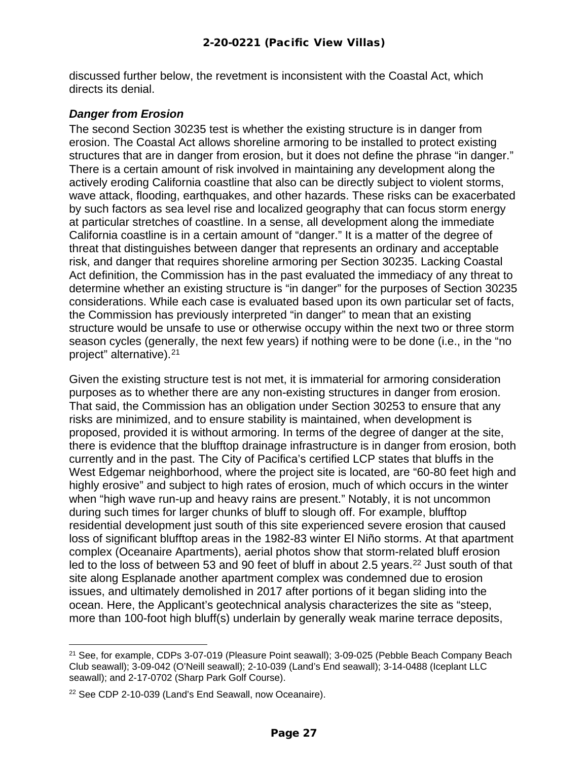discussed further below, the revetment is inconsistent with the Coastal Act, which directs its denial.

#### *Danger from Erosion*

The second Section 30235 test is whether the existing structure is in danger from erosion. The Coastal Act allows shoreline armoring to be installed to protect existing structures that are in danger from erosion, but it does not define the phrase "in danger." There is a certain amount of risk involved in maintaining any development along the actively eroding California coastline that also can be directly subject to violent storms, wave attack, flooding, earthquakes, and other hazards. These risks can be exacerbated by such factors as sea level rise and localized geography that can focus storm energy at particular stretches of coastline. In a sense, all development along the immediate California coastline is in a certain amount of "danger." It is a matter of the degree of threat that distinguishes between danger that represents an ordinary and acceptable risk, and danger that requires shoreline armoring per Section 30235. Lacking Coastal Act definition, the Commission has in the past evaluated the immediacy of any threat to determine whether an existing structure is "in danger" for the purposes of Section 30235 considerations. While each case is evaluated based upon its own particular set of facts, the Commission has previously interpreted "in danger" to mean that an existing structure would be unsafe to use or otherwise occupy within the next two or three storm season cycles (generally, the next few years) if nothing were to be done (i.e., in the "no project" alternative).[21](#page-26-0)

Given the existing structure test is not met, it is immaterial for armoring consideration purposes as to whether there are any non-existing structures in danger from erosion. That said, the Commission has an obligation under Section 30253 to ensure that any risks are minimized, and to ensure stability is maintained, when development is proposed, provided it is without armoring. In terms of the degree of danger at the site, there is evidence that the blufftop drainage infrastructure is in danger from erosion, both currently and in the past. The City of Pacifica's certified LCP states that bluffs in the West Edgemar neighborhood, where the project site is located, are "60-80 feet high and highly erosive" and subject to high rates of erosion, much of which occurs in the winter when "high wave run-up and heavy rains are present." Notably, it is not uncommon during such times for larger chunks of bluff to slough off. For example, blufftop residential development just south of this site experienced severe erosion that caused loss of significant blufftop areas in the 1982-83 winter El Niño storms. At that apartment complex (Oceanaire Apartments), aerial photos show that storm-related bluff erosion led to the loss of between 53 and 90 feet of bluff in about 2.5 years.<sup>22</sup> Just south of that site along Esplanade another apartment complex was condemned due to erosion issues, and ultimately demolished in 2017 after portions of it began sliding into the ocean. Here, the Applicant's geotechnical analysis characterizes the site as "steep, more than 100-foot high bluff(s) underlain by generally weak marine terrace deposits,

<span id="page-26-0"></span><sup>&</sup>lt;sup>21</sup> See, for example, CDPs 3-07-019 (Pleasure Point seawall); 3-09-025 (Pebble Beach Company Beach Club seawall); 3-09-042 (O'Neill seawall); 2-10-039 (Land's End seawall); 3-14-0488 (Iceplant LLC seawall); and 2-17-0702 (Sharp Park Golf Course).

<span id="page-26-1"></span><sup>22</sup> See CDP 2-10-039 (Land's End Seawall, now Oceanaire).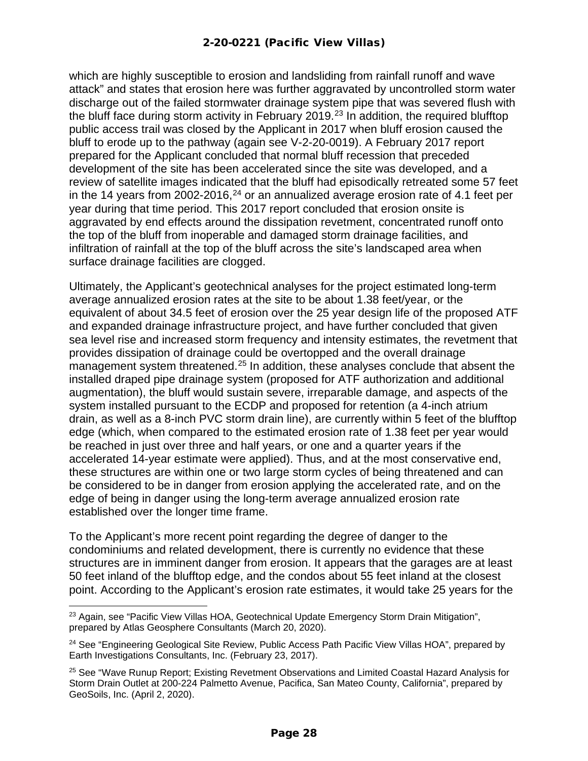which are highly susceptible to erosion and landsliding from rainfall runoff and wave attack" and states that erosion here was further aggravated by uncontrolled storm water discharge out of the failed stormwater drainage system pipe that was severed flush with the bluff face during storm activity in February 2019.<sup>[23](#page-27-0)</sup> In addition, the required blufftop public access trail was closed by the Applicant in 2017 when bluff erosion caused the bluff to erode up to the pathway (again see V-2-20-0019). A February 2017 report prepared for the Applicant concluded that normal bluff recession that preceded development of the site has been accelerated since the site was developed, and a review of satellite images indicated that the bluff had episodically retreated some 57 feet in the 14 years from 2002-2016,<sup>[24](#page-27-1)</sup> or an annualized average erosion rate of 4.1 feet per year during that time period. This 2017 report concluded that erosion onsite is aggravated by end effects around the dissipation revetment, concentrated runoff onto the top of the bluff from inoperable and damaged storm drainage facilities, and infiltration of rainfall at the top of the bluff across the site's landscaped area when surface drainage facilities are clogged.

Ultimately, the Applicant's geotechnical analyses for the project estimated long-term average annualized erosion rates at the site to be about 1.38 feet/year, or the equivalent of about 34.5 feet of erosion over the 25 year design life of the proposed ATF and expanded drainage infrastructure project, and have further concluded that given sea level rise and increased storm frequency and intensity estimates, the revetment that provides dissipation of drainage could be overtopped and the overall drainage management system threatened.<sup>[25](#page-27-2)</sup> In addition, these analyses conclude that absent the installed draped pipe drainage system (proposed for ATF authorization and additional augmentation), the bluff would sustain severe, irreparable damage, and aspects of the system installed pursuant to the ECDP and proposed for retention (a 4-inch atrium drain, as well as a 8-inch PVC storm drain line), are currently within 5 feet of the blufftop edge (which, when compared to the estimated erosion rate of 1.38 feet per year would be reached in just over three and half years, or one and a quarter years if the accelerated 14-year estimate were applied). Thus, and at the most conservative end, these structures are within one or two large storm cycles of being threatened and can be considered to be in danger from erosion applying the accelerated rate, and on the edge of being in danger using the long-term average annualized erosion rate established over the longer time frame.

To the Applicant's more recent point regarding the degree of danger to the condominiums and related development, there is currently no evidence that these structures are in imminent danger from erosion. It appears that the garages are at least 50 feet inland of the blufftop edge, and the condos about 55 feet inland at the closest point. According to the Applicant's erosion rate estimates, it would take 25 years for the

<span id="page-27-0"></span><sup>&</sup>lt;sup>23</sup> Again, see "Pacific View Villas HOA, Geotechnical Update Emergency Storm Drain Mitigation", prepared by Atlas Geosphere Consultants (March 20, 2020).

<span id="page-27-1"></span><sup>&</sup>lt;sup>24</sup> See "Engineering Geological Site Review, Public Access Path Pacific View Villas HOA", prepared by Earth Investigations Consultants, Inc. (February 23, 2017).

<span id="page-27-2"></span><sup>&</sup>lt;sup>25</sup> See "Wave Runup Report; Existing Revetment Observations and Limited Coastal Hazard Analysis for Storm Drain Outlet at 200-224 Palmetto Avenue, Pacifica, San Mateo County, California", prepared by GeoSoils, Inc. (April 2, 2020).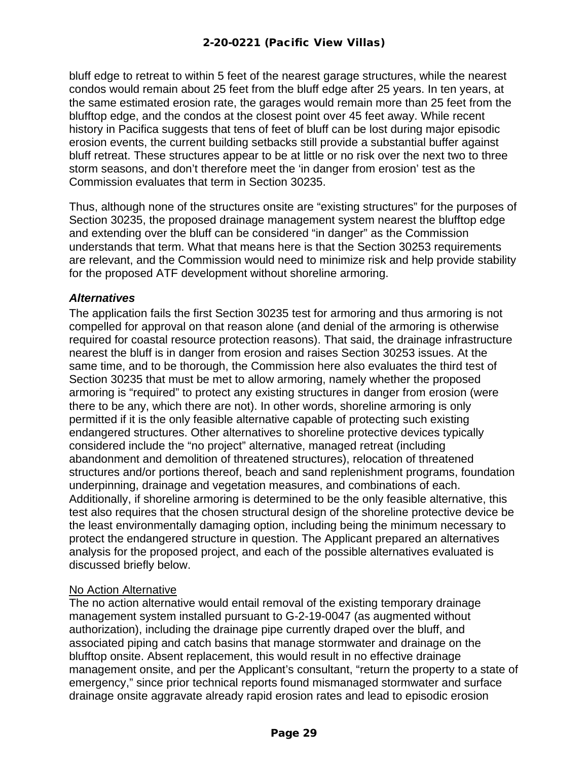bluff edge to retreat to within 5 feet of the nearest garage structures, while the nearest condos would remain about 25 feet from the bluff edge after 25 years. In ten years, at the same estimated erosion rate, the garages would remain more than 25 feet from the blufftop edge, and the condos at the closest point over 45 feet away. While recent history in Pacifica suggests that tens of feet of bluff can be lost during major episodic erosion events, the current building setbacks still provide a substantial buffer against bluff retreat. These structures appear to be at little or no risk over the next two to three storm seasons, and don't therefore meet the 'in danger from erosion' test as the Commission evaluates that term in Section 30235.

Thus, although none of the structures onsite are "existing structures" for the purposes of Section 30235, the proposed drainage management system nearest the blufftop edge and extending over the bluff can be considered "in danger" as the Commission understands that term. What that means here is that the Section 30253 requirements are relevant, and the Commission would need to minimize risk and help provide stability for the proposed ATF development without shoreline armoring.

#### *Alternatives*

The application fails the first Section 30235 test for armoring and thus armoring is not compelled for approval on that reason alone (and denial of the armoring is otherwise required for coastal resource protection reasons). That said, the drainage infrastructure nearest the bluff is in danger from erosion and raises Section 30253 issues. At the same time, and to be thorough, the Commission here also evaluates the third test of Section 30235 that must be met to allow armoring, namely whether the proposed armoring is "required" to protect any existing structures in danger from erosion (were there to be any, which there are not). In other words, shoreline armoring is only permitted if it is the only feasible alternative capable of protecting such existing endangered structures. Other alternatives to shoreline protective devices typically considered include the "no project" alternative, managed retreat (including abandonment and demolition of threatened structures), relocation of threatened structures and/or portions thereof, beach and sand replenishment programs, foundation underpinning, drainage and vegetation measures, and combinations of each. Additionally, if shoreline armoring is determined to be the only feasible alternative, this test also requires that the chosen structural design of the shoreline protective device be the least environmentally damaging option, including being the minimum necessary to protect the endangered structure in question. The Applicant prepared an alternatives analysis for the proposed project, and each of the possible alternatives evaluated is discussed briefly below.

#### No Action Alternative

The no action alternative would entail removal of the existing temporary drainage management system installed pursuant to G-2-19-0047 (as augmented without authorization), including the drainage pipe currently draped over the bluff, and associated piping and catch basins that manage stormwater and drainage on the blufftop onsite. Absent replacement, this would result in no effective drainage management onsite, and per the Applicant's consultant, "return the property to a state of emergency," since prior technical reports found mismanaged stormwater and surface drainage onsite aggravate already rapid erosion rates and lead to episodic erosion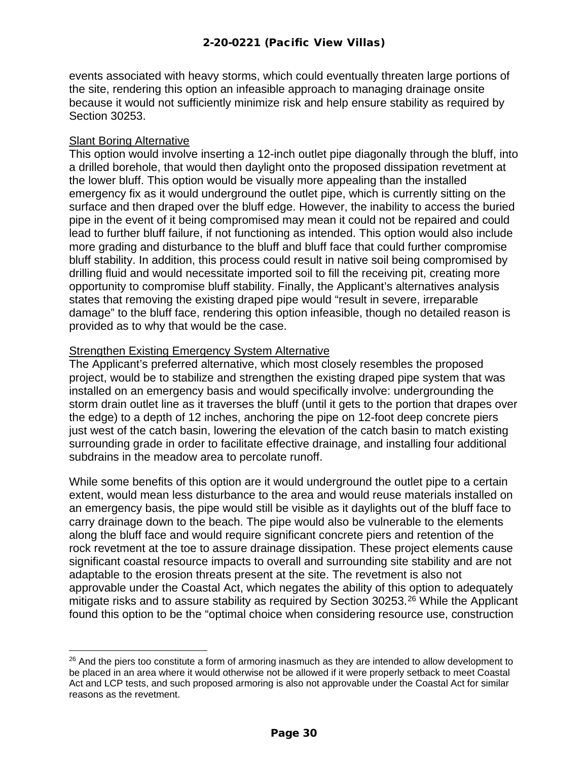events associated with heavy storms, which could eventually threaten large portions of the site, rendering this option an infeasible approach to managing drainage onsite because it would not sufficiently minimize risk and help ensure stability as required by Section 30253.

#### **Slant Boring Alternative**

This option would involve inserting a 12-inch outlet pipe diagonally through the bluff, into a drilled borehole, that would then daylight onto the proposed dissipation revetment at the lower bluff. This option would be visually more appealing than the installed emergency fix as it would underground the outlet pipe, which is currently sitting on the surface and then draped over the bluff edge. However, the inability to access the buried pipe in the event of it being compromised may mean it could not be repaired and could lead to further bluff failure, if not functioning as intended. This option would also include more grading and disturbance to the bluff and bluff face that could further compromise bluff stability. In addition, this process could result in native soil being compromised by drilling fluid and would necessitate imported soil to fill the receiving pit, creating more opportunity to compromise bluff stability. Finally, the Applicant's alternatives analysis states that removing the existing draped pipe would "result in severe, irreparable damage" to the bluff face, rendering this option infeasible, though no detailed reason is provided as to why that would be the case.

#### **Strengthen Existing Emergency System Alternative**

The Applicant's preferred alternative, which most closely resembles the proposed project, would be to stabilize and strengthen the existing draped pipe system that was installed on an emergency basis and would specifically involve: undergrounding the storm drain outlet line as it traverses the bluff (until it gets to the portion that drapes over the edge) to a depth of 12 inches, anchoring the pipe on 12-foot deep concrete piers just west of the catch basin, lowering the elevation of the catch basin to match existing surrounding grade in order to facilitate effective drainage, and installing four additional subdrains in the meadow area to percolate runoff.

While some benefits of this option are it would underground the outlet pipe to a certain extent, would mean less disturbance to the area and would reuse materials installed on an emergency basis, the pipe would still be visible as it daylights out of the bluff face to carry drainage down to the beach. The pipe would also be vulnerable to the elements along the bluff face and would require significant concrete piers and retention of the rock revetment at the toe to assure drainage dissipation. These project elements cause significant coastal resource impacts to overall and surrounding site stability and are not adaptable to the erosion threats present at the site. The revetment is also not approvable under the Coastal Act, which negates the ability of this option to adequately mitigate risks and to assure stability as required by Section 30253.<sup>[26](#page-29-0)</sup> While the Applicant found this option to be the "optimal choice when considering resource use, construction

<span id="page-29-0"></span><sup>&</sup>lt;sup>26</sup> And the piers too constitute a form of armoring inasmuch as they are intended to allow development to be placed in an area where it would otherwise not be allowed if it were properly setback to meet Coastal Act and LCP tests, and such proposed armoring is also not approvable under the Coastal Act for similar reasons as the revetment.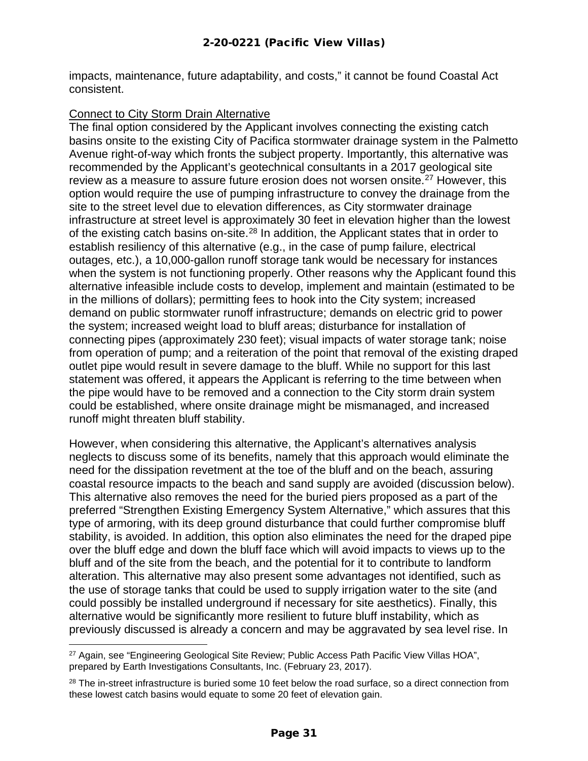impacts, maintenance, future adaptability, and costs," it cannot be found Coastal Act consistent.

#### Connect to City Storm Drain Alternative

The final option considered by the Applicant involves connecting the existing catch basins onsite to the existing City of Pacifica stormwater drainage system in the Palmetto Avenue right-of-way which fronts the subject property. Importantly, this alternative was recommended by the Applicant's geotechnical consultants in a 2017 geological site review as a measure to assure future erosion does not worsen onsite.<sup>[27](#page-30-0)</sup> However, this option would require the use of pumping infrastructure to convey the drainage from the site to the street level due to elevation differences, as City stormwater drainage infrastructure at street level is approximately 30 feet in elevation higher than the lowest of the existing catch basins on-site.<sup>[28](#page-30-1)</sup> In addition, the Applicant states that in order to establish resiliency of this alternative (e.g., in the case of pump failure, electrical outages, etc.), a 10,000-gallon runoff storage tank would be necessary for instances when the system is not functioning properly. Other reasons why the Applicant found this alternative infeasible include costs to develop, implement and maintain (estimated to be in the millions of dollars); permitting fees to hook into the City system; increased demand on public stormwater runoff infrastructure; demands on electric grid to power the system; increased weight load to bluff areas; disturbance for installation of connecting pipes (approximately 230 feet); visual impacts of water storage tank; noise from operation of pump; and a reiteration of the point that removal of the existing draped outlet pipe would result in severe damage to the bluff. While no support for this last statement was offered, it appears the Applicant is referring to the time between when the pipe would have to be removed and a connection to the City storm drain system could be established, where onsite drainage might be mismanaged, and increased runoff might threaten bluff stability.

However, when considering this alternative, the Applicant's alternatives analysis neglects to discuss some of its benefits, namely that this approach would eliminate the need for the dissipation revetment at the toe of the bluff and on the beach, assuring coastal resource impacts to the beach and sand supply are avoided (discussion below). This alternative also removes the need for the buried piers proposed as a part of the preferred "Strengthen Existing Emergency System Alternative," which assures that this type of armoring, with its deep ground disturbance that could further compromise bluff stability, is avoided. In addition, this option also eliminates the need for the draped pipe over the bluff edge and down the bluff face which will avoid impacts to views up to the bluff and of the site from the beach, and the potential for it to contribute to landform alteration. This alternative may also present some advantages not identified, such as the use of storage tanks that could be used to supply irrigation water to the site (and could possibly be installed underground if necessary for site aesthetics). Finally, this alternative would be significantly more resilient to future bluff instability, which as previously discussed is already a concern and may be aggravated by sea level rise. In

<span id="page-30-0"></span><sup>&</sup>lt;sup>27</sup> Again, see "Engineering Geological Site Review; Public Access Path Pacific View Villas HOA", prepared by Earth Investigations Consultants, Inc. (February 23, 2017).

<span id="page-30-1"></span><sup>&</sup>lt;sup>28</sup> The in-street infrastructure is buried some 10 feet below the road surface, so a direct connection from these lowest catch basins would equate to some 20 feet of elevation gain.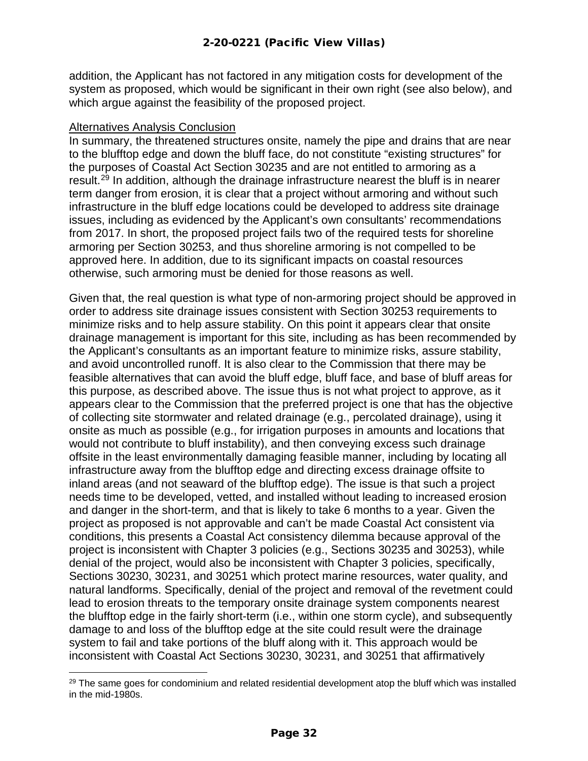addition, the Applicant has not factored in any mitigation costs for development of the system as proposed, which would be significant in their own right (see also below), and which argue against the feasibility of the proposed project.

#### Alternatives Analysis Conclusion

In summary, the threatened structures onsite, namely the pipe and drains that are near to the blufftop edge and down the bluff face, do not constitute "existing structures" for the purposes of Coastal Act Section 30235 and are not entitled to armoring as a result.[29](#page-31-0) In addition, although the drainage infrastructure nearest the bluff is in nearer term danger from erosion, it is clear that a project without armoring and without such infrastructure in the bluff edge locations could be developed to address site drainage issues, including as evidenced by the Applicant's own consultants' recommendations from 2017. In short, the proposed project fails two of the required tests for shoreline armoring per Section 30253, and thus shoreline armoring is not compelled to be approved here. In addition, due to its significant impacts on coastal resources otherwise, such armoring must be denied for those reasons as well.

Given that, the real question is what type of non-armoring project should be approved in order to address site drainage issues consistent with Section 30253 requirements to minimize risks and to help assure stability. On this point it appears clear that onsite drainage management is important for this site, including as has been recommended by the Applicant's consultants as an important feature to minimize risks, assure stability, and avoid uncontrolled runoff. It is also clear to the Commission that there may be feasible alternatives that can avoid the bluff edge, bluff face, and base of bluff areas for this purpose, as described above. The issue thus is not what project to approve, as it appears clear to the Commission that the preferred project is one that has the objective of collecting site stormwater and related drainage (e.g., percolated drainage), using it onsite as much as possible (e.g., for irrigation purposes in amounts and locations that would not contribute to bluff instability), and then conveying excess such drainage offsite in the least environmentally damaging feasible manner, including by locating all infrastructure away from the blufftop edge and directing excess drainage offsite to inland areas (and not seaward of the blufftop edge). The issue is that such a project needs time to be developed, vetted, and installed without leading to increased erosion and danger in the short-term, and that is likely to take 6 months to a year. Given the project as proposed is not approvable and can't be made Coastal Act consistent via conditions, this presents a Coastal Act consistency dilemma because approval of the project is inconsistent with Chapter 3 policies (e.g., Sections 30235 and 30253), while denial of the project, would also be inconsistent with Chapter 3 policies, specifically, Sections 30230, 30231, and 30251 which protect marine resources, water quality, and natural landforms. Specifically, denial of the project and removal of the revetment could lead to erosion threats to the temporary onsite drainage system components nearest the blufftop edge in the fairly short-term (i.e., within one storm cycle), and subsequently damage to and loss of the blufftop edge at the site could result were the drainage system to fail and take portions of the bluff along with it. This approach would be inconsistent with Coastal Act Sections 30230, 30231, and 30251 that affirmatively

<span id="page-31-0"></span> $29$  The same goes for condominium and related residential development atop the bluff which was installed in the mid-1980s.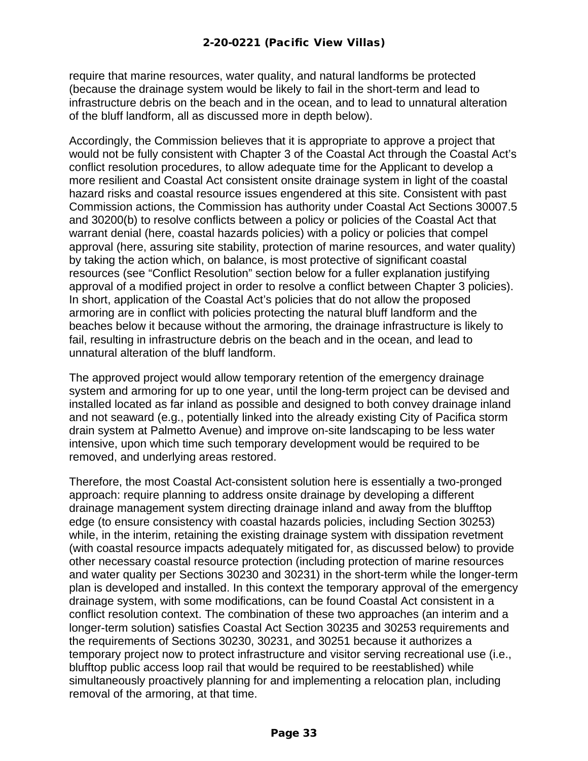require that marine resources, water quality, and natural landforms be protected (because the drainage system would be likely to fail in the short-term and lead to infrastructure debris on the beach and in the ocean, and to lead to unnatural alteration of the bluff landform, all as discussed more in depth below).

Accordingly, the Commission believes that it is appropriate to approve a project that would not be fully consistent with Chapter 3 of the Coastal Act through the Coastal Act's conflict resolution procedures, to allow adequate time for the Applicant to develop a more resilient and Coastal Act consistent onsite drainage system in light of the coastal hazard risks and coastal resource issues engendered at this site. Consistent with past Commission actions, the Commission has authority under Coastal Act Sections 30007.5 and 30200(b) to resolve conflicts between a policy or policies of the Coastal Act that warrant denial (here, coastal hazards policies) with a policy or policies that compel approval (here, assuring site stability, protection of marine resources, and water quality) by taking the action which, on balance, is most protective of significant coastal resources (see "Conflict Resolution" section below for a fuller explanation justifying approval of a modified project in order to resolve a conflict between Chapter 3 policies). In short, application of the Coastal Act's policies that do not allow the proposed armoring are in conflict with policies protecting the natural bluff landform and the beaches below it because without the armoring, the drainage infrastructure is likely to fail, resulting in infrastructure debris on the beach and in the ocean, and lead to unnatural alteration of the bluff landform.

The approved project would allow temporary retention of the emergency drainage system and armoring for up to one year, until the long-term project can be devised and installed located as far inland as possible and designed to both convey drainage inland and not seaward (e.g., potentially linked into the already existing City of Pacifica storm drain system at Palmetto Avenue) and improve on-site landscaping to be less water intensive, upon which time such temporary development would be required to be removed, and underlying areas restored.

Therefore, the most Coastal Act-consistent solution here is essentially a two-pronged approach: require planning to address onsite drainage by developing a different drainage management system directing drainage inland and away from the blufftop edge (to ensure consistency with coastal hazards policies, including Section 30253) while, in the interim, retaining the existing drainage system with dissipation revetment (with coastal resource impacts adequately mitigated for, as discussed below) to provide other necessary coastal resource protection (including protection of marine resources and water quality per Sections 30230 and 30231) in the short-term while the longer-term plan is developed and installed. In this context the temporary approval of the emergency drainage system, with some modifications, can be found Coastal Act consistent in a conflict resolution context. The combination of these two approaches (an interim and a longer-term solution) satisfies Coastal Act Section 30235 and 30253 requirements and the requirements of Sections 30230, 30231, and 30251 because it authorizes a temporary project now to protect infrastructure and visitor serving recreational use (i.e., blufftop public access loop rail that would be required to be reestablished) while simultaneously proactively planning for and implementing a relocation plan, including removal of the armoring, at that time.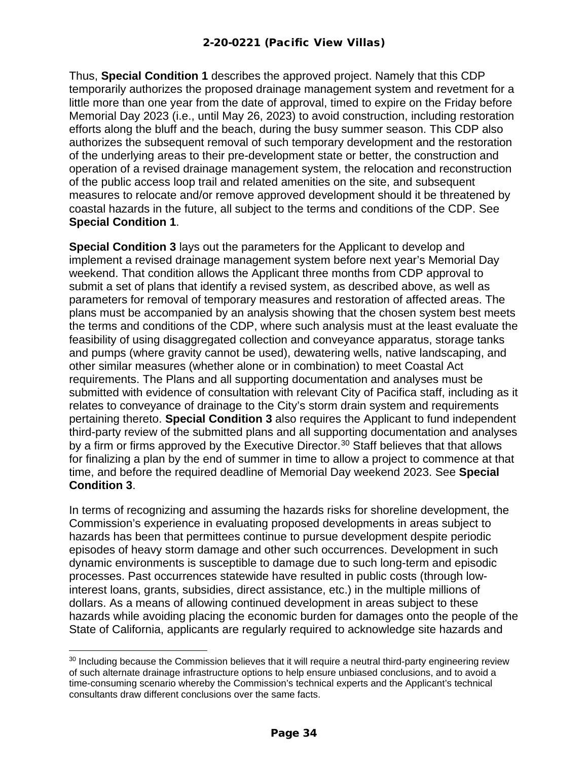Thus, **Special Condition 1** describes the approved project. Namely that this CDP temporarily authorizes the proposed drainage management system and revetment for a little more than one year from the date of approval, timed to expire on the Friday before Memorial Day 2023 (i.e., until May 26, 2023) to avoid construction, including restoration efforts along the bluff and the beach, during the busy summer season. This CDP also authorizes the subsequent removal of such temporary development and the restoration of the underlying areas to their pre-development state or better, the construction and operation of a revised drainage management system, the relocation and reconstruction of the public access loop trail and related amenities on the site, and subsequent measures to relocate and/or remove approved development should it be threatened by coastal hazards in the future, all subject to the terms and conditions of the CDP. See **Special Condition 1**.

**Special Condition 3** lays out the parameters for the Applicant to develop and implement a revised drainage management system before next year's Memorial Day weekend. That condition allows the Applicant three months from CDP approval to submit a set of plans that identify a revised system, as described above, as well as parameters for removal of temporary measures and restoration of affected areas. The plans must be accompanied by an analysis showing that the chosen system best meets the terms and conditions of the CDP, where such analysis must at the least evaluate the feasibility of using disaggregated collection and conveyance apparatus, storage tanks and pumps (where gravity cannot be used), dewatering wells, native landscaping, and other similar measures (whether alone or in combination) to meet Coastal Act requirements. The Plans and all supporting documentation and analyses must be submitted with evidence of consultation with relevant City of Pacifica staff, including as it relates to conveyance of drainage to the City's storm drain system and requirements pertaining thereto. **Special Condition 3** also requires the Applicant to fund independent third-party review of the submitted plans and all supporting documentation and analyses by a firm or firms approved by the Executive Director.<sup>[30](#page-33-0)</sup> Staff believes that that allows for finalizing a plan by the end of summer in time to allow a project to commence at that time, and before the required deadline of Memorial Day weekend 2023. See **Special Condition 3**.

In terms of recognizing and assuming the hazards risks for shoreline development, the Commission's experience in evaluating proposed developments in areas subject to hazards has been that permittees continue to pursue development despite periodic episodes of heavy storm damage and other such occurrences. Development in such dynamic environments is susceptible to damage due to such long-term and episodic processes. Past occurrences statewide have resulted in public costs (through lowinterest loans, grants, subsidies, direct assistance, etc.) in the multiple millions of dollars. As a means of allowing continued development in areas subject to these hazards while avoiding placing the economic burden for damages onto the people of the State of California, applicants are regularly required to acknowledge site hazards and

<span id="page-33-0"></span><sup>&</sup>lt;sup>30</sup> Including because the Commission believes that it will require a neutral third-party engineering review of such alternate drainage infrastructure options to help ensure unbiased conclusions, and to avoid a time-consuming scenario whereby the Commission's technical experts and the Applicant's technical consultants draw different conclusions over the same facts.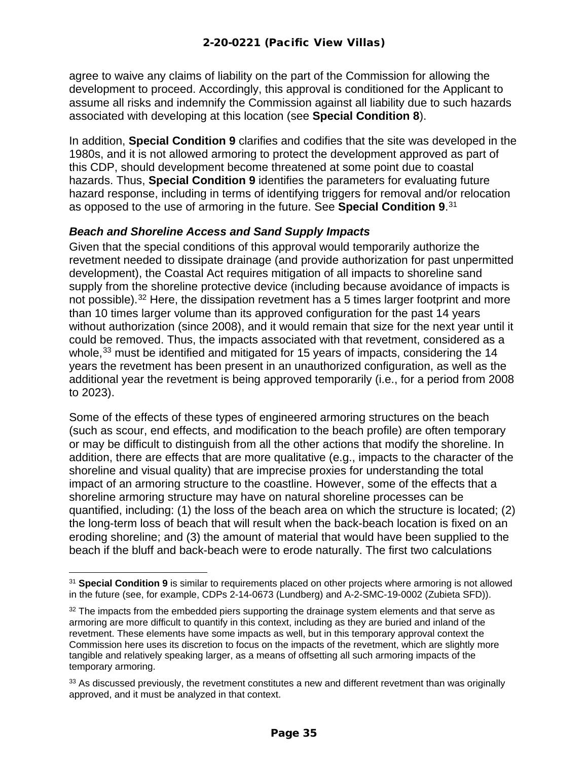agree to waive any claims of liability on the part of the Commission for allowing the development to proceed. Accordingly, this approval is conditioned for the Applicant to assume all risks and indemnify the Commission against all liability due to such hazards associated with developing at this location (see **Special Condition 8**).

In addition, **Special Condition 9** clarifies and codifies that the site was developed in the 1980s, and it is not allowed armoring to protect the development approved as part of this CDP, should development become threatened at some point due to coastal hazards. Thus, **Special Condition 9** identifies the parameters for evaluating future hazard response, including in terms of identifying triggers for removal and/or relocation as opposed to the use of armoring in the future. See **Special Condition 9**. [31](#page-34-0)

#### *Beach and Shoreline Access and Sand Supply Impacts*

Given that the special conditions of this approval would temporarily authorize the revetment needed to dissipate drainage (and provide authorization for past unpermitted development), the Coastal Act requires mitigation of all impacts to shoreline sand supply from the shoreline protective device (including because avoidance of impacts is not possible).<sup>[32](#page-34-1)</sup> Here, the dissipation revetment has a 5 times larger footprint and more than 10 times larger volume than its approved configuration for the past 14 years without authorization (since 2008), and it would remain that size for the next year until it could be removed. Thus, the impacts associated with that revetment, considered as a whole,<sup>[33](#page-34-2)</sup> must be identified and mitigated for 15 years of impacts, considering the 14 years the revetment has been present in an unauthorized configuration, as well as the additional year the revetment is being approved temporarily (i.e., for a period from 2008 to 2023).

Some of the effects of these types of engineered armoring structures on the beach (such as scour, end effects, and modification to the beach profile) are often temporary or may be difficult to distinguish from all the other actions that modify the shoreline. In addition, there are effects that are more qualitative (e.g., impacts to the character of the shoreline and visual quality) that are imprecise proxies for understanding the total impact of an armoring structure to the coastline. However, some of the effects that a shoreline armoring structure may have on natural shoreline processes can be quantified, including: (1) the loss of the beach area on which the structure is located; (2) the long-term loss of beach that will result when the back-beach location is fixed on an eroding shoreline; and (3) the amount of material that would have been supplied to the beach if the bluff and back-beach were to erode naturally. The first two calculations

<span id="page-34-0"></span><sup>31</sup> **Special Condition 9** is similar to requirements placed on other projects where armoring is not allowed in the future (see, for example, CDPs 2-14-0673 (Lundberg) and A-2-SMC-19-0002 (Zubieta SFD)).

<span id="page-34-1"></span><sup>&</sup>lt;sup>32</sup> The impacts from the embedded piers supporting the drainage system elements and that serve as armoring are more difficult to quantify in this context, including as they are buried and inland of the revetment. These elements have some impacts as well, but in this temporary approval context the Commission here uses its discretion to focus on the impacts of the revetment, which are slightly more tangible and relatively speaking larger, as a means of offsetting all such armoring impacts of the temporary armoring.

<span id="page-34-2"></span><sup>&</sup>lt;sup>33</sup> As discussed previously, the revetment constitutes a new and different revetment than was originally approved, and it must be analyzed in that context.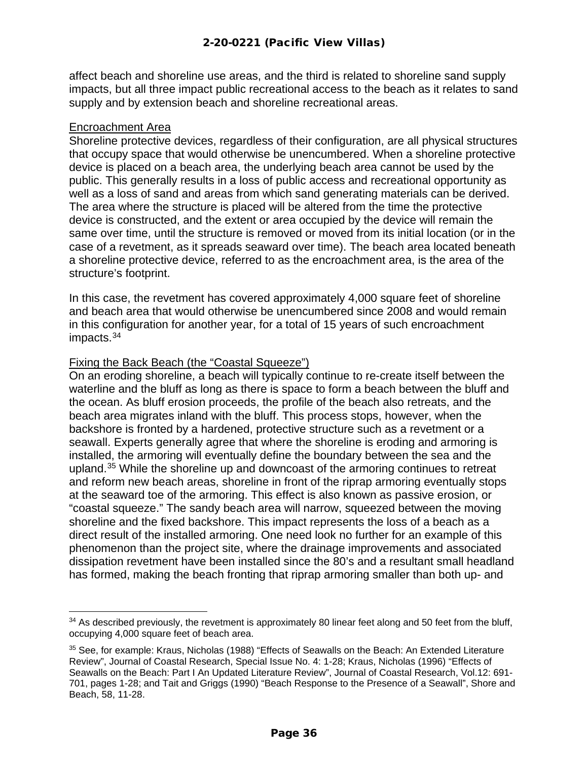affect beach and shoreline use areas, and the third is related to shoreline sand supply impacts, but all three impact public recreational access to the beach as it relates to sand supply and by extension beach and shoreline recreational areas.

#### Encroachment Area

Shoreline protective devices, regardless of their configuration, are all physical structures that occupy space that would otherwise be unencumbered. When a shoreline protective device is placed on a beach area, the underlying beach area cannot be used by the public. This generally results in a loss of public access and recreational opportunity as well as a loss of sand and areas from which sand generating materials can be derived. The area where the structure is placed will be altered from the time the protective device is constructed, and the extent or area occupied by the device will remain the same over time, until the structure is removed or moved from its initial location (or in the case of a revetment, as it spreads seaward over time). The beach area located beneath a shoreline protective device, referred to as the encroachment area, is the area of the structure's footprint.

In this case, the revetment has covered approximately 4,000 square feet of shoreline and beach area that would otherwise be unencumbered since 2008 and would remain in this configuration for another year, for a total of 15 years of such encroachment impacts. [34](#page-35-0)

#### Fixing the Back Beach (the "Coastal Squeeze")

On an eroding shoreline, a beach will typically continue to re-create itself between the waterline and the bluff as long as there is space to form a beach between the bluff and the ocean. As bluff erosion proceeds, the profile of the beach also retreats, and the beach area migrates inland with the bluff. This process stops, however, when the backshore is fronted by a hardened, protective structure such as a revetment or a seawall. Experts generally agree that where the shoreline is eroding and armoring is installed, the armoring will eventually define the boundary between the sea and the upland.[35](#page-35-1) While the shoreline up and downcoast of the armoring continues to retreat and reform new beach areas, shoreline in front of the riprap armoring eventually stops at the seaward toe of the armoring. This effect is also known as passive erosion, or "coastal squeeze." The sandy beach area will narrow, squeezed between the moving shoreline and the fixed backshore. This impact represents the loss of a beach as a direct result of the installed armoring. One need look no further for an example of this phenomenon than the project site, where the drainage improvements and associated dissipation revetment have been installed since the 80's and a resultant small headland has formed, making the beach fronting that riprap armoring smaller than both up- and

<span id="page-35-0"></span><sup>&</sup>lt;sup>34</sup> As described previously, the revetment is approximately 80 linear feet along and 50 feet from the bluff, occupying 4,000 square feet of beach area.

<span id="page-35-1"></span><sup>&</sup>lt;sup>35</sup> See, for example: Kraus, Nicholas (1988) "Effects of Seawalls on the Beach: An Extended Literature Review", Journal of Coastal Research, Special Issue No. 4: 1-28; Kraus, Nicholas (1996) "Effects of Seawalls on the Beach: Part I An Updated Literature Review", Journal of Coastal Research, Vol.12: 691- 701, pages 1-28; and Tait and Griggs (1990) "Beach Response to the Presence of a Seawall", Shore and Beach, 58, 11-28.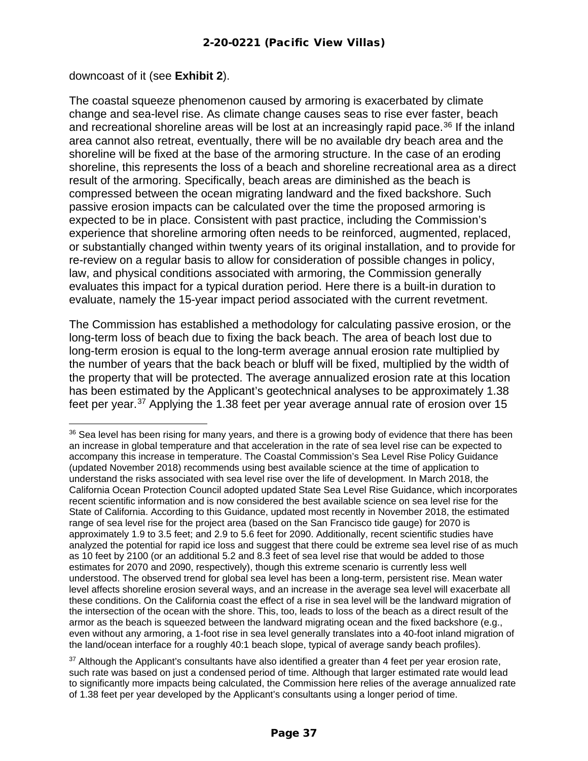downcoast of it (see **Exhibit 2**).

The coastal squeeze phenomenon caused by armoring is exacerbated by climate change and sea-level rise. As climate change causes seas to rise ever faster, beach and recreational shoreline areas will be lost at an increasingly rapid pace.<sup>[36](#page-36-0)</sup> If the inland area cannot also retreat, eventually, there will be no available dry beach area and the shoreline will be fixed at the base of the armoring structure. In the case of an eroding shoreline, this represents the loss of a beach and shoreline recreational area as a direct result of the armoring. Specifically, beach areas are diminished as the beach is compressed between the ocean migrating landward and the fixed backshore. Such passive erosion impacts can be calculated over the time the proposed armoring is expected to be in place. Consistent with past practice, including the Commission's experience that shoreline armoring often needs to be reinforced, augmented, replaced, or substantially changed within twenty years of its original installation, and to provide for re-review on a regular basis to allow for consideration of possible changes in policy, law, and physical conditions associated with armoring, the Commission generally evaluates this impact for a typical duration period. Here there is a built-in duration to evaluate, namely the 15-year impact period associated with the current revetment.

The Commission has established a methodology for calculating passive erosion, or the long-term loss of beach due to fixing the back beach. The area of beach lost due to long-term erosion is equal to the long-term average annual erosion rate multiplied by the number of years that the back beach or bluff will be fixed, multiplied by the width of the property that will be protected. The average annualized erosion rate at this location has been estimated by the Applicant's geotechnical analyses to be approximately 1.38 feet per year.[37](#page-36-1) Applying the 1.38 feet per year average annual rate of erosion over 15

<span id="page-36-0"></span><sup>&</sup>lt;sup>36</sup> Sea level has been rising for many years, and there is a growing body of evidence that there has been an increase in global temperature and that acceleration in the rate of sea level rise can be expected to accompany this increase in temperature. The Coastal Commission's Sea Level Rise Policy Guidance (updated November 2018) recommends using best available science at the time of application to understand the risks associated with sea level rise over the life of development. In March 2018, the California Ocean Protection Council adopted updated State Sea Level Rise Guidance, which incorporates recent scientific information and is now considered the best available science on sea level rise for the State of California. According to this Guidance, updated most recently in November 2018, the estimated range of sea level rise for the project area (based on the San Francisco tide gauge) for 2070 is approximately 1.9 to 3.5 feet; and 2.9 to 5.6 feet for 2090. Additionally, recent scientific studies have analyzed the potential for rapid ice loss and suggest that there could be extreme sea level rise of as much as 10 feet by 2100 (or an additional 5.2 and 8.3 feet of sea level rise that would be added to those estimates for 2070 and 2090, respectively), though this extreme scenario is currently less well understood. The observed trend for global sea level has been a long-term, persistent rise. Mean water level affects shoreline erosion several ways, and an increase in the average sea level will exacerbate all these conditions. On the California coast the effect of a rise in sea level will be the landward migration of the intersection of the ocean with the shore. This, too, leads to loss of the beach as a direct result of the armor as the beach is squeezed between the landward migrating ocean and the fixed backshore (e.g., even without any armoring, a 1-foot rise in sea level generally translates into a 40-foot inland migration of the land/ocean interface for a roughly 40:1 beach slope, typical of average sandy beach profiles).

<span id="page-36-1"></span><sup>&</sup>lt;sup>37</sup> Although the Applicant's consultants have also identified a greater than 4 feet per year erosion rate, such rate was based on just a condensed period of time. Although that larger estimated rate would lead to significantly more impacts being calculated, the Commission here relies of the average annualized rate of 1.38 feet per year developed by the Applicant's consultants using a longer period of time.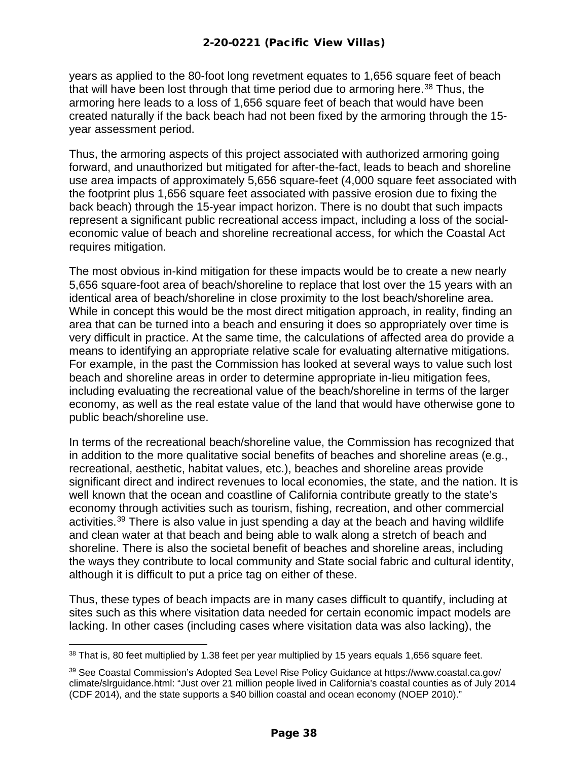years as applied to the 80-foot long revetment equates to 1,656 square feet of beach that will have been lost through that time period due to armoring here.<sup>[38](#page-37-0)</sup> Thus, the armoring here leads to a loss of 1,656 square feet of beach that would have been created naturally if the back beach had not been fixed by the armoring through the 15 year assessment period.

Thus, the armoring aspects of this project associated with authorized armoring going forward, and unauthorized but mitigated for after-the-fact, leads to beach and shoreline use area impacts of approximately 5,656 square-feet (4,000 square feet associated with the footprint plus 1,656 square feet associated with passive erosion due to fixing the back beach) through the 15-year impact horizon. There is no doubt that such impacts represent a significant public recreational access impact, including a loss of the socialeconomic value of beach and shoreline recreational access, for which the Coastal Act requires mitigation.

The most obvious in-kind mitigation for these impacts would be to create a new nearly 5,656 square-foot area of beach/shoreline to replace that lost over the 15 years with an identical area of beach/shoreline in close proximity to the lost beach/shoreline area. While in concept this would be the most direct mitigation approach, in reality, finding an area that can be turned into a beach and ensuring it does so appropriately over time is very difficult in practice. At the same time, the calculations of affected area do provide a means to identifying an appropriate relative scale for evaluating alternative mitigations. For example, in the past the Commission has looked at several ways to value such lost beach and shoreline areas in order to determine appropriate in-lieu mitigation fees, including evaluating the recreational value of the beach/shoreline in terms of the larger economy, as well as the real estate value of the land that would have otherwise gone to public beach/shoreline use.

In terms of the recreational beach/shoreline value, the Commission has recognized that in addition to the more qualitative social benefits of beaches and shoreline areas (e.g., recreational, aesthetic, habitat values, etc.), beaches and shoreline areas provide significant direct and indirect revenues to local economies, the state, and the nation. It is well known that the ocean and coastline of California contribute greatly to the state's economy through activities such as tourism, fishing, recreation, and other commercial activities.<sup>[39](#page-37-1)</sup> There is also value in just spending a day at the beach and having wildlife and clean water at that beach and being able to walk along a stretch of beach and shoreline. There is also the societal benefit of beaches and shoreline areas, including the ways they contribute to local community and State social fabric and cultural identity, although it is difficult to put a price tag on either of these.

Thus, these types of beach impacts are in many cases difficult to quantify, including at sites such as this where visitation data needed for certain economic impact models are lacking. In other cases (including cases where visitation data was also lacking), the

<span id="page-37-0"></span><sup>38</sup> That is, 80 feet multiplied by 1.38 feet per year multiplied by 15 years equals 1,656 square feet.

<span id="page-37-1"></span><sup>39</sup> See Coastal Commission's Adopted Sea Level Rise Policy Guidance at https://www.coastal.ca.gov/ climate/slrguidance.html: "Just over 21 million people lived in California's coastal counties as of July 2014 (CDF 2014), and the state supports a \$40 billion coastal and ocean economy (NOEP 2010)."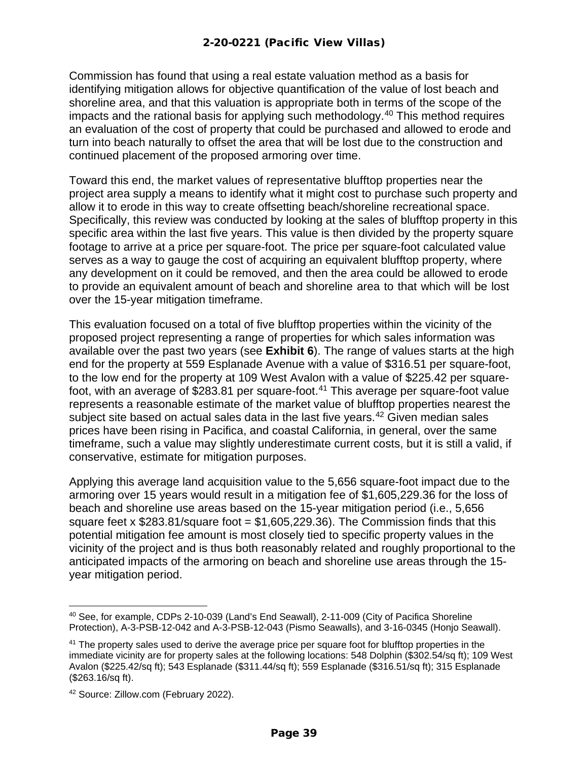Commission has found that using a real estate valuation method as a basis for identifying mitigation allows for objective quantification of the value of lost beach and shoreline area, and that this valuation is appropriate both in terms of the scope of the impacts and the rational basis for applying such methodology. [40](#page-38-0) This method requires an evaluation of the cost of property that could be purchased and allowed to erode and turn into beach naturally to offset the area that will be lost due to the construction and continued placement of the proposed armoring over time.

Toward this end, the market values of representative blufftop properties near the project area supply a means to identify what it might cost to purchase such property and allow it to erode in this way to create offsetting beach/shoreline recreational space. Specifically, this review was conducted by looking at the sales of blufftop property in this specific area within the last five years. This value is then divided by the property square footage to arrive at a price per square-foot. The price per square-foot calculated value serves as a way to gauge the cost of acquiring an equivalent blufftop property, where any development on it could be removed, and then the area could be allowed to erode to provide an equivalent amount of beach and shoreline area to that which will be lost over the 15-year mitigation timeframe.

This evaluation focused on a total of five blufftop properties within the vicinity of the proposed project representing a range of properties for which sales information was available over the past two years (see **Exhibit 6**). The range of values starts at the high end for the property at 559 Esplanade Avenue with a value of \$316.51 per square-foot, to the low end for the property at 109 West Avalon with a value of \$225.42 per squarefoot, with an average of \$283.81 per square-foot.[41](#page-38-1) This average per square-foot value represents a reasonable estimate of the market value of blufftop properties nearest the subject site based on actual sales data in the last five years. [42](#page-38-2) Given median sales prices have been rising in Pacifica, and coastal California, in general, over the same timeframe, such a value may slightly underestimate current costs, but it is still a valid, if conservative, estimate for mitigation purposes.

Applying this average land acquisition value to the 5,656 square-foot impact due to the armoring over 15 years would result in a mitigation fee of \$1,605,229.36 for the loss of beach and shoreline use areas based on the 15-year mitigation period (i.e., 5,656 square feet x  $$283.81$ /square foot =  $$1,605,229.36$ ). The Commission finds that this potential mitigation fee amount is most closely tied to specific property values in the vicinity of the project and is thus both reasonably related and roughly proportional to the anticipated impacts of the armoring on beach and shoreline use areas through the 15 year mitigation period.

<span id="page-38-0"></span><sup>40</sup> See, for example, CDPs 2-10-039 (Land's End Seawall), 2-11-009 (City of Pacifica Shoreline Protection), A-3-PSB-12-042 and A-3-PSB-12-043 (Pismo Seawalls), and 3-16-0345 (Honjo Seawall).

<span id="page-38-1"></span><sup>&</sup>lt;sup>41</sup> The property sales used to derive the average price per square foot for blufftop properties in the immediate vicinity are for property sales at the following locations: 548 Dolphin (\$302.54/sq ft); 109 West Avalon (\$225.42/sq ft); 543 Esplanade (\$311.44/sq ft); 559 Esplanade (\$316.51/sq ft); 315 Esplanade (\$263.16/sq ft).

<span id="page-38-2"></span><sup>42</sup> Source: Zillow.com (February 2022).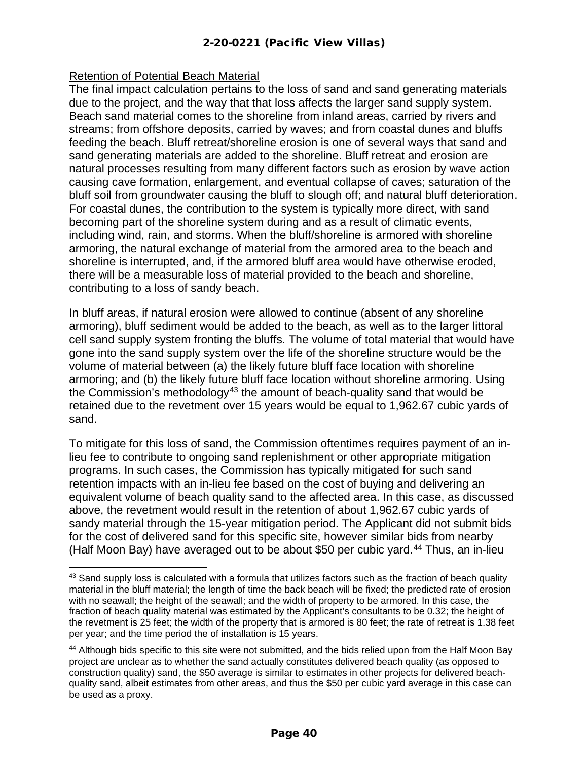#### Retention of Potential Beach Material

The final impact calculation pertains to the loss of sand and sand generating materials due to the project, and the way that that loss affects the larger sand supply system. Beach sand material comes to the shoreline from inland areas, carried by rivers and streams; from offshore deposits, carried by waves; and from coastal dunes and bluffs feeding the beach. Bluff retreat/shoreline erosion is one of several ways that sand and sand generating materials are added to the shoreline. Bluff retreat and erosion are natural processes resulting from many different factors such as erosion by wave action causing cave formation, enlargement, and eventual collapse of caves; saturation of the bluff soil from groundwater causing the bluff to slough off; and natural bluff deterioration. For coastal dunes, the contribution to the system is typically more direct, with sand becoming part of the shoreline system during and as a result of climatic events, including wind, rain, and storms. When the bluff/shoreline is armored with shoreline armoring, the natural exchange of material from the armored area to the beach and shoreline is interrupted, and, if the armored bluff area would have otherwise eroded, there will be a measurable loss of material provided to the beach and shoreline, contributing to a loss of sandy beach.

In bluff areas, if natural erosion were allowed to continue (absent of any shoreline armoring), bluff sediment would be added to the beach, as well as to the larger littoral cell sand supply system fronting the bluffs. The volume of total material that would have gone into the sand supply system over the life of the shoreline structure would be the volume of material between (a) the likely future bluff face location with shoreline armoring; and (b) the likely future bluff face location without shoreline armoring. Using the Commission's methodology<sup>[43](#page-39-0)</sup> the amount of beach-quality sand that would be retained due to the revetment over 15 years would be equal to 1,962.67 cubic yards of sand.

To mitigate for this loss of sand, the Commission oftentimes requires payment of an inlieu fee to contribute to ongoing sand replenishment or other appropriate mitigation programs. In such cases, the Commission has typically mitigated for such sand retention impacts with an in-lieu fee based on the cost of buying and delivering an equivalent volume of beach quality sand to the affected area. In this case, as discussed above, the revetment would result in the retention of about 1,962.67 cubic yards of sandy material through the 15-year mitigation period. The Applicant did not submit bids for the cost of delivered sand for this specific site, however similar bids from nearby (Half Moon Bay) have averaged out to be about \$50 per cubic yard.<sup>[44](#page-39-1)</sup> Thus, an in-lieu

<span id="page-39-0"></span><sup>&</sup>lt;sup>43</sup> Sand supply loss is calculated with a formula that utilizes factors such as the fraction of beach quality material in the bluff material; the length of time the back beach will be fixed; the predicted rate of erosion with no seawall; the height of the seawall; and the width of property to be armored. In this case, the fraction of beach quality material was estimated by the Applicant's consultants to be 0.32; the height of the revetment is 25 feet; the width of the property that is armored is 80 feet; the rate of retreat is 1.38 feet per year; and the time period the of installation is 15 years.

<span id="page-39-1"></span><sup>&</sup>lt;sup>44</sup> Although bids specific to this site were not submitted, and the bids relied upon from the Half Moon Bay project are unclear as to whether the sand actually constitutes delivered beach quality (as opposed to construction quality) sand, the \$50 average is similar to estimates in other projects for delivered beachquality sand, albeit estimates from other areas, and thus the \$50 per cubic yard average in this case can be used as a proxy.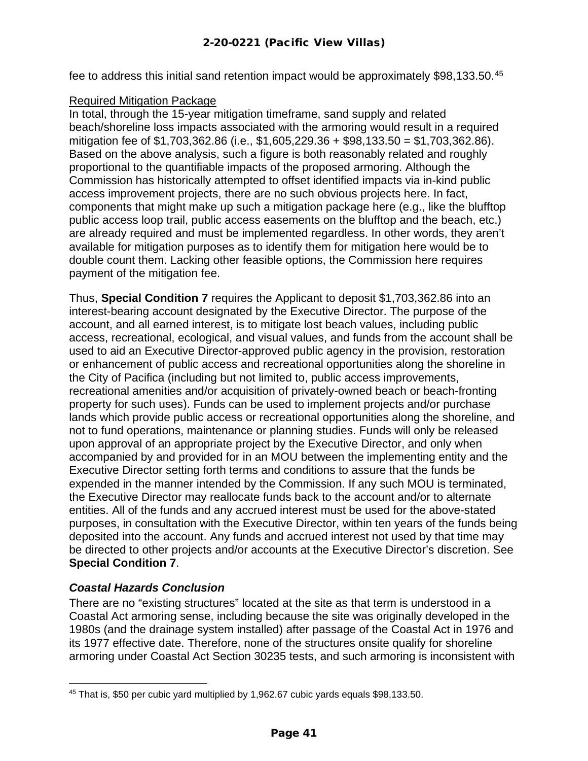fee to address this initial sand retention impact would be approximately \$98,133.50.<sup>[45](#page-40-0)</sup>

#### Required Mitigation Package

In total, through the 15-year mitigation timeframe, sand supply and related beach/shoreline loss impacts associated with the armoring would result in a required mitigation fee of \$1,703,362.86 (i.e., \$1,605,229.36 + \$98,133.50 = \$1,703,362.86). Based on the above analysis, such a figure is both reasonably related and roughly proportional to the quantifiable impacts of the proposed armoring. Although the Commission has historically attempted to offset identified impacts via in-kind public access improvement projects, there are no such obvious projects here. In fact, components that might make up such a mitigation package here (e.g., like the blufftop public access loop trail, public access easements on the blufftop and the beach, etc.) are already required and must be implemented regardless. In other words, they aren't available for mitigation purposes as to identify them for mitigation here would be to double count them. Lacking other feasible options, the Commission here requires payment of the mitigation fee.

Thus, **Special Condition 7** requires the Applicant to deposit \$1,703,362.86 into an interest-bearing account designated by the Executive Director. The purpose of the account, and all earned interest, is to mitigate lost beach values, including public access, recreational, ecological, and visual values, and funds from the account shall be used to aid an Executive Director-approved public agency in the provision, restoration or enhancement of public access and recreational opportunities along the shoreline in the City of Pacifica (including but not limited to, public access improvements, recreational amenities and/or acquisition of privately-owned beach or beach-fronting property for such uses). Funds can be used to implement projects and/or purchase lands which provide public access or recreational opportunities along the shoreline, and not to fund operations, maintenance or planning studies. Funds will only be released upon approval of an appropriate project by the Executive Director, and only when accompanied by and provided for in an MOU between the implementing entity and the Executive Director setting forth terms and conditions to assure that the funds be expended in the manner intended by the Commission. If any such MOU is terminated, the Executive Director may reallocate funds back to the account and/or to alternate entities. All of the funds and any accrued interest must be used for the above-stated purposes, in consultation with the Executive Director, within ten years of the funds being deposited into the account. Any funds and accrued interest not used by that time may be directed to other projects and/or accounts at the Executive Director's discretion. See **Special Condition 7**.

#### *Coastal Hazards Conclusion*

There are no "existing structures" located at the site as that term is understood in a Coastal Act armoring sense, including because the site was originally developed in the 1980s (and the drainage system installed) after passage of the Coastal Act in 1976 and its 1977 effective date. Therefore, none of the structures onsite qualify for shoreline armoring under Coastal Act Section 30235 tests, and such armoring is inconsistent with

<span id="page-40-0"></span><sup>45</sup> That is, \$50 per cubic yard multiplied by 1,962.67 cubic yards equals \$98,133.50.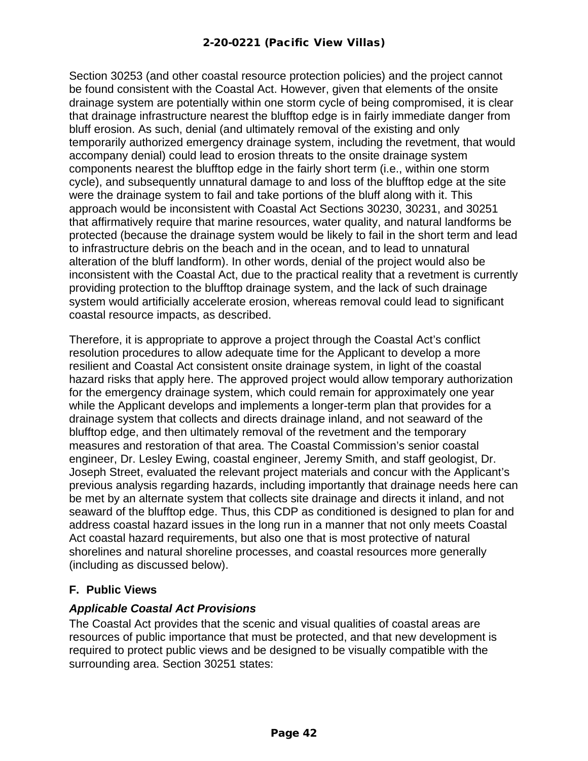Section 30253 (and other coastal resource protection policies) and the project cannot be found consistent with the Coastal Act. However, given that elements of the onsite drainage system are potentially within one storm cycle of being compromised, it is clear that drainage infrastructure nearest the blufftop edge is in fairly immediate danger from bluff erosion. As such, denial (and ultimately removal of the existing and only temporarily authorized emergency drainage system, including the revetment, that would accompany denial) could lead to erosion threats to the onsite drainage system components nearest the blufftop edge in the fairly short term (i.e., within one storm cycle), and subsequently unnatural damage to and loss of the blufftop edge at the site were the drainage system to fail and take portions of the bluff along with it. This approach would be inconsistent with Coastal Act Sections 30230, 30231, and 30251 that affirmatively require that marine resources, water quality, and natural landforms be protected (because the drainage system would be likely to fail in the short term and lead to infrastructure debris on the beach and in the ocean, and to lead to unnatural alteration of the bluff landform). In other words, denial of the project would also be inconsistent with the Coastal Act, due to the practical reality that a revetment is currently providing protection to the blufftop drainage system, and the lack of such drainage system would artificially accelerate erosion, whereas removal could lead to significant coastal resource impacts, as described.

Therefore, it is appropriate to approve a project through the Coastal Act's conflict resolution procedures to allow adequate time for the Applicant to develop a more resilient and Coastal Act consistent onsite drainage system, in light of the coastal hazard risks that apply here. The approved project would allow temporary authorization for the emergency drainage system, which could remain for approximately one year while the Applicant develops and implements a longer-term plan that provides for a drainage system that collects and directs drainage inland, and not seaward of the blufftop edge, and then ultimately removal of the revetment and the temporary measures and restoration of that area. The Coastal Commission's senior coastal engineer, Dr. Lesley Ewing, coastal engineer, Jeremy Smith, and staff geologist, Dr. Joseph Street, evaluated the relevant project materials and concur with the Applicant's previous analysis regarding hazards, including importantly that drainage needs here can be met by an alternate system that collects site drainage and directs it inland, and not seaward of the blufftop edge. Thus, this CDP as conditioned is designed to plan for and address coastal hazard issues in the long run in a manner that not only meets Coastal Act coastal hazard requirements, but also one that is most protective of natural shorelines and natural shoreline processes, and coastal resources more generally (including as discussed below).

#### <span id="page-41-0"></span>**F. Public Views**

#### *Applicable Coastal Act Provisions*

The Coastal Act provides that the scenic and visual qualities of coastal areas are resources of public importance that must be protected, and that new development is required to protect public views and be designed to be visually compatible with the surrounding area. Section 30251 states: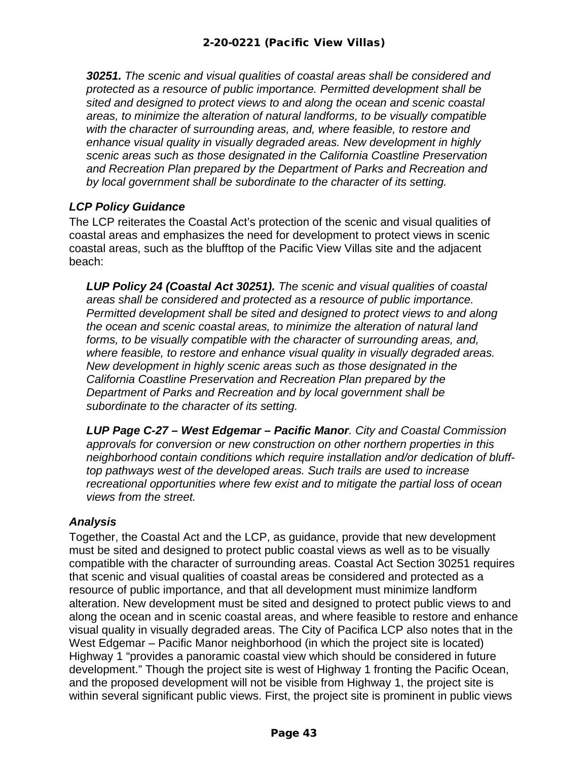*30251. The scenic and visual qualities of coastal areas shall be considered and protected as a resource of public importance. Permitted development shall be sited and designed to protect views to and along the ocean and scenic coastal areas, to minimize the alteration of natural landforms, to be visually compatible with the character of surrounding areas, and, where feasible, to restore and enhance visual quality in visually degraded areas. New development in highly scenic areas such as those designated in the California Coastline Preservation and Recreation Plan prepared by the Department of Parks and Recreation and by local government shall be subordinate to the character of its setting.*

#### *LCP Policy Guidance*

The LCP reiterates the Coastal Act's protection of the scenic and visual qualities of coastal areas and emphasizes the need for development to protect views in scenic coastal areas, such as the blufftop of the Pacific View Villas site and the adjacent beach:

*LUP Policy 24 (Coastal Act 30251). The scenic and visual qualities of coastal areas shall be considered and protected as a resource of public importance. Permitted development shall be sited and designed to protect views to and along the ocean and scenic coastal areas, to minimize the alteration of natural land forms, to be visually compatible with the character of surrounding areas, and, where feasible, to restore and enhance visual quality in visually degraded areas. New development in highly scenic areas such as those designated in the California Coastline Preservation and Recreation Plan prepared by the Department of Parks and Recreation and by local government shall be subordinate to the character of its setting.*

*LUP Page C-27 – West Edgemar – Pacific Manor. City and Coastal Commission approvals for conversion or new construction on other northern properties in this neighborhood contain conditions which require installation and/or dedication of blufftop pathways west of the developed areas. Such trails are used to increase recreational opportunities where few exist and to mitigate the partial loss of ocean views from the street.*

#### *Analysis*

Together, the Coastal Act and the LCP, as guidance, provide that new development must be sited and designed to protect public coastal views as well as to be visually compatible with the character of surrounding areas. Coastal Act Section 30251 requires that scenic and visual qualities of coastal areas be considered and protected as a resource of public importance, and that all development must minimize landform alteration. New development must be sited and designed to protect public views to and along the ocean and in scenic coastal areas, and where feasible to restore and enhance visual quality in visually degraded areas. The City of Pacifica LCP also notes that in the West Edgemar – Pacific Manor neighborhood (in which the project site is located) Highway 1 "provides a panoramic coastal view which should be considered in future development." Though the project site is west of Highway 1 fronting the Pacific Ocean, and the proposed development will not be visible from Highway 1, the project site is within several significant public views. First, the project site is prominent in public views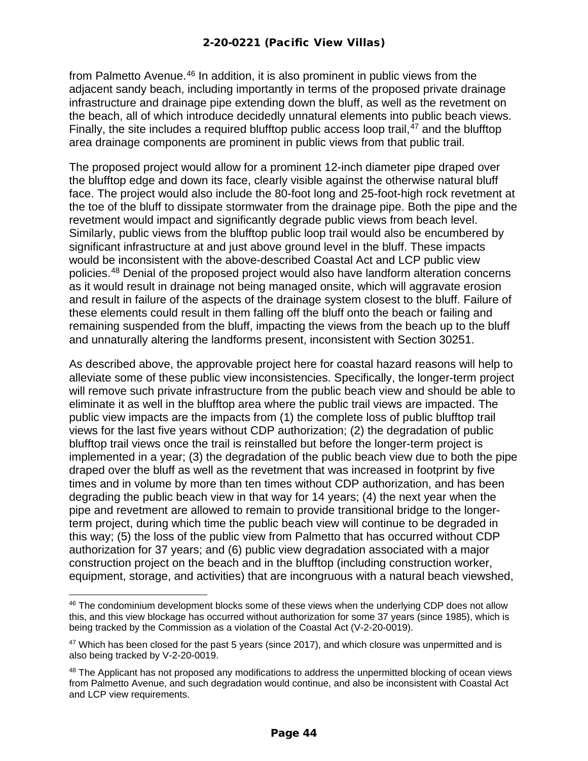from Palmetto Avenue.<sup>[46](#page-43-0)</sup> In addition, it is also prominent in public views from the adjacent sandy beach, including importantly in terms of the proposed private drainage infrastructure and drainage pipe extending down the bluff, as well as the revetment on the beach, all of which introduce decidedly unnatural elements into public beach views. Finally, the site includes a required blufftop public access loop trail, $47$  and the blufftop area drainage components are prominent in public views from that public trail.

The proposed project would allow for a prominent 12-inch diameter pipe draped over the blufftop edge and down its face, clearly visible against the otherwise natural bluff face. The project would also include the 80-foot long and 25-foot-high rock revetment at the toe of the bluff to dissipate stormwater from the drainage pipe. Both the pipe and the revetment would impact and significantly degrade public views from beach level. Similarly, public views from the blufftop public loop trail would also be encumbered by significant infrastructure at and just above ground level in the bluff. These impacts would be inconsistent with the above-described Coastal Act and LCP public view policies.[48](#page-43-2) Denial of the proposed project would also have landform alteration concerns as it would result in drainage not being managed onsite, which will aggravate erosion and result in failure of the aspects of the drainage system closest to the bluff. Failure of these elements could result in them falling off the bluff onto the beach or failing and remaining suspended from the bluff, impacting the views from the beach up to the bluff and unnaturally altering the landforms present, inconsistent with Section 30251.

As described above, the approvable project here for coastal hazard reasons will help to alleviate some of these public view inconsistencies. Specifically, the longer-term project will remove such private infrastructure from the public beach view and should be able to eliminate it as well in the blufftop area where the public trail views are impacted. The public view impacts are the impacts from (1) the complete loss of public blufftop trail views for the last five years without CDP authorization; (2) the degradation of public blufftop trail views once the trail is reinstalled but before the longer-term project is implemented in a year; (3) the degradation of the public beach view due to both the pipe draped over the bluff as well as the revetment that was increased in footprint by five times and in volume by more than ten times without CDP authorization, and has been degrading the public beach view in that way for 14 years; (4) the next year when the pipe and revetment are allowed to remain to provide transitional bridge to the longerterm project, during which time the public beach view will continue to be degraded in this way; (5) the loss of the public view from Palmetto that has occurred without CDP authorization for 37 years; and (6) public view degradation associated with a major construction project on the beach and in the blufftop (including construction worker, equipment, storage, and activities) that are incongruous with a natural beach viewshed,

<span id="page-43-0"></span><sup>&</sup>lt;sup>46</sup> The condominium development blocks some of these views when the underlying CDP does not allow this, and this view blockage has occurred without authorization for some 37 years (since 1985), which is being tracked by the Commission as a violation of the Coastal Act (V-2-20-0019).

<span id="page-43-1"></span><sup>&</sup>lt;sup>47</sup> Which has been closed for the past 5 years (since 2017), and which closure was unpermitted and is also being tracked by V-2-20-0019.

<span id="page-43-2"></span><sup>&</sup>lt;sup>48</sup> The Applicant has not proposed any modifications to address the unpermitted blocking of ocean views from Palmetto Avenue, and such degradation would continue, and also be inconsistent with Coastal Act and LCP view requirements.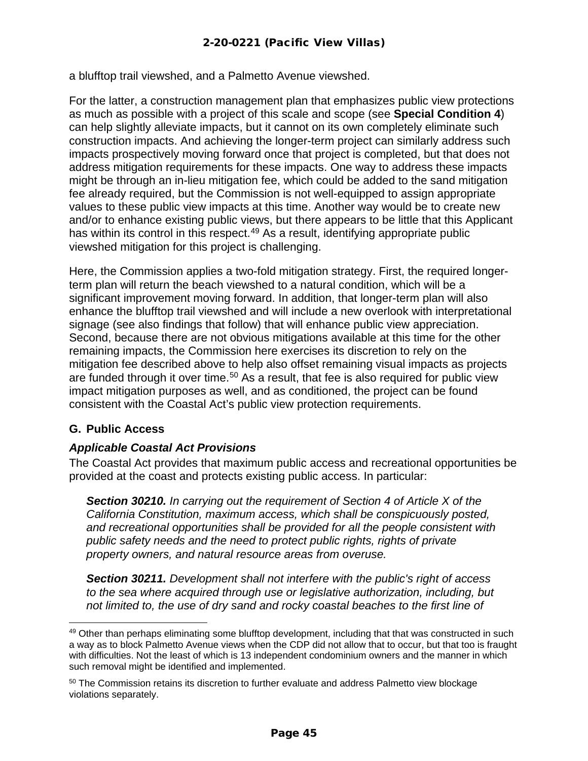a blufftop trail viewshed, and a Palmetto Avenue viewshed.

For the latter, a construction management plan that emphasizes public view protections as much as possible with a project of this scale and scope (see **Special Condition 4**) can help slightly alleviate impacts, but it cannot on its own completely eliminate such construction impacts. And achieving the longer-term project can similarly address such impacts prospectively moving forward once that project is completed, but that does not address mitigation requirements for these impacts. One way to address these impacts might be through an in-lieu mitigation fee, which could be added to the sand mitigation fee already required, but the Commission is not well-equipped to assign appropriate values to these public view impacts at this time. Another way would be to create new and/or to enhance existing public views, but there appears to be little that this Applicant has within its control in this respect.<sup>[49](#page-44-1)</sup> As a result, identifying appropriate public viewshed mitigation for this project is challenging.

Here, the Commission applies a two-fold mitigation strategy. First, the required longerterm plan will return the beach viewshed to a natural condition, which will be a significant improvement moving forward. In addition, that longer-term plan will also enhance the blufftop trail viewshed and will include a new overlook with interpretational signage (see also findings that follow) that will enhance public view appreciation. Second, because there are not obvious mitigations available at this time for the other remaining impacts, the Commission here exercises its discretion to rely on the mitigation fee described above to help also offset remaining visual impacts as projects are funded through it over time.<sup>[50](#page-44-2)</sup> As a result, that fee is also required for public view impact mitigation purposes as well, and as conditioned, the project can be found consistent with the Coastal Act's public view protection requirements.

#### <span id="page-44-0"></span>**G. Public Access**

#### *Applicable Coastal Act Provisions*

The Coastal Act provides that maximum public access and recreational opportunities be provided at the coast and protects existing public access. In particular:

*Section 30210. In carrying out the requirement of Section 4 of Article X of the California Constitution, maximum access, which shall be conspicuously posted, and recreational opportunities shall be provided for all the people consistent with public safety needs and the need to protect public rights, rights of private property owners, and natural resource areas from overuse.*

*Section 30211. Development shall not interfere with the public's right of access to the sea where acquired through use or legislative authorization, including, but not limited to, the use of dry sand and rocky coastal beaches to the first line of* 

<span id="page-44-1"></span><sup>&</sup>lt;sup>49</sup> Other than perhaps eliminating some blufftop development, including that that was constructed in such a way as to block Palmetto Avenue views when the CDP did not allow that to occur, but that too is fraught with difficulties. Not the least of which is 13 independent condominium owners and the manner in which such removal might be identified and implemented.

<span id="page-44-2"></span><sup>&</sup>lt;sup>50</sup> The Commission retains its discretion to further evaluate and address Palmetto view blockage violations separately.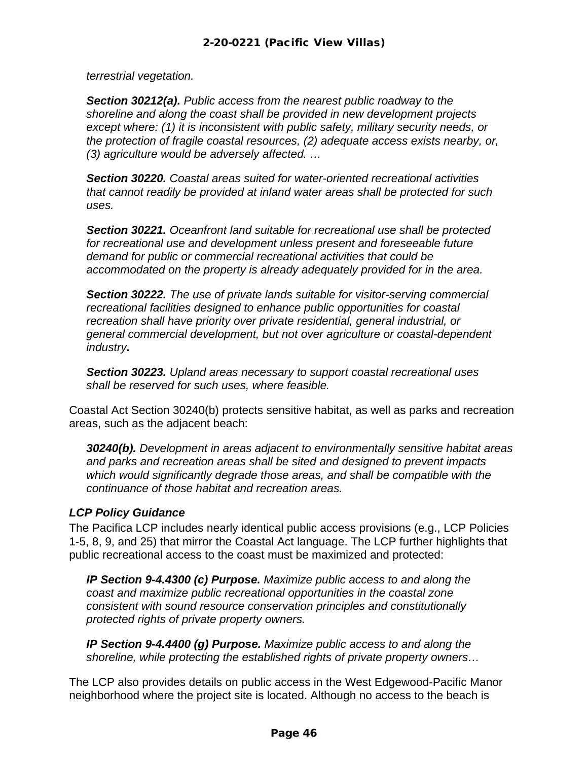*terrestrial vegetation.*

*Section 30212(a). Public access from the nearest public roadway to the shoreline and along the coast shall be provided in new development projects except where: (1) it is inconsistent with public safety, military security needs, or the protection of fragile coastal resources, (2) adequate access exists nearby, or, (3) agriculture would be adversely affected. …* 

*Section 30220. Coastal areas suited for water-oriented recreational activities that cannot readily be provided at inland water areas shall be protected for such uses.*

*Section 30221. Oceanfront land suitable for recreational use shall be protected for recreational use and development unless present and foreseeable future demand for public or commercial recreational activities that could be accommodated on the property is already adequately provided for in the area.*

*Section 30222. The use of private lands suitable for visitor-serving commercial recreational facilities designed to enhance public opportunities for coastal recreation shall have priority over private residential, general industrial, or general commercial development, but not over agriculture or coastal-dependent industry.*

*Section 30223. Upland areas necessary to support coastal recreational uses shall be reserved for such uses, where feasible.*

Coastal Act Section 30240(b) protects sensitive habitat, as well as parks and recreation areas, such as the adjacent beach:

*30240(b). Development in areas adjacent to environmentally sensitive habitat areas and parks and recreation areas shall be sited and designed to prevent impacts which would significantly degrade those areas, and shall be compatible with the continuance of those habitat and recreation areas.*

#### *LCP Policy Guidance*

The Pacifica LCP includes nearly identical public access provisions (e.g., LCP Policies 1-5, 8, 9, and 25) that mirror the Coastal Act language. The LCP further highlights that public recreational access to the coast must be maximized and protected:

*IP Section 9-4.4300 (c) Purpose. Maximize public access to and along the coast and maximize public recreational opportunities in the coastal zone consistent with sound resource conservation principles and constitutionally protected rights of private property owners.*

*IP Section 9-4.4400 (g) Purpose. Maximize public access to and along the shoreline, while protecting the established rights of private property owners…*

The LCP also provides details on public access in the West Edgewood-Pacific Manor neighborhood where the project site is located. Although no access to the beach is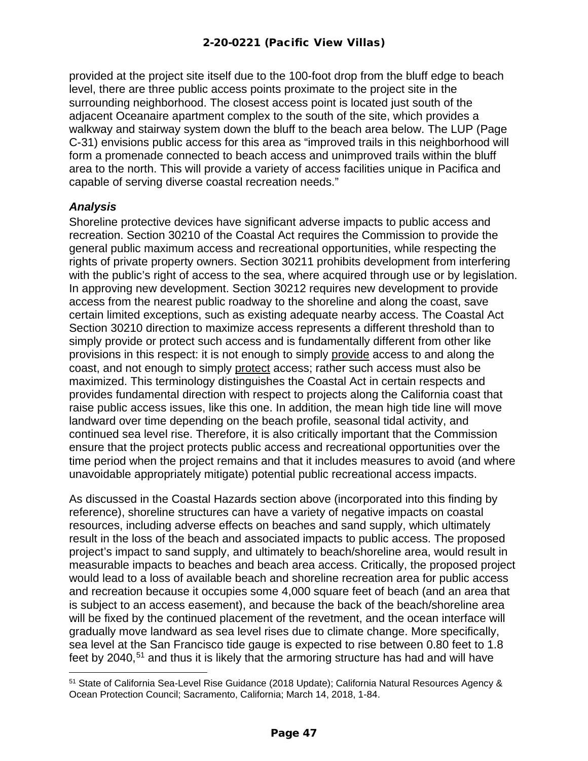provided at the project site itself due to the 100-foot drop from the bluff edge to beach level, there are three public access points proximate to the project site in the surrounding neighborhood. The closest access point is located just south of the adjacent Oceanaire apartment complex to the south of the site, which provides a walkway and stairway system down the bluff to the beach area below. The LUP (Page C-31) envisions public access for this area as "improved trails in this neighborhood will form a promenade connected to beach access and unimproved trails within the bluff area to the north. This will provide a variety of access facilities unique in Pacifica and capable of serving diverse coastal recreation needs."

#### *Analysis*

Shoreline protective devices have significant adverse impacts to public access and recreation. Section 30210 of the Coastal Act requires the Commission to provide the general public maximum access and recreational opportunities, while respecting the rights of private property owners. Section 30211 prohibits development from interfering with the public's right of access to the sea, where acquired through use or by legislation. In approving new development. Section 30212 requires new development to provide access from the nearest public roadway to the shoreline and along the coast, save certain limited exceptions, such as existing adequate nearby access. The Coastal Act Section 30210 direction to maximize access represents a different threshold than to simply provide or protect such access and is fundamentally different from other like provisions in this respect: it is not enough to simply provide access to and along the coast, and not enough to simply protect access; rather such access must also be maximized. This terminology distinguishes the Coastal Act in certain respects and provides fundamental direction with respect to projects along the California coast that raise public access issues, like this one. In addition, the mean high tide line will move landward over time depending on the beach profile, seasonal tidal activity, and continued sea level rise. Therefore, it is also critically important that the Commission ensure that the project protects public access and recreational opportunities over the time period when the project remains and that it includes measures to avoid (and where unavoidable appropriately mitigate) potential public recreational access impacts.

As discussed in the Coastal Hazards section above (incorporated into this finding by reference), shoreline structures can have a variety of negative impacts on coastal resources, including adverse effects on beaches and sand supply, which ultimately result in the loss of the beach and associated impacts to public access. The proposed project's impact to sand supply, and ultimately to beach/shoreline area, would result in measurable impacts to beaches and beach area access. Critically, the proposed project would lead to a loss of available beach and shoreline recreation area for public access and recreation because it occupies some 4,000 square feet of beach (and an area that is subject to an access easement), and because the back of the beach/shoreline area will be fixed by the continued placement of the revetment, and the ocean interface will gradually move landward as sea level rises due to climate change. More specifically, sea level at the San Francisco tide gauge is expected to rise between 0.80 feet to 1.8 feet by 2040,<sup>[51](#page-46-0)</sup> and thus it is likely that the armoring structure has had and will have

<span id="page-46-0"></span><sup>51</sup> State of California Sea-Level Rise Guidance (2018 Update); California Natural Resources Agency & Ocean Protection Council; Sacramento, California; March 14, 2018, 1-84.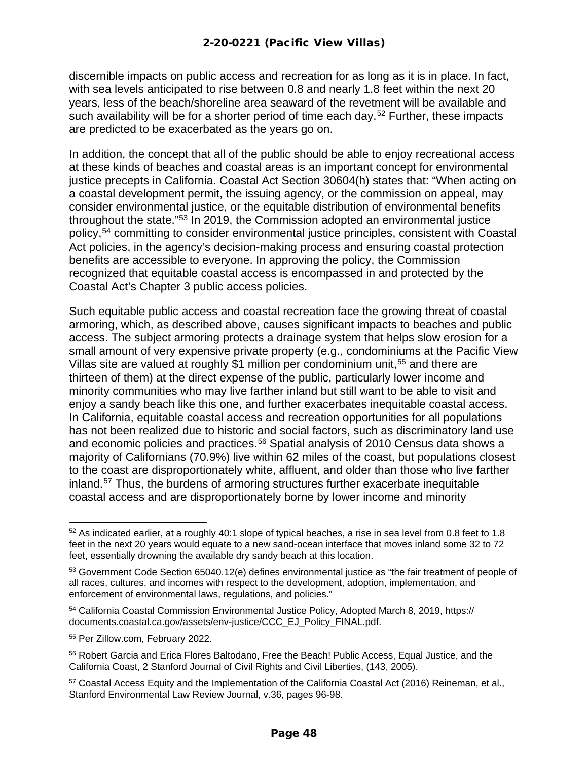discernible impacts on public access and recreation for as long as it is in place. In fact, with sea levels anticipated to rise between 0.8 and nearly 1.8 feet within the next 20 years, less of the beach/shoreline area seaward of the revetment will be available and such availability will be for a shorter period of time each day.<sup>[52](#page-47-0)</sup> Further, these impacts are predicted to be exacerbated as the years go on.

In addition, the concept that all of the public should be able to enjoy recreational access at these kinds of beaches and coastal areas is an important concept for environmental justice precepts in California. Coastal Act Section 30604(h) states that: "When acting on a coastal development permit, the issuing agency, or the commission on appeal, may consider environmental justice, or the equitable distribution of environmental benefits throughout the state."[53](#page-47-1) In 2019, the Commission adopted an environmental justice policy,[54](#page-47-2) committing to consider environmental justice principles, consistent with Coastal Act policies, in the agency's decision-making process and ensuring coastal protection benefits are accessible to everyone. In approving the policy, the Commission recognized that equitable coastal access is encompassed in and protected by the Coastal Act's Chapter 3 public access policies.

Such equitable public access and coastal recreation face the growing threat of coastal armoring, which, as described above, causes significant impacts to beaches and public access. The subject armoring protects a drainage system that helps slow erosion for a small amount of very expensive private property (e.g., condominiums at the Pacific View Villas site are valued at roughly \$1 million per condominium unit,<sup>[55](#page-47-3)</sup> and there are thirteen of them) at the direct expense of the public, particularly lower income and minority communities who may live farther inland but still want to be able to visit and enjoy a sandy beach like this one, and further exacerbates inequitable coastal access. In California, equitable coastal access and recreation opportunities for all populations has not been realized due to historic and social factors, such as discriminatory land use and economic policies and practices. [56](#page-47-4) Spatial analysis of 2010 Census data shows a majority of Californians (70.9%) live within 62 miles of the coast, but populations closest to the coast are disproportionately white, affluent, and older than those who live farther inland. [57](#page-47-5) Thus, the burdens of armoring structures further exacerbate inequitable coastal access and are disproportionately borne by lower income and minority

<span id="page-47-0"></span> $52$  As indicated earlier, at a roughly 40:1 slope of typical beaches, a rise in sea level from 0.8 feet to 1.8 feet in the next 20 years would equate to a new sand-ocean interface that moves inland some 32 to 72 feet, essentially drowning the available dry sandy beach at this location.

<span id="page-47-1"></span><sup>53</sup> Government Code Section 65040.12(e) defines environmental justice as "the fair treatment of people of all races, cultures, and incomes with respect to the development, adoption, implementation, and enforcement of environmental laws, regulations, and policies."

<span id="page-47-2"></span><sup>54</sup> California Coastal Commission Environmental Justice Policy, Adopted March 8, 2019, https:// documents.coastal.ca.gov/assets/env-justice/CCC\_EJ\_Policy\_FINAL.pdf.

<span id="page-47-3"></span><sup>55</sup> Per Zillow.com, February 2022.

<span id="page-47-4"></span><sup>56</sup> Robert Garcia and Erica Flores Baltodano, Free the Beach! Public Access, Equal Justice, and the California Coast, 2 Stanford Journal of Civil Rights and Civil Liberties, (143, 2005).

<span id="page-47-5"></span><sup>57</sup> Coastal Access Equity and the Implementation of the California Coastal Act (2016) Reineman, et al., Stanford Environmental Law Review Journal, v.36, pages 96-98.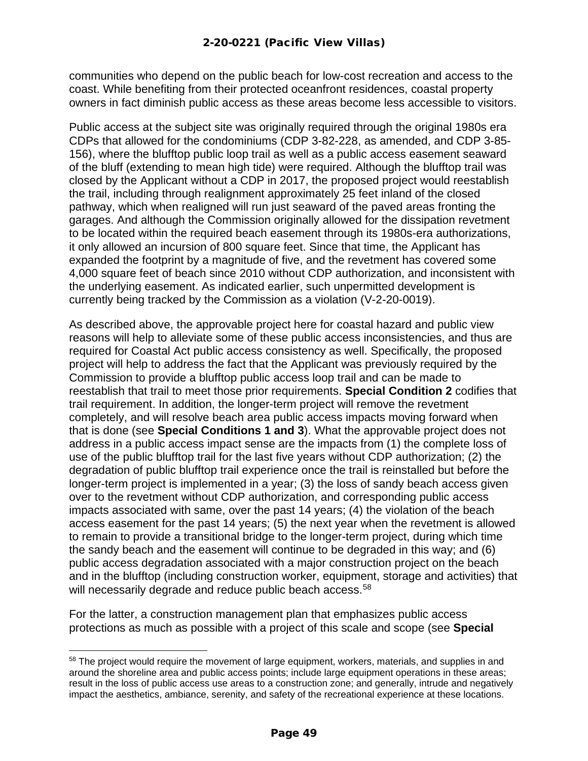communities who depend on the public beach for low-cost recreation and access to the coast. While benefiting from their protected oceanfront residences, coastal property owners in fact diminish public access as these areas become less accessible to visitors.

Public access at the subject site was originally required through the original 1980s era CDPs that allowed for the condominiums (CDP 3-82-228, as amended, and CDP 3-85- 156), where the blufftop public loop trail as well as a public access easement seaward of the bluff (extending to mean high tide) were required. Although the blufftop trail was closed by the Applicant without a CDP in 2017, the proposed project would reestablish the trail, including through realignment approximately 25 feet inland of the closed pathway, which when realigned will run just seaward of the paved areas fronting the garages. And although the Commission originally allowed for the dissipation revetment to be located within the required beach easement through its 1980s-era authorizations, it only allowed an incursion of 800 square feet. Since that time, the Applicant has expanded the footprint by a magnitude of five, and the revetment has covered some 4,000 square feet of beach since 2010 without CDP authorization, and inconsistent with the underlying easement. As indicated earlier, such unpermitted development is currently being tracked by the Commission as a violation (V-2-20-0019).

As described above, the approvable project here for coastal hazard and public view reasons will help to alleviate some of these public access inconsistencies, and thus are required for Coastal Act public access consistency as well. Specifically, the proposed project will help to address the fact that the Applicant was previously required by the Commission to provide a blufftop public access loop trail and can be made to reestablish that trail to meet those prior requirements. **Special Condition 2** codifies that trail requirement. In addition, the longer-term project will remove the revetment completely, and will resolve beach area public access impacts moving forward when that is done (see **Special Conditions 1 and 3**). What the approvable project does not address in a public access impact sense are the impacts from (1) the complete loss of use of the public blufftop trail for the last five years without CDP authorization; (2) the degradation of public blufftop trail experience once the trail is reinstalled but before the longer-term project is implemented in a year; (3) the loss of sandy beach access given over to the revetment without CDP authorization, and corresponding public access impacts associated with same, over the past 14 years; (4) the violation of the beach access easement for the past 14 years; (5) the next year when the revetment is allowed to remain to provide a transitional bridge to the longer-term project, during which time the sandy beach and the easement will continue to be degraded in this way; and (6) public access degradation associated with a major construction project on the beach and in the blufftop (including construction worker, equipment, storage and activities) that will necessarily degrade and reduce public beach access.<sup>[58](#page-48-0)</sup>

For the latter, a construction management plan that emphasizes public access protections as much as possible with a project of this scale and scope (see **Special** 

<span id="page-48-0"></span><sup>&</sup>lt;sup>58</sup> The project would require the movement of large equipment, workers, materials, and supplies in and around the shoreline area and public access points; include large equipment operations in these areas; result in the loss of public access use areas to a construction zone; and generally, intrude and negatively impact the aesthetics, ambiance, serenity, and safety of the recreational experience at these locations.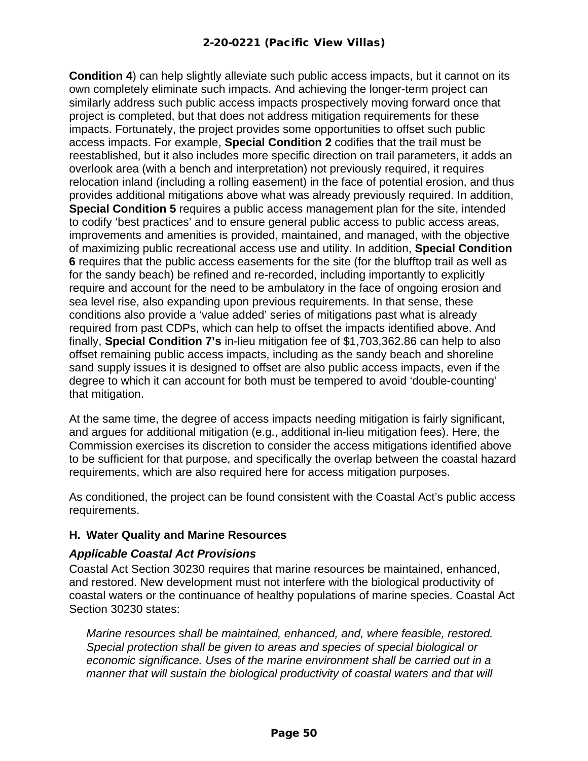**Condition 4**) can help slightly alleviate such public access impacts, but it cannot on its own completely eliminate such impacts. And achieving the longer-term project can similarly address such public access impacts prospectively moving forward once that project is completed, but that does not address mitigation requirements for these impacts. Fortunately, the project provides some opportunities to offset such public access impacts. For example, **Special Condition 2** codifies that the trail must be reestablished, but it also includes more specific direction on trail parameters, it adds an overlook area (with a bench and interpretation) not previously required, it requires relocation inland (including a rolling easement) in the face of potential erosion, and thus provides additional mitigations above what was already previously required. In addition, **Special Condition 5** requires a public access management plan for the site, intended to codify 'best practices' and to ensure general public access to public access areas, improvements and amenities is provided, maintained, and managed, with the objective of maximizing public recreational access use and utility. In addition, **Special Condition 6** requires that the public access easements for the site (for the blufftop trail as well as for the sandy beach) be refined and re-recorded, including importantly to explicitly require and account for the need to be ambulatory in the face of ongoing erosion and sea level rise, also expanding upon previous requirements. In that sense, these conditions also provide a 'value added' series of mitigations past what is already required from past CDPs, which can help to offset the impacts identified above. And finally, **Special Condition 7's** in-lieu mitigation fee of \$1,703,362.86 can help to also offset remaining public access impacts, including as the sandy beach and shoreline sand supply issues it is designed to offset are also public access impacts, even if the degree to which it can account for both must be tempered to avoid 'double-counting' that mitigation.

At the same time, the degree of access impacts needing mitigation is fairly significant, and argues for additional mitigation (e.g., additional in-lieu mitigation fees). Here, the Commission exercises its discretion to consider the access mitigations identified above to be sufficient for that purpose, and specifically the overlap between the coastal hazard requirements, which are also required here for access mitigation purposes.

As conditioned, the project can be found consistent with the Coastal Act's public access requirements.

#### <span id="page-49-0"></span>**H. Water Quality and Marine Resources**

#### *Applicable Coastal Act Provisions*

Coastal Act Section 30230 requires that marine resources be maintained, enhanced, and restored. New development must not interfere with the biological productivity of coastal waters or the continuance of healthy populations of marine species. Coastal Act Section 30230 states:

*Marine resources shall be maintained, enhanced, and, where feasible, restored. Special protection shall be given to areas and species of special biological or economic significance. Uses of the marine environment shall be carried out in a manner that will sustain the biological productivity of coastal waters and that will*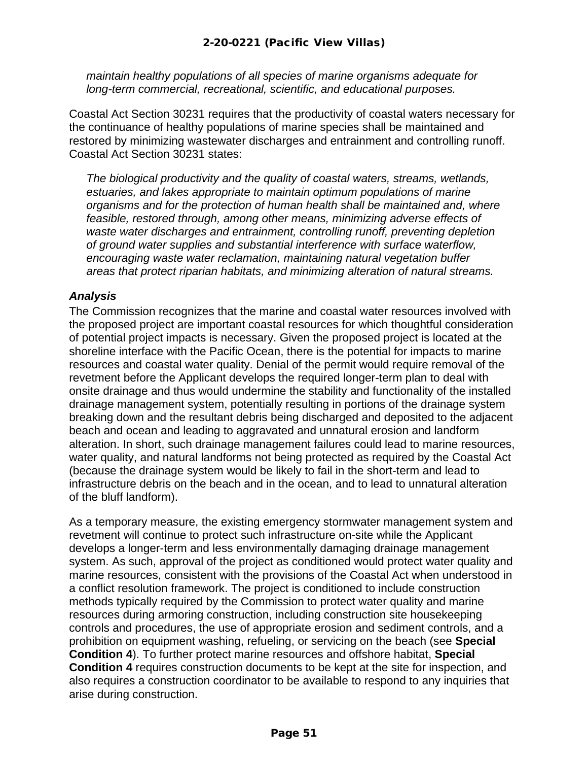*maintain healthy populations of all species of marine organisms adequate for long-term commercial, recreational, scientific, and educational purposes.* 

Coastal Act Section 30231 requires that the productivity of coastal waters necessary for the continuance of healthy populations of marine species shall be maintained and restored by minimizing wastewater discharges and entrainment and controlling runoff. Coastal Act Section 30231 states:

*The biological productivity and the quality of coastal waters, streams, wetlands, estuaries, and lakes appropriate to maintain optimum populations of marine organisms and for the protection of human health shall be maintained and, where feasible, restored through, among other means, minimizing adverse effects of waste water discharges and entrainment, controlling runoff, preventing depletion of ground water supplies and substantial interference with surface waterflow, encouraging waste water reclamation, maintaining natural vegetation buffer areas that protect riparian habitats, and minimizing alteration of natural streams.*

#### *Analysis*

The Commission recognizes that the marine and coastal water resources involved with the proposed project are important coastal resources for which thoughtful consideration of potential project impacts is necessary. Given the proposed project is located at the shoreline interface with the Pacific Ocean, there is the potential for impacts to marine resources and coastal water quality. Denial of the permit would require removal of the revetment before the Applicant develops the required longer-term plan to deal with onsite drainage and thus would undermine the stability and functionality of the installed drainage management system, potentially resulting in portions of the drainage system breaking down and the resultant debris being discharged and deposited to the adjacent beach and ocean and leading to aggravated and unnatural erosion and landform alteration. In short, such drainage management failures could lead to marine resources, water quality, and natural landforms not being protected as required by the Coastal Act (because the drainage system would be likely to fail in the short-term and lead to infrastructure debris on the beach and in the ocean, and to lead to unnatural alteration of the bluff landform).

As a temporary measure, the existing emergency stormwater management system and revetment will continue to protect such infrastructure on-site while the Applicant develops a longer-term and less environmentally damaging drainage management system. As such, approval of the project as conditioned would protect water quality and marine resources, consistent with the provisions of the Coastal Act when understood in a conflict resolution framework. The project is conditioned to include construction methods typically required by the Commission to protect water quality and marine resources during armoring construction, including construction site housekeeping controls and procedures, the use of appropriate erosion and sediment controls, and a prohibition on equipment washing, refueling, or servicing on the beach (see **Special Condition 4**). To further protect marine resources and offshore habitat, **Special Condition 4** requires construction documents to be kept at the site for inspection, and also requires a construction coordinator to be available to respond to any inquiries that arise during construction.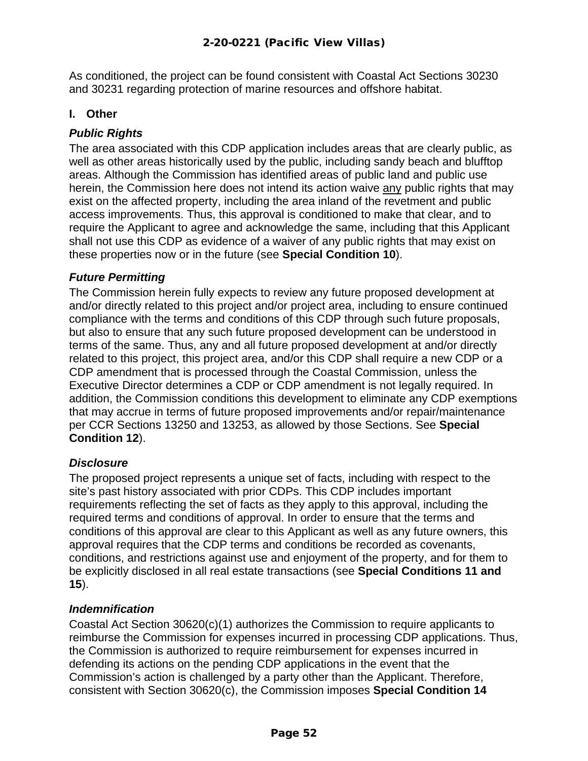As conditioned, the project can be found consistent with Coastal Act Sections 30230 and 30231 regarding protection of marine resources and offshore habitat.

#### <span id="page-51-0"></span>**I. Other**

#### *Public Rights*

The area associated with this CDP application includes areas that are clearly public, as well as other areas historically used by the public, including sandy beach and blufftop areas. Although the Commission has identified areas of public land and public use herein, the Commission here does not intend its action waive any public rights that may exist on the affected property, including the area inland of the revetment and public access improvements. Thus, this approval is conditioned to make that clear, and to require the Applicant to agree and acknowledge the same, including that this Applicant shall not use this CDP as evidence of a waiver of any public rights that may exist on these properties now or in the future (see **Special Condition 10**).

#### *Future Permitting*

The Commission herein fully expects to review any future proposed development at and/or directly related to this project and/or project area, including to ensure continued compliance with the terms and conditions of this CDP through such future proposals, but also to ensure that any such future proposed development can be understood in terms of the same. Thus, any and all future proposed development at and/or directly related to this project, this project area, and/or this CDP shall require a new CDP or a CDP amendment that is processed through the Coastal Commission, unless the Executive Director determines a CDP or CDP amendment is not legally required. In addition, the Commission conditions this development to eliminate any CDP exemptions that may accrue in terms of future proposed improvements and/or repair/maintenance per CCR Sections 13250 and 13253, as allowed by those Sections. See **Special Condition 12**).

#### *Disclosure*

The proposed project represents a unique set of facts, including with respect to the site's past history associated with prior CDPs. This CDP includes important requirements reflecting the set of facts as they apply to this approval, including the required terms and conditions of approval. In order to ensure that the terms and conditions of this approval are clear to this Applicant as well as any future owners, this approval requires that the CDP terms and conditions be recorded as covenants, conditions, and restrictions against use and enjoyment of the property, and for them to be explicitly disclosed in all real estate transactions (see **Special Conditions 11 and 15**).

#### *Indemnification*

Coastal Act Section 30620(c)(1) authorizes the Commission to require applicants to reimburse the Commission for expenses incurred in processing CDP applications. Thus, the Commission is authorized to require reimbursement for expenses incurred in defending its actions on the pending CDP applications in the event that the Commission's action is challenged by a party other than the Applicant. Therefore, consistent with Section 30620(c), the Commission imposes **Special Condition 14**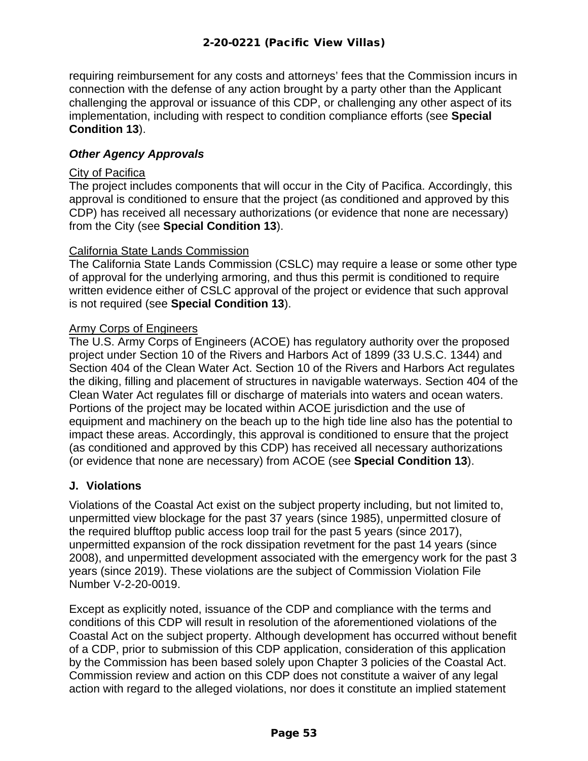requiring reimbursement for any costs and attorneys' fees that the Commission incurs in connection with the defense of any action brought by a party other than the Applicant challenging the approval or issuance of this CDP, or challenging any other aspect of its implementation, including with respect to condition compliance efforts (see **Special Condition 13**).

#### *Other Agency Approvals*

#### City of Pacifica

The project includes components that will occur in the City of Pacifica. Accordingly, this approval is conditioned to ensure that the project (as conditioned and approved by this CDP) has received all necessary authorizations (or evidence that none are necessary) from the City (see **Special Condition 13**).

#### California State Lands Commission

The California State Lands Commission (CSLC) may require a lease or some other type of approval for the underlying armoring, and thus this permit is conditioned to require written evidence either of CSLC approval of the project or evidence that such approval is not required (see **Special Condition 13**).

#### Army Corps of Engineers

The U.S. Army Corps of Engineers (ACOE) has regulatory authority over the proposed project under Section 10 of the Rivers and Harbors Act of 1899 (33 U.S.C. 1344) and Section 404 of the Clean Water Act. Section 10 of the Rivers and Harbors Act regulates the diking, filling and placement of structures in navigable waterways. Section 404 of the Clean Water Act regulates fill or discharge of materials into waters and ocean waters. Portions of the project may be located within ACOE jurisdiction and the use of equipment and machinery on the beach up to the high tide line also has the potential to impact these areas. Accordingly, this approval is conditioned to ensure that the project (as conditioned and approved by this CDP) has received all necessary authorizations (or evidence that none are necessary) from ACOE (see **Special Condition 13**).

#### <span id="page-52-0"></span>**J. Violations**

Violations of the Coastal Act exist on the subject property including, but not limited to, unpermitted view blockage for the past 37 years (since 1985), unpermitted closure of the required blufftop public access loop trail for the past 5 years (since 2017), unpermitted expansion of the rock dissipation revetment for the past 14 years (since 2008), and unpermitted development associated with the emergency work for the past 3 years (since 2019). These violations are the subject of Commission Violation File Number V-2-20-0019.

Except as explicitly noted, issuance of the CDP and compliance with the terms and conditions of this CDP will result in resolution of the aforementioned violations of the Coastal Act on the subject property. Although development has occurred without benefit of a CDP, prior to submission of this CDP application, consideration of this application by the Commission has been based solely upon Chapter 3 policies of the Coastal Act. Commission review and action on this CDP does not constitute a waiver of any legal action with regard to the alleged violations, nor does it constitute an implied statement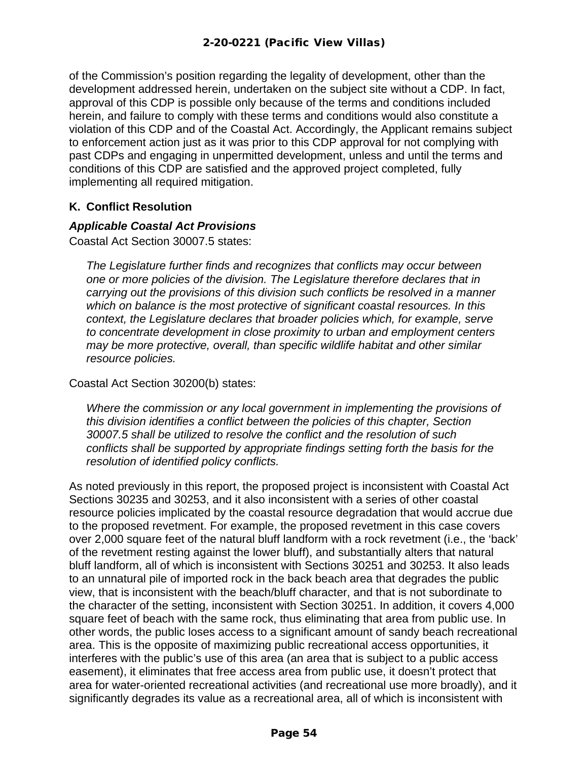of the Commission's position regarding the legality of development, other than the development addressed herein, undertaken on the subject site without a CDP. In fact, approval of this CDP is possible only because of the terms and conditions included herein, and failure to comply with these terms and conditions would also constitute a violation of this CDP and of the Coastal Act. Accordingly, the Applicant remains subject to enforcement action just as it was prior to this CDP approval for not complying with past CDPs and engaging in unpermitted development, unless and until the terms and conditions of this CDP are satisfied and the approved project completed, fully implementing all required mitigation.

#### <span id="page-53-0"></span>**K. Conflict Resolution**

#### *Applicable Coastal Act Provisions*

Coastal Act Section 30007.5 states:

*The Legislature further finds and recognizes that conflicts may occur between one or more policies of the division. The Legislature therefore declares that in carrying out the provisions of this division such conflicts be resolved in a manner which on balance is the most protective of significant coastal resources. In this context, the Legislature declares that broader policies which, for example, serve to concentrate development in close proximity to urban and employment centers may be more protective, overall, than specific wildlife habitat and other similar resource policies.*

Coastal Act Section 30200(b) states:

*Where the commission or any local government in implementing the provisions of this division identifies a conflict between the policies of this chapter, Section 30007.5 shall be utilized to resolve the conflict and the resolution of such conflicts shall be supported by appropriate findings setting forth the basis for the resolution of identified policy conflicts.*

As noted previously in this report, the proposed project is inconsistent with Coastal Act Sections 30235 and 30253, and it also inconsistent with a series of other coastal resource policies implicated by the coastal resource degradation that would accrue due to the proposed revetment. For example, the proposed revetment in this case covers over 2,000 square feet of the natural bluff landform with a rock revetment (i.e., the 'back' of the revetment resting against the lower bluff), and substantially alters that natural bluff landform, all of which is inconsistent with Sections 30251 and 30253. It also leads to an unnatural pile of imported rock in the back beach area that degrades the public view, that is inconsistent with the beach/bluff character, and that is not subordinate to the character of the setting, inconsistent with Section 30251. In addition, it covers 4,000 square feet of beach with the same rock, thus eliminating that area from public use. In other words, the public loses access to a significant amount of sandy beach recreational area. This is the opposite of maximizing public recreational access opportunities, it interferes with the public's use of this area (an area that is subject to a public access easement), it eliminates that free access area from public use, it doesn't protect that area for water-oriented recreational activities (and recreational use more broadly), and it significantly degrades its value as a recreational area, all of which is inconsistent with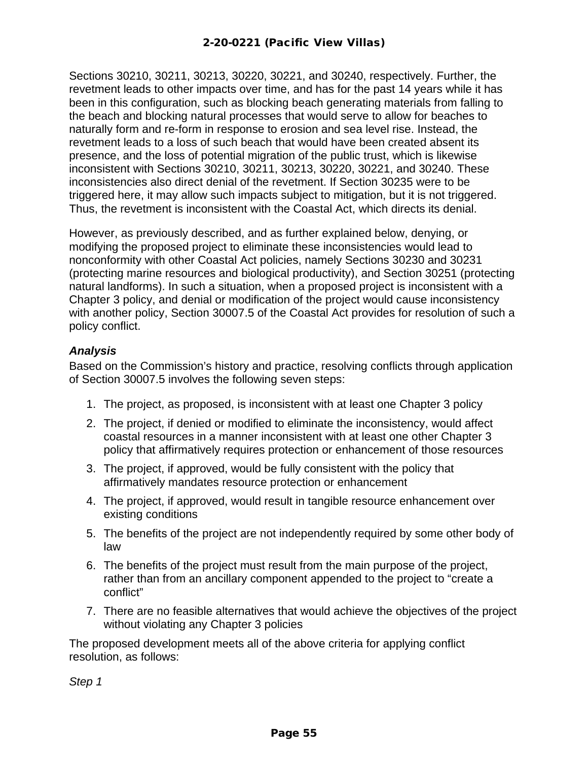Sections 30210, 30211, 30213, 30220, 30221, and 30240, respectively. Further, the revetment leads to other impacts over time, and has for the past 14 years while it has been in this configuration, such as blocking beach generating materials from falling to the beach and blocking natural processes that would serve to allow for beaches to naturally form and re-form in response to erosion and sea level rise. Instead, the revetment leads to a loss of such beach that would have been created absent its presence, and the loss of potential migration of the public trust, which is likewise inconsistent with Sections 30210, 30211, 30213, 30220, 30221, and 30240. These inconsistencies also direct denial of the revetment. If Section 30235 were to be triggered here, it may allow such impacts subject to mitigation, but it is not triggered. Thus, the revetment is inconsistent with the Coastal Act, which directs its denial.

However, as previously described, and as further explained below, denying, or modifying the proposed project to eliminate these inconsistencies would lead to nonconformity with other Coastal Act policies, namely Sections 30230 and 30231 (protecting marine resources and biological productivity), and Section 30251 (protecting natural landforms). In such a situation, when a proposed project is inconsistent with a Chapter 3 policy, and denial or modification of the project would cause inconsistency with another policy, Section 30007.5 of the Coastal Act provides for resolution of such a policy conflict.

#### *Analysis*

Based on the Commission's history and practice, resolving conflicts through application of Section 30007.5 involves the following seven steps:

- 1. The project, as proposed, is inconsistent with at least one Chapter 3 policy
- 2. The project, if denied or modified to eliminate the inconsistency, would affect coastal resources in a manner inconsistent with at least one other Chapter 3 policy that affirmatively requires protection or enhancement of those resources
- 3. The project, if approved, would be fully consistent with the policy that affirmatively mandates resource protection or enhancement
- 4. The project, if approved, would result in tangible resource enhancement over existing conditions
- 5. The benefits of the project are not independently required by some other body of law
- 6. The benefits of the project must result from the main purpose of the project, rather than from an ancillary component appended to the project to "create a conflict"
- 7. There are no feasible alternatives that would achieve the objectives of the project without violating any Chapter 3 policies

The proposed development meets all of the above criteria for applying conflict resolution, as follows:

*Step 1*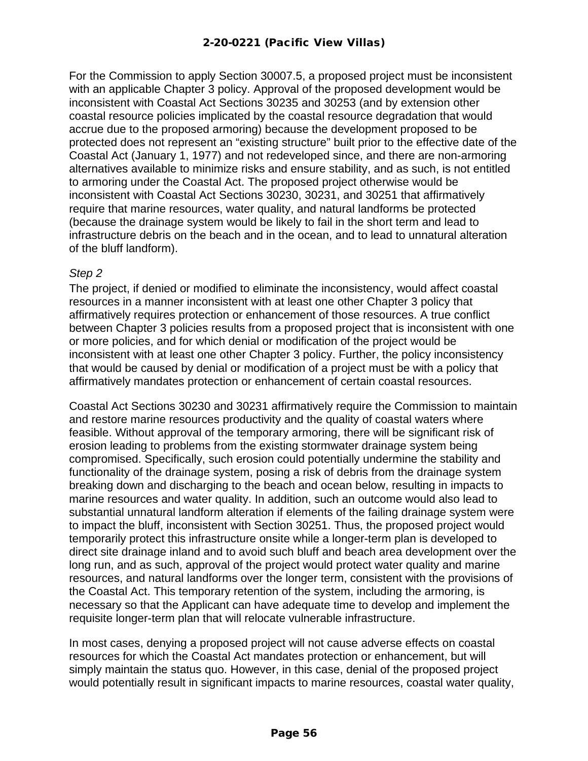For the Commission to apply Section 30007.5, a proposed project must be inconsistent with an applicable Chapter 3 policy. Approval of the proposed development would be inconsistent with Coastal Act Sections 30235 and 30253 (and by extension other coastal resource policies implicated by the coastal resource degradation that would accrue due to the proposed armoring) because the development proposed to be protected does not represent an "existing structure" built prior to the effective date of the Coastal Act (January 1, 1977) and not redeveloped since, and there are non-armoring alternatives available to minimize risks and ensure stability, and as such, is not entitled to armoring under the Coastal Act. The proposed project otherwise would be inconsistent with Coastal Act Sections 30230, 30231, and 30251 that affirmatively require that marine resources, water quality, and natural landforms be protected (because the drainage system would be likely to fail in the short term and lead to infrastructure debris on the beach and in the ocean, and to lead to unnatural alteration of the bluff landform).

#### *Step 2*

The project, if denied or modified to eliminate the inconsistency, would affect coastal resources in a manner inconsistent with at least one other Chapter 3 policy that affirmatively requires protection or enhancement of those resources. A true conflict between Chapter 3 policies results from a proposed project that is inconsistent with one or more policies, and for which denial or modification of the project would be inconsistent with at least one other Chapter 3 policy. Further, the policy inconsistency that would be caused by denial or modification of a project must be with a policy that affirmatively mandates protection or enhancement of certain coastal resources.

Coastal Act Sections 30230 and 30231 affirmatively require the Commission to maintain and restore marine resources productivity and the quality of coastal waters where feasible. Without approval of the temporary armoring, there will be significant risk of erosion leading to problems from the existing stormwater drainage system being compromised. Specifically, such erosion could potentially undermine the stability and functionality of the drainage system, posing a risk of debris from the drainage system breaking down and discharging to the beach and ocean below, resulting in impacts to marine resources and water quality. In addition, such an outcome would also lead to substantial unnatural landform alteration if elements of the failing drainage system were to impact the bluff, inconsistent with Section 30251. Thus, the proposed project would temporarily protect this infrastructure onsite while a longer-term plan is developed to direct site drainage inland and to avoid such bluff and beach area development over the long run, and as such, approval of the project would protect water quality and marine resources, and natural landforms over the longer term, consistent with the provisions of the Coastal Act. This temporary retention of the system, including the armoring, is necessary so that the Applicant can have adequate time to develop and implement the requisite longer-term plan that will relocate vulnerable infrastructure.

In most cases, denying a proposed project will not cause adverse effects on coastal resources for which the Coastal Act mandates protection or enhancement, but will simply maintain the status quo. However, in this case, denial of the proposed project would potentially result in significant impacts to marine resources, coastal water quality,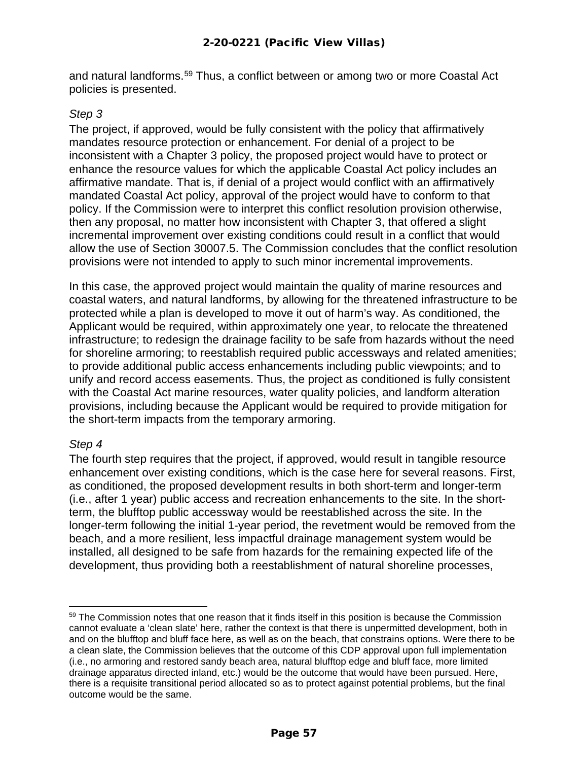and natural landforms. [59](#page-56-0) Thus, a conflict between or among two or more Coastal Act policies is presented.

#### *Step 3*

The project, if approved, would be fully consistent with the policy that affirmatively mandates resource protection or enhancement. For denial of a project to be inconsistent with a Chapter 3 policy, the proposed project would have to protect or enhance the resource values for which the applicable Coastal Act policy includes an affirmative mandate. That is, if denial of a project would conflict with an affirmatively mandated Coastal Act policy, approval of the project would have to conform to that policy. If the Commission were to interpret this conflict resolution provision otherwise, then any proposal, no matter how inconsistent with Chapter 3, that offered a slight incremental improvement over existing conditions could result in a conflict that would allow the use of Section 30007.5. The Commission concludes that the conflict resolution provisions were not intended to apply to such minor incremental improvements.

In this case, the approved project would maintain the quality of marine resources and coastal waters, and natural landforms, by allowing for the threatened infrastructure to be protected while a plan is developed to move it out of harm's way. As conditioned, the Applicant would be required, within approximately one year, to relocate the threatened infrastructure; to redesign the drainage facility to be safe from hazards without the need for shoreline armoring; to reestablish required public accessways and related amenities; to provide additional public access enhancements including public viewpoints; and to unify and record access easements. Thus, the project as conditioned is fully consistent with the Coastal Act marine resources, water quality policies, and landform alteration provisions, including because the Applicant would be required to provide mitigation for the short-term impacts from the temporary armoring.

#### *Step 4*

The fourth step requires that the project, if approved, would result in tangible resource enhancement over existing conditions, which is the case here for several reasons. First, as conditioned, the proposed development results in both short-term and longer-term (i.e., after 1 year) public access and recreation enhancements to the site. In the shortterm, the blufftop public accessway would be reestablished across the site. In the longer-term following the initial 1-year period, the revetment would be removed from the beach, and a more resilient, less impactful drainage management system would be installed, all designed to be safe from hazards for the remaining expected life of the development, thus providing both a reestablishment of natural shoreline processes,

<span id="page-56-0"></span><sup>&</sup>lt;sup>59</sup> The Commission notes that one reason that it finds itself in this position is because the Commission cannot evaluate a 'clean slate' here, rather the context is that there is unpermitted development, both in and on the blufftop and bluff face here, as well as on the beach, that constrains options. Were there to be a clean slate, the Commission believes that the outcome of this CDP approval upon full implementation (i.e., no armoring and restored sandy beach area, natural blufftop edge and bluff face, more limited drainage apparatus directed inland, etc.) would be the outcome that would have been pursued. Here, there is a requisite transitional period allocated so as to protect against potential problems, but the final outcome would be the same.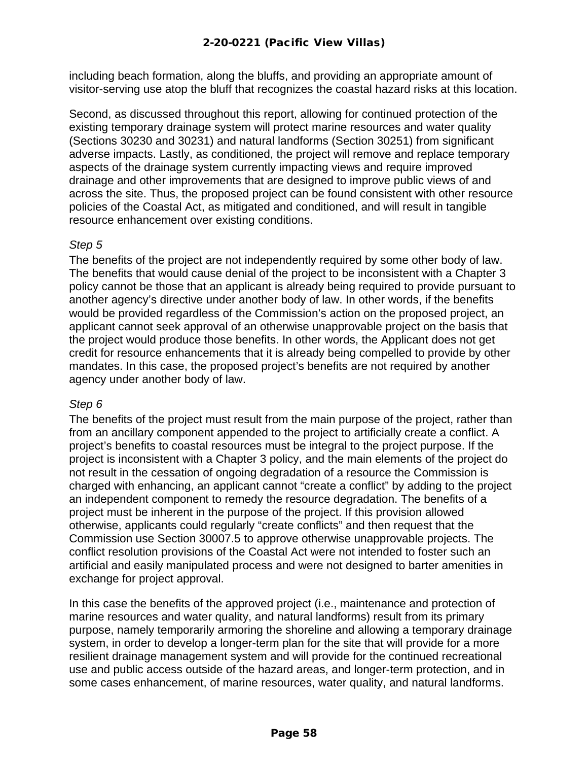including beach formation, along the bluffs, and providing an appropriate amount of visitor-serving use atop the bluff that recognizes the coastal hazard risks at this location.

Second, as discussed throughout this report, allowing for continued protection of the existing temporary drainage system will protect marine resources and water quality (Sections 30230 and 30231) and natural landforms (Section 30251) from significant adverse impacts. Lastly, as conditioned, the project will remove and replace temporary aspects of the drainage system currently impacting views and require improved drainage and other improvements that are designed to improve public views of and across the site. Thus, the proposed project can be found consistent with other resource policies of the Coastal Act, as mitigated and conditioned, and will result in tangible resource enhancement over existing conditions.

#### *Step 5*

The benefits of the project are not independently required by some other body of law. The benefits that would cause denial of the project to be inconsistent with a Chapter 3 policy cannot be those that an applicant is already being required to provide pursuant to another agency's directive under another body of law. In other words, if the benefits would be provided regardless of the Commission's action on the proposed project, an applicant cannot seek approval of an otherwise unapprovable project on the basis that the project would produce those benefits. In other words, the Applicant does not get credit for resource enhancements that it is already being compelled to provide by other mandates. In this case, the proposed project's benefits are not required by another agency under another body of law.

#### *Step 6*

The benefits of the project must result from the main purpose of the project, rather than from an ancillary component appended to the project to artificially create a conflict. A project's benefits to coastal resources must be integral to the project purpose. If the project is inconsistent with a Chapter 3 policy, and the main elements of the project do not result in the cessation of ongoing degradation of a resource the Commission is charged with enhancing, an applicant cannot "create a conflict" by adding to the project an independent component to remedy the resource degradation. The benefits of a project must be inherent in the purpose of the project. If this provision allowed otherwise, applicants could regularly "create conflicts" and then request that the Commission use Section 30007.5 to approve otherwise unapprovable projects. The conflict resolution provisions of the Coastal Act were not intended to foster such an artificial and easily manipulated process and were not designed to barter amenities in exchange for project approval.

In this case the benefits of the approved project (i.e., maintenance and protection of marine resources and water quality, and natural landforms) result from its primary purpose, namely temporarily armoring the shoreline and allowing a temporary drainage system, in order to develop a longer-term plan for the site that will provide for a more resilient drainage management system and will provide for the continued recreational use and public access outside of the hazard areas, and longer-term protection, and in some cases enhancement, of marine resources, water quality, and natural landforms.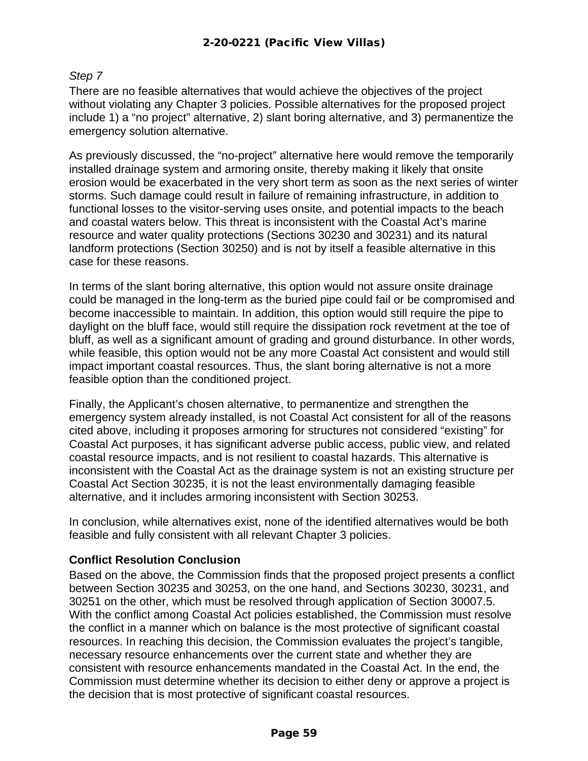#### *Step 7*

There are no feasible alternatives that would achieve the objectives of the project without violating any Chapter 3 policies. Possible alternatives for the proposed project include 1) a "no project" alternative, 2) slant boring alternative, and 3) permanentize the emergency solution alternative.

As previously discussed, the "no-project" alternative here would remove the temporarily installed drainage system and armoring onsite, thereby making it likely that onsite erosion would be exacerbated in the very short term as soon as the next series of winter storms. Such damage could result in failure of remaining infrastructure, in addition to functional losses to the visitor-serving uses onsite, and potential impacts to the beach and coastal waters below. This threat is inconsistent with the Coastal Act's marine resource and water quality protections (Sections 30230 and 30231) and its natural landform protections (Section 30250) and is not by itself a feasible alternative in this case for these reasons.

In terms of the slant boring alternative, this option would not assure onsite drainage could be managed in the long-term as the buried pipe could fail or be compromised and become inaccessible to maintain. In addition, this option would still require the pipe to daylight on the bluff face, would still require the dissipation rock revetment at the toe of bluff, as well as a significant amount of grading and ground disturbance. In other words, while feasible, this option would not be any more Coastal Act consistent and would still impact important coastal resources. Thus, the slant boring alternative is not a more feasible option than the conditioned project.

Finally, the Applicant's chosen alternative, to permanentize and strengthen the emergency system already installed, is not Coastal Act consistent for all of the reasons cited above, including it proposes armoring for structures not considered "existing" for Coastal Act purposes, it has significant adverse public access, public view, and related coastal resource impacts, and is not resilient to coastal hazards. This alternative is inconsistent with the Coastal Act as the drainage system is not an existing structure per Coastal Act Section 30235, it is not the least environmentally damaging feasible alternative, and it includes armoring inconsistent with Section 30253.

In conclusion, while alternatives exist, none of the identified alternatives would be both feasible and fully consistent with all relevant Chapter 3 policies.

#### **Conflict Resolution Conclusion**

Based on the above, the Commission finds that the proposed project presents a conflict between Section 30235 and 30253, on the one hand, and Sections 30230, 30231, and 30251 on the other, which must be resolved through application of Section 30007.5. With the conflict among Coastal Act policies established, the Commission must resolve the conflict in a manner which on balance is the most protective of significant coastal resources. In reaching this decision, the Commission evaluates the project's tangible, necessary resource enhancements over the current state and whether they are consistent with resource enhancements mandated in the Coastal Act. In the end, the Commission must determine whether its decision to either deny or approve a project is the decision that is most protective of significant coastal resources.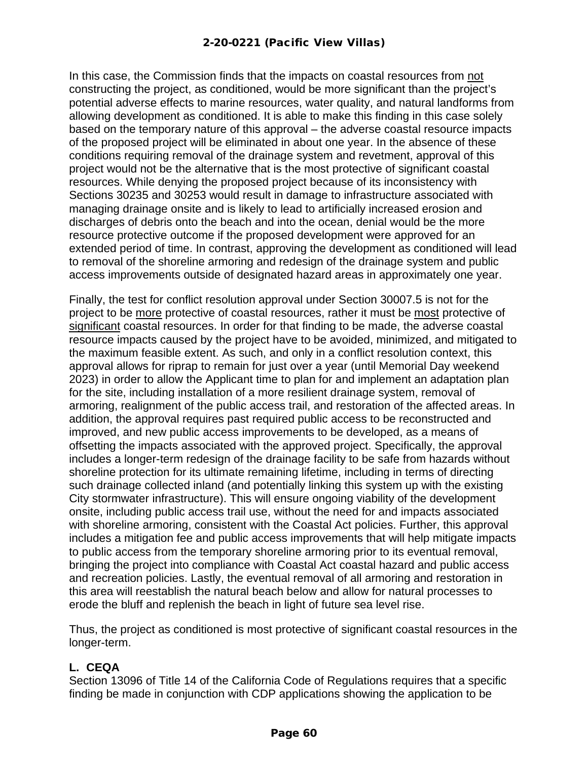In this case, the Commission finds that the impacts on coastal resources from not constructing the project, as conditioned, would be more significant than the project's potential adverse effects to marine resources, water quality, and natural landforms from allowing development as conditioned. It is able to make this finding in this case solely based on the temporary nature of this approval – the adverse coastal resource impacts of the proposed project will be eliminated in about one year. In the absence of these conditions requiring removal of the drainage system and revetment, approval of this project would not be the alternative that is the most protective of significant coastal resources. While denying the proposed project because of its inconsistency with Sections 30235 and 30253 would result in damage to infrastructure associated with managing drainage onsite and is likely to lead to artificially increased erosion and discharges of debris onto the beach and into the ocean, denial would be the more resource protective outcome if the proposed development were approved for an extended period of time. In contrast, approving the development as conditioned will lead to removal of the shoreline armoring and redesign of the drainage system and public access improvements outside of designated hazard areas in approximately one year.

Finally, the test for conflict resolution approval under Section 30007.5 is not for the project to be more protective of coastal resources, rather it must be most protective of significant coastal resources. In order for that finding to be made, the adverse coastal resource impacts caused by the project have to be avoided, minimized, and mitigated to the maximum feasible extent. As such, and only in a conflict resolution context, this approval allows for riprap to remain for just over a year (until Memorial Day weekend 2023) in order to allow the Applicant time to plan for and implement an adaptation plan for the site, including installation of a more resilient drainage system, removal of armoring, realignment of the public access trail, and restoration of the affected areas. In addition, the approval requires past required public access to be reconstructed and improved, and new public access improvements to be developed, as a means of offsetting the impacts associated with the approved project. Specifically, the approval includes a longer-term redesign of the drainage facility to be safe from hazards without shoreline protection for its ultimate remaining lifetime, including in terms of directing such drainage collected inland (and potentially linking this system up with the existing City stormwater infrastructure). This will ensure ongoing viability of the development onsite, including public access trail use, without the need for and impacts associated with shoreline armoring, consistent with the Coastal Act policies. Further, this approval includes a mitigation fee and public access improvements that will help mitigate impacts to public access from the temporary shoreline armoring prior to its eventual removal, bringing the project into compliance with Coastal Act coastal hazard and public access and recreation policies. Lastly, the eventual removal of all armoring and restoration in this area will reestablish the natural beach below and allow for natural processes to erode the bluff and replenish the beach in light of future sea level rise.

Thus, the project as conditioned is most protective of significant coastal resources in the longer-term.

#### <span id="page-59-0"></span>**L. CEQA**

Section 13096 of Title 14 of the California Code of Regulations requires that a specific finding be made in conjunction with CDP applications showing the application to be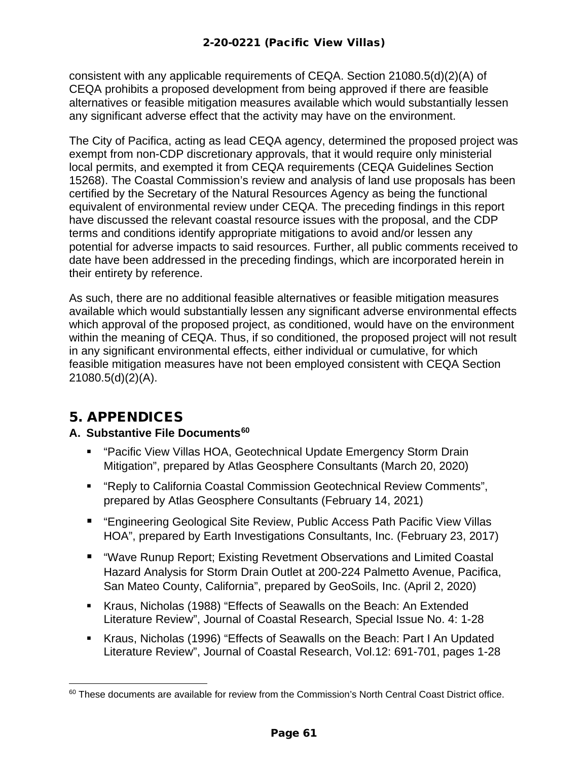consistent with any applicable requirements of CEQA. Section 21080.5(d)(2)(A) of CEQA prohibits a proposed development from being approved if there are feasible alternatives or feasible mitigation measures available which would substantially lessen any significant adverse effect that the activity may have on the environment.

The City of Pacifica, acting as lead CEQA agency, determined the proposed project was exempt from non-CDP discretionary approvals, that it would require only ministerial local permits, and exempted it from CEQA requirements (CEQA Guidelines Section 15268). The Coastal Commission's review and analysis of land use proposals has been certified by the Secretary of the Natural Resources Agency as being the functional equivalent of environmental review under CEQA. The preceding findings in this report have discussed the relevant coastal resource issues with the proposal, and the CDP terms and conditions identify appropriate mitigations to avoid and/or lessen any potential for adverse impacts to said resources. Further, all public comments received to date have been addressed in the preceding findings, which are incorporated herein in their entirety by reference.

As such, there are no additional feasible alternatives or feasible mitigation measures available which would substantially lessen any significant adverse environmental effects which approval of the proposed project, as conditioned, would have on the environment within the meaning of CEQA. Thus, if so conditioned, the proposed project will not result in any significant environmental effects, either individual or cumulative, for which feasible mitigation measures have not been employed consistent with CEQA Section 21080.5(d)(2)(A).

## <span id="page-60-0"></span>5. APPENDICES

#### <span id="page-60-1"></span>**A. Substantive File Documents[60](#page-60-2)**

- "Pacific View Villas HOA, Geotechnical Update Emergency Storm Drain Mitigation", prepared by Atlas Geosphere Consultants (March 20, 2020)
- "Reply to California Coastal Commission Geotechnical Review Comments", prepared by Atlas Geosphere Consultants (February 14, 2021)
- "Engineering Geological Site Review, Public Access Path Pacific View Villas HOA", prepared by Earth Investigations Consultants, Inc. (February 23, 2017)
- "Wave Runup Report; Existing Revetment Observations and Limited Coastal Hazard Analysis for Storm Drain Outlet at 200-224 Palmetto Avenue, Pacifica, San Mateo County, California", prepared by GeoSoils, Inc. (April 2, 2020)
- Kraus, Nicholas (1988) "Effects of Seawalls on the Beach: An Extended Literature Review", Journal of Coastal Research, Special Issue No. 4: 1-28
- Kraus, Nicholas (1996) "Effects of Seawalls on the Beach: Part I An Updated Literature Review", Journal of Coastal Research, Vol.12: 691-701, pages 1-28

<span id="page-60-2"></span><sup>&</sup>lt;sup>60</sup> These documents are available for review from the Commission's North Central Coast District office.